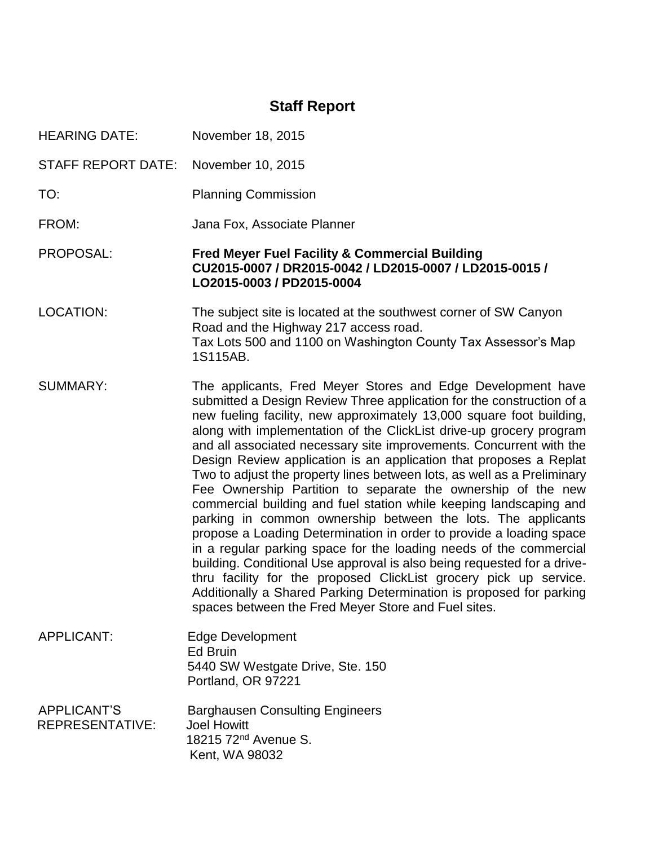# **Staff Report**

HEARING DATE: November 18, 2015

STAFF REPORT DATE: November 10, 2015

- TO: Planning Commission
- FROM: Jana Fox, Associate Planner

PROPOSAL: **Fred Meyer Fuel Facility & Commercial Building CU2015-0007 / DR2015-0042 / LD2015-0007 / LD2015-0015 / LO2015-0003 / PD2015-0004**

- LOCATION: The subject site is located at the southwest corner of SW Canyon Road and the Highway 217 access road. Tax Lots 500 and 1100 on Washington County Tax Assessor's Map 1S115AB.
- SUMMARY: The applicants, Fred Meyer Stores and Edge Development have submitted a Design Review Three application for the construction of a new fueling facility, new approximately 13,000 square foot building, along with implementation of the ClickList drive-up grocery program and all associated necessary site improvements. Concurrent with the Design Review application is an application that proposes a Replat Two to adjust the property lines between lots, as well as a Preliminary Fee Ownership Partition to separate the ownership of the new commercial building and fuel station while keeping landscaping and parking in common ownership between the lots. The applicants propose a Loading Determination in order to provide a loading space in a regular parking space for the loading needs of the commercial building. Conditional Use approval is also being requested for a drivethru facility for the proposed ClickList grocery pick up service. Additionally a Shared Parking Determination is proposed for parking spaces between the Fred Meyer Store and Fuel sites.
- APPLICANT: Edge Development Ed Bruin 5440 SW Westgate Drive, Ste. 150 Portland, OR 97221

APPLICANT'S Barghausen Consulting Engineers REPRESENTATIVE: Joel Howitt 18215 72nd Avenue S. Kent, WA 98032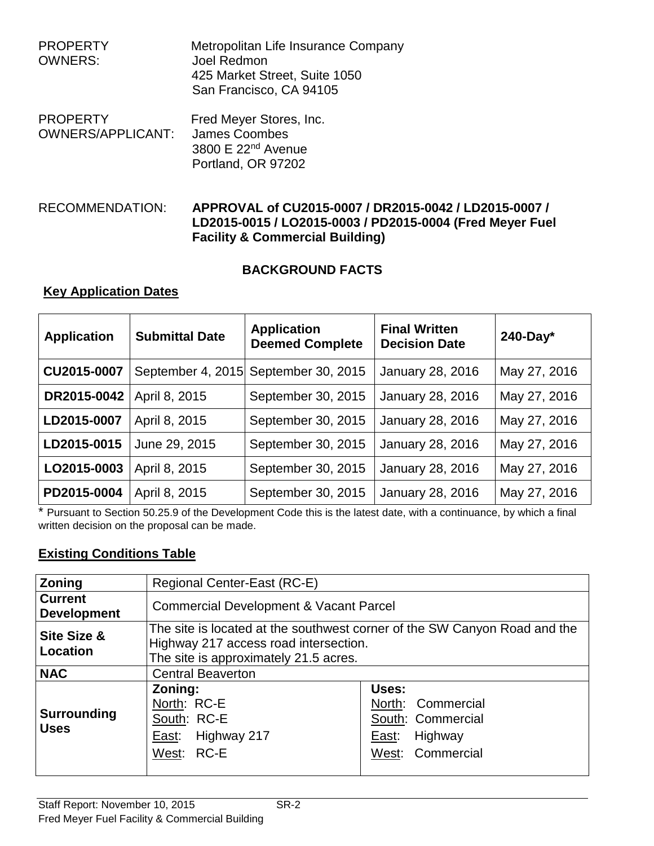| <b>PROPERTY</b><br><b>OWNERS:</b>           | Metropolitan Life Insurance Company<br>Joel Redmon<br>425 Market Street, Suite 1050<br>San Francisco, CA 94105 |
|---------------------------------------------|----------------------------------------------------------------------------------------------------------------|
| <b>PROPERTY</b><br><b>OWNERS/APPLICANT:</b> | Fred Meyer Stores, Inc.<br><b>James Coombes</b><br>3800 E 22 <sup>nd</sup> Avenue<br>Portland, OR 97202        |

# RECOMMENDATION: **APPROVAL of CU2015-0007 / DR2015-0042 / LD2015-0007 / LD2015-0015 / LO2015-0003 / PD2015-0004 (Fred Meyer Fuel Facility & Commercial Building)**

# **BACKGROUND FACTS**

# **Key Application Dates**

| <b>Application</b> | <b>Submittal Date</b> | <b>Application</b><br><b>Deemed Complete</b> | <b>Final Written</b><br><b>Decision Date</b> | $240$ -Day*  |
|--------------------|-----------------------|----------------------------------------------|----------------------------------------------|--------------|
| CU2015-0007        |                       | September 4, 2015 September 30, 2015         | January 28, 2016                             | May 27, 2016 |
| DR2015-0042        | April 8, 2015         | September 30, 2015                           | January 28, 2016                             | May 27, 2016 |
| LD2015-0007        | April 8, 2015         | September 30, 2015                           | January 28, 2016                             | May 27, 2016 |
| LD2015-0015        | June 29, 2015         | September 30, 2015                           | January 28, 2016                             | May 27, 2016 |
| LO2015-0003        | April 8, 2015         | September 30, 2015                           | January 28, 2016                             | May 27, 2016 |
| PD2015-0004        | April 8, 2015         | September 30, 2015                           | January 28, 2016                             | May 27, 2016 |

\* Pursuant to Section 50.25.9 of the Development Code this is the latest date, with a continuance, by which a final written decision on the proposal can be made.

# **Existing Conditions Table**

| Zoning                               | Regional Center-East (RC-E)                                                                                                                                 |                                                                                         |  |
|--------------------------------------|-------------------------------------------------------------------------------------------------------------------------------------------------------------|-----------------------------------------------------------------------------------------|--|
| <b>Current</b><br><b>Development</b> | <b>Commercial Development &amp; Vacant Parcel</b>                                                                                                           |                                                                                         |  |
| Site Size &<br>Location              | The site is located at the southwest corner of the SW Canyon Road and the<br>Highway 217 access road intersection.<br>The site is approximately 21.5 acres. |                                                                                         |  |
| <b>NAC</b>                           | <b>Central Beaverton</b>                                                                                                                                    |                                                                                         |  |
| <b>Surrounding</b><br><b>Uses</b>    | Zoning:<br>North: RC-E<br>South: RC-E<br>East: Highway 217<br>West: RC-E                                                                                    | Uses:<br>North: Commercial<br>South: Commercial<br>Highway<br>East:<br>West: Commercial |  |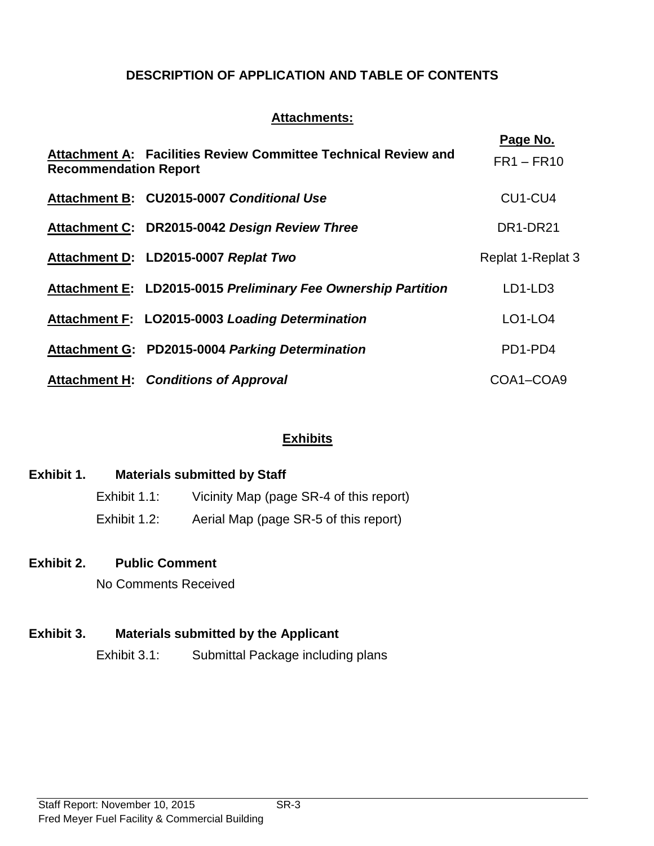# **DESCRIPTION OF APPLICATION AND TABLE OF CONTENTS**

# **Attachments:**

| <b>Recommendation Report</b> | Attachment A: Facilities Review Committee Technical Review and | Page No.<br>$FR1 - FR10$ |
|------------------------------|----------------------------------------------------------------|--------------------------|
|                              | Attachment B: CU2015-0007 Conditional Use                      | CU1-CU4                  |
|                              | Attachment C: DR2015-0042 Design Review Three                  | DR1-DR21                 |
|                              | Attachment D: LD2015-0007 Replat Two                           | Replat 1-Replat 3        |
|                              | Attachment E: LD2015-0015 Preliminary Fee Ownership Partition  | LD1-LD3                  |
|                              | Attachment F: LO2015-0003 Loading Determination                | LO1-LO4                  |
|                              | Attachment G: PD2015-0004 Parking Determination                | PD1-PD4                  |
|                              | <b>Attachment H: Conditions of Approval</b>                    | COA1-COA9                |

# **Exhibits**

# **Exhibit 1. Materials submitted by Staff**

| Exhibit 1.1: | Vicinity Map (page SR-4 of this report) |
|--------------|-----------------------------------------|
| Exhibit 1.2: | Aerial Map (page SR-5 of this report)   |

# **Exhibit 2. Public Comment**

No Comments Received

# **Exhibit 3. Materials submitted by the Applicant**

Exhibit 3.1: Submittal Package including plans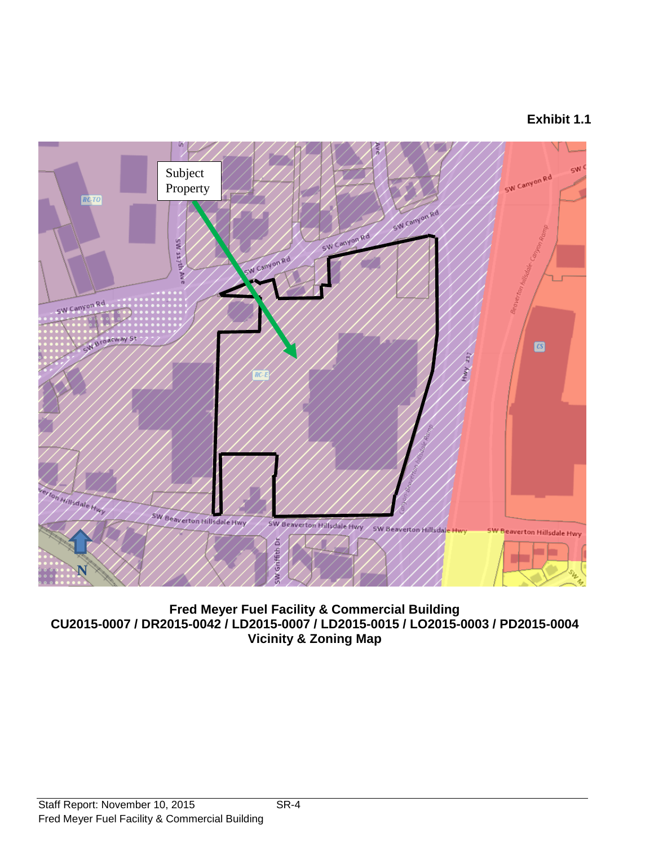# **Exhibit 1.1**

![](_page_3_Figure_1.jpeg)

**Fred Meyer Fuel Facility & Commercial Building CU2015-0007 / DR2015-0042 / LD2015-0007 / LD2015-0015 / LO2015-0003 / PD2015-0004 Vicinity & Zoning Map**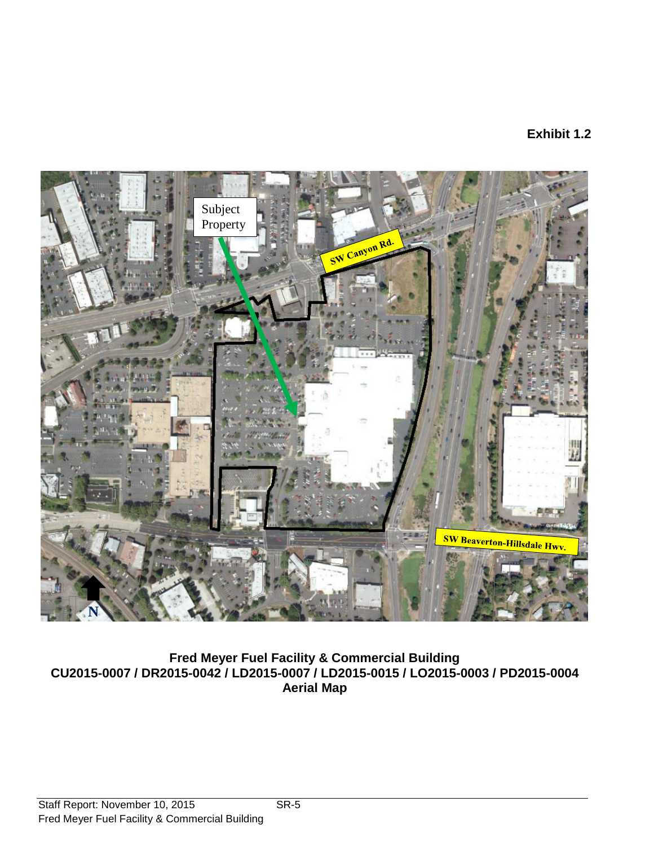# **Exhibit 1.2**

![](_page_4_Picture_1.jpeg)

**Fred Meyer Fuel Facility & Commercial Building CU2015-0007 / DR2015-0042 / LD2015-0007 / LD2015-0015 / LO2015-0003 / PD2015-0004 Aerial Map**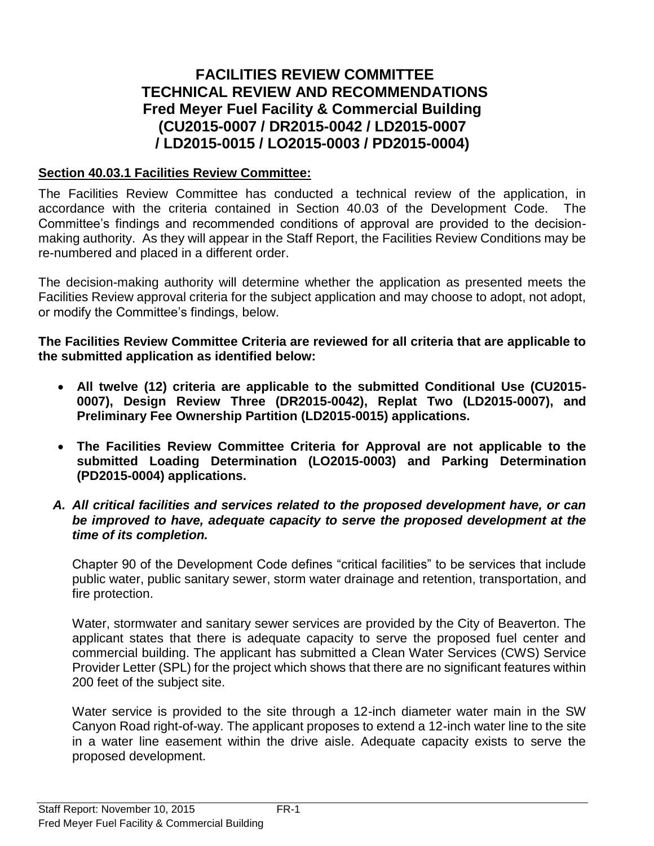# **FACILITIES REVIEW COMMITTEE TECHNICAL REVIEW AND RECOMMENDATIONS Fred Meyer Fuel Facility & Commercial Building (CU2015-0007 / DR2015-0042 / LD2015-0007 / LD2015-0015 / LO2015-0003 / PD2015-0004)**

# **Section 40.03.1 Facilities Review Committee:**

The Facilities Review Committee has conducted a technical review of the application, in accordance with the criteria contained in Section 40.03 of the Development Code. The Committee's findings and recommended conditions of approval are provided to the decisionmaking authority. As they will appear in the Staff Report, the Facilities Review Conditions may be re-numbered and placed in a different order.

The decision-making authority will determine whether the application as presented meets the Facilities Review approval criteria for the subject application and may choose to adopt, not adopt, or modify the Committee's findings, below.

**The Facilities Review Committee Criteria are reviewed for all criteria that are applicable to the submitted application as identified below:**

- **All twelve (12) criteria are applicable to the submitted Conditional Use (CU2015- 0007), Design Review Three (DR2015-0042), Replat Two (LD2015-0007), and Preliminary Fee Ownership Partition (LD2015-0015) applications.**
- **The Facilities Review Committee Criteria for Approval are not applicable to the submitted Loading Determination (LO2015-0003) and Parking Determination (PD2015-0004) applications.**

#### *A. All critical facilities and services related to the proposed development have, or can be improved to have, adequate capacity to serve the proposed development at the time of its completion.*

Chapter 90 of the Development Code defines "critical facilities" to be services that include public water, public sanitary sewer, storm water drainage and retention, transportation, and fire protection.

Water, stormwater and sanitary sewer services are provided by the City of Beaverton. The applicant states that there is adequate capacity to serve the proposed fuel center and commercial building. The applicant has submitted a Clean Water Services (CWS) Service Provider Letter (SPL) for the project which shows that there are no significant features within 200 feet of the subject site.

Water service is provided to the site through a 12-inch diameter water main in the SW Canyon Road right-of-way. The applicant proposes to extend a 12-inch water line to the site in a water line easement within the drive aisle. Adequate capacity exists to serve the proposed development.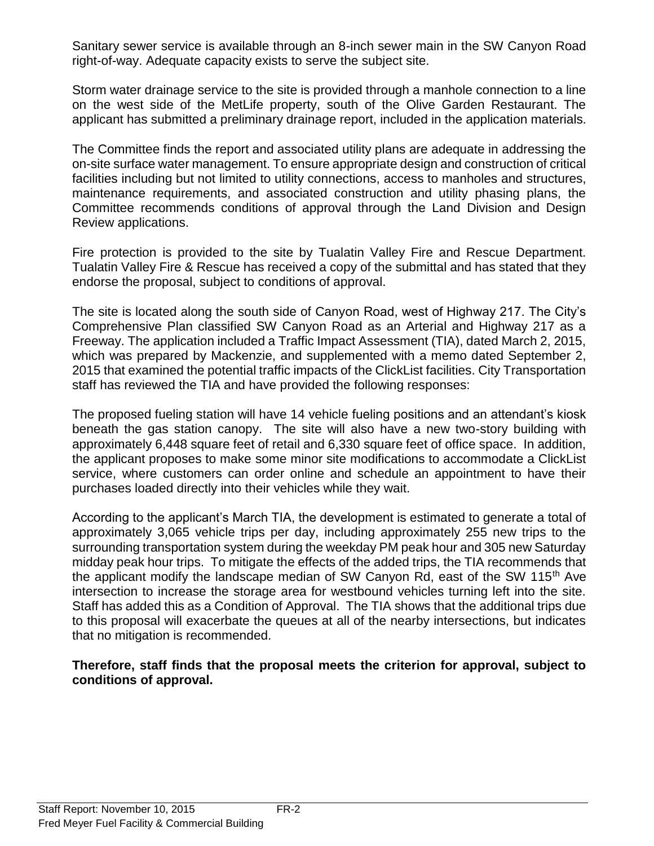Sanitary sewer service is available through an 8-inch sewer main in the SW Canyon Road right-of-way. Adequate capacity exists to serve the subject site.

Storm water drainage service to the site is provided through a manhole connection to a line on the west side of the MetLife property, south of the Olive Garden Restaurant. The applicant has submitted a preliminary drainage report, included in the application materials.

The Committee finds the report and associated utility plans are adequate in addressing the on-site surface water management. To ensure appropriate design and construction of critical facilities including but not limited to utility connections, access to manholes and structures, maintenance requirements, and associated construction and utility phasing plans, the Committee recommends conditions of approval through the Land Division and Design Review applications.

Fire protection is provided to the site by Tualatin Valley Fire and Rescue Department. Tualatin Valley Fire & Rescue has received a copy of the submittal and has stated that they endorse the proposal, subject to conditions of approval.

The site is located along the south side of Canyon Road, west of Highway 217. The City's Comprehensive Plan classified SW Canyon Road as an Arterial and Highway 217 as a Freeway. The application included a Traffic Impact Assessment (TIA), dated March 2, 2015, which was prepared by Mackenzie, and supplemented with a memo dated September 2, 2015 that examined the potential traffic impacts of the ClickList facilities. City Transportation staff has reviewed the TIA and have provided the following responses:

The proposed fueling station will have 14 vehicle fueling positions and an attendant's kiosk beneath the gas station canopy. The site will also have a new two-story building with approximately 6,448 square feet of retail and 6,330 square feet of office space. In addition, the applicant proposes to make some minor site modifications to accommodate a ClickList service, where customers can order online and schedule an appointment to have their purchases loaded directly into their vehicles while they wait.

According to the applicant's March TIA, the development is estimated to generate a total of approximately 3,065 vehicle trips per day, including approximately 255 new trips to the surrounding transportation system during the weekday PM peak hour and 305 new Saturday midday peak hour trips. To mitigate the effects of the added trips, the TIA recommends that the applicant modify the landscape median of SW Canyon Rd, east of the SW 115<sup>th</sup> Ave intersection to increase the storage area for westbound vehicles turning left into the site. Staff has added this as a Condition of Approval. The TIA shows that the additional trips due to this proposal will exacerbate the queues at all of the nearby intersections, but indicates that no mitigation is recommended.

#### **Therefore, staff finds that the proposal meets the criterion for approval, subject to conditions of approval.**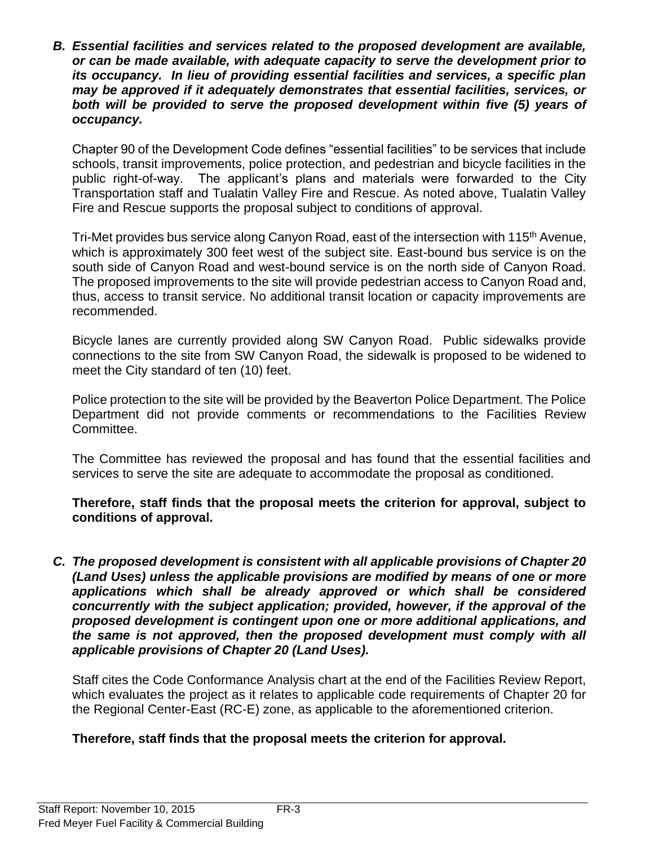*B. Essential facilities and services related to the proposed development are available, or can be made available, with adequate capacity to serve the development prior to its occupancy. In lieu of providing essential facilities and services, a specific plan may be approved if it adequately demonstrates that essential facilities, services, or both will be provided to serve the proposed development within five (5) years of occupancy.*

Chapter 90 of the Development Code defines "essential facilities" to be services that include schools, transit improvements, police protection, and pedestrian and bicycle facilities in the public right-of-way. The applicant's plans and materials were forwarded to the City Transportation staff and Tualatin Valley Fire and Rescue. As noted above, Tualatin Valley Fire and Rescue supports the proposal subject to conditions of approval.

Tri-Met provides bus service along Canyon Road, east of the intersection with 115<sup>th</sup> Avenue, which is approximately 300 feet west of the subject site. East-bound bus service is on the south side of Canyon Road and west-bound service is on the north side of Canyon Road. The proposed improvements to the site will provide pedestrian access to Canyon Road and, thus, access to transit service. No additional transit location or capacity improvements are recommended.

Bicycle lanes are currently provided along SW Canyon Road. Public sidewalks provide connections to the site from SW Canyon Road, the sidewalk is proposed to be widened to meet the City standard of ten (10) feet.

Police protection to the site will be provided by the Beaverton Police Department. The Police Department did not provide comments or recommendations to the Facilities Review Committee.

The Committee has reviewed the proposal and has found that the essential facilities and services to serve the site are adequate to accommodate the proposal as conditioned.

**Therefore, staff finds that the proposal meets the criterion for approval, subject to conditions of approval.**

*C. The proposed development is consistent with all applicable provisions of Chapter 20 (Land Uses) unless the applicable provisions are modified by means of one or more applications which shall be already approved or which shall be considered concurrently with the subject application; provided, however, if the approval of the proposed development is contingent upon one or more additional applications, and the same is not approved, then the proposed development must comply with all applicable provisions of Chapter 20 (Land Uses).*

Staff cites the Code Conformance Analysis chart at the end of the Facilities Review Report, which evaluates the project as it relates to applicable code requirements of Chapter 20 for the Regional Center-East (RC-E) zone, as applicable to the aforementioned criterion.

# **Therefore, staff finds that the proposal meets the criterion for approval.**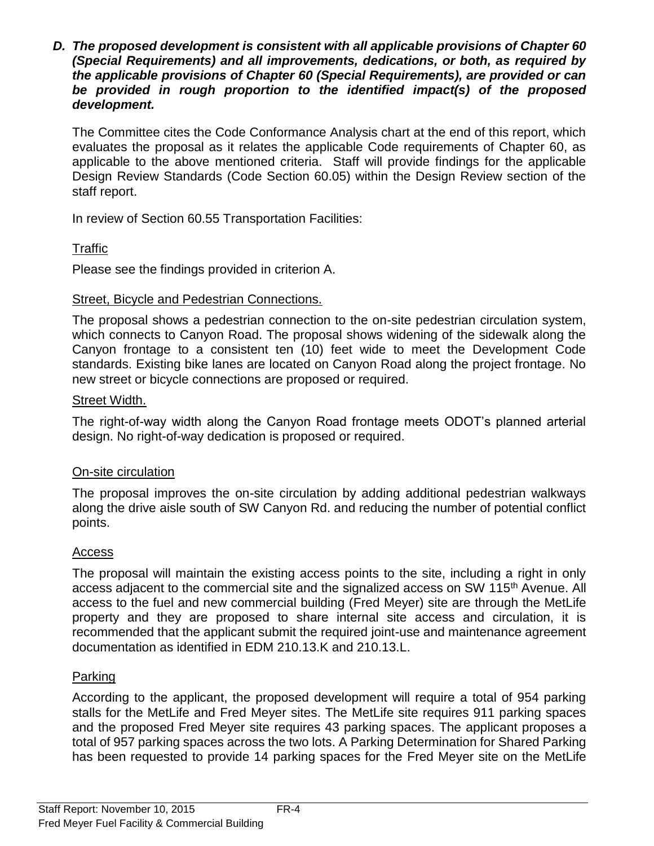*D. The proposed development is consistent with all applicable provisions of Chapter 60 (Special Requirements) and all improvements, dedications, or both, as required by the applicable provisions of Chapter 60 (Special Requirements), are provided or can be provided in rough proportion to the identified impact(s) of the proposed development.*

The Committee cites the Code Conformance Analysis chart at the end of this report, which evaluates the proposal as it relates the applicable Code requirements of Chapter 60, as applicable to the above mentioned criteria. Staff will provide findings for the applicable Design Review Standards (Code Section 60.05) within the Design Review section of the staff report.

In review of Section 60.55 Transportation Facilities:

# Traffic

Please see the findings provided in criterion A.

# Street, Bicycle and Pedestrian Connections.

The proposal shows a pedestrian connection to the on-site pedestrian circulation system, which connects to Canyon Road. The proposal shows widening of the sidewalk along the Canyon frontage to a consistent ten (10) feet wide to meet the Development Code standards. Existing bike lanes are located on Canyon Road along the project frontage. No new street or bicycle connections are proposed or required.

# Street Width.

The right-of-way width along the Canyon Road frontage meets ODOT's planned arterial design. No right-of-way dedication is proposed or required.

# On-site circulation

The proposal improves the on-site circulation by adding additional pedestrian walkways along the drive aisle south of SW Canyon Rd. and reducing the number of potential conflict points.

# **Access**

The proposal will maintain the existing access points to the site, including a right in only access adjacent to the commercial site and the signalized access on SW 115<sup>th</sup> Avenue. All access to the fuel and new commercial building (Fred Meyer) site are through the MetLife property and they are proposed to share internal site access and circulation, it is recommended that the applicant submit the required joint-use and maintenance agreement documentation as identified in EDM 210.13.K and 210.13.L.

# Parking

According to the applicant, the proposed development will require a total of 954 parking stalls for the MetLife and Fred Meyer sites. The MetLife site requires 911 parking spaces and the proposed Fred Meyer site requires 43 parking spaces. The applicant proposes a total of 957 parking spaces across the two lots. A Parking Determination for Shared Parking has been requested to provide 14 parking spaces for the Fred Meyer site on the MetLife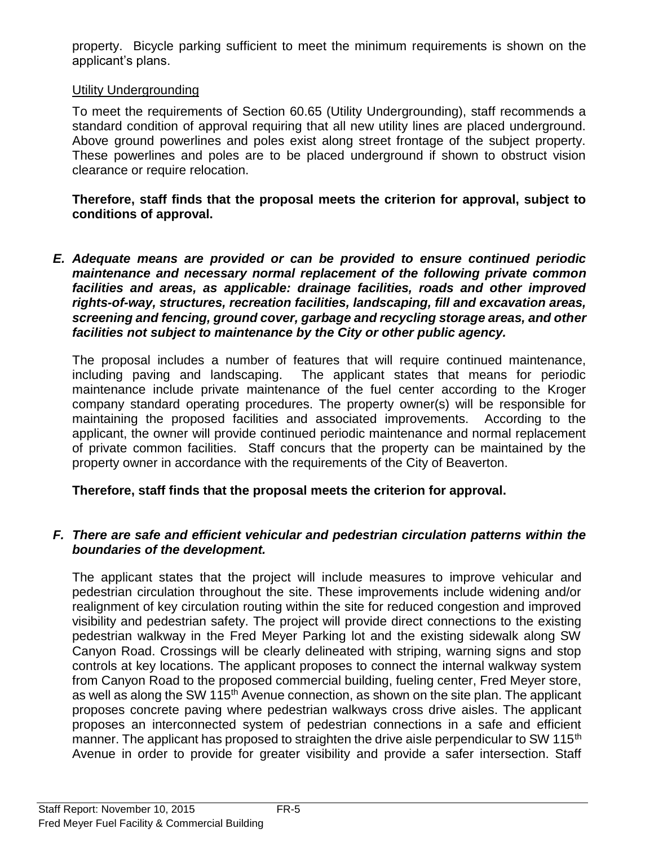property. Bicycle parking sufficient to meet the minimum requirements is shown on the applicant's plans.

# Utility Undergrounding

To meet the requirements of Section 60.65 (Utility Undergrounding), staff recommends a standard condition of approval requiring that all new utility lines are placed underground. Above ground powerlines and poles exist along street frontage of the subject property. These powerlines and poles are to be placed underground if shown to obstruct vision clearance or require relocation.

**Therefore, staff finds that the proposal meets the criterion for approval, subject to conditions of approval.**

*E. Adequate means are provided or can be provided to ensure continued periodic maintenance and necessary normal replacement of the following private common facilities and areas, as applicable: drainage facilities, roads and other improved rights-of-way, structures, recreation facilities, landscaping, fill and excavation areas, screening and fencing, ground cover, garbage and recycling storage areas, and other facilities not subject to maintenance by the City or other public agency.*

The proposal includes a number of features that will require continued maintenance, including paving and landscaping. The applicant states that means for periodic maintenance include private maintenance of the fuel center according to the Kroger company standard operating procedures. The property owner(s) will be responsible for maintaining the proposed facilities and associated improvements. According to the applicant, the owner will provide continued periodic maintenance and normal replacement of private common facilities. Staff concurs that the property can be maintained by the property owner in accordance with the requirements of the City of Beaverton.

# **Therefore, staff finds that the proposal meets the criterion for approval.**

# *F. There are safe and efficient vehicular and pedestrian circulation patterns within the boundaries of the development.*

The applicant states that the project will include measures to improve vehicular and pedestrian circulation throughout the site. These improvements include widening and/or realignment of key circulation routing within the site for reduced congestion and improved visibility and pedestrian safety. The project will provide direct connections to the existing pedestrian walkway in the Fred Meyer Parking lot and the existing sidewalk along SW Canyon Road. Crossings will be clearly delineated with striping, warning signs and stop controls at key locations. The applicant proposes to connect the internal walkway system from Canyon Road to the proposed commercial building, fueling center, Fred Meyer store, as well as along the SW 115<sup>th</sup> Avenue connection, as shown on the site plan. The applicant proposes concrete paving where pedestrian walkways cross drive aisles. The applicant proposes an interconnected system of pedestrian connections in a safe and efficient manner. The applicant has proposed to straighten the drive aisle perpendicular to SW 115<sup>th</sup> Avenue in order to provide for greater visibility and provide a safer intersection. Staff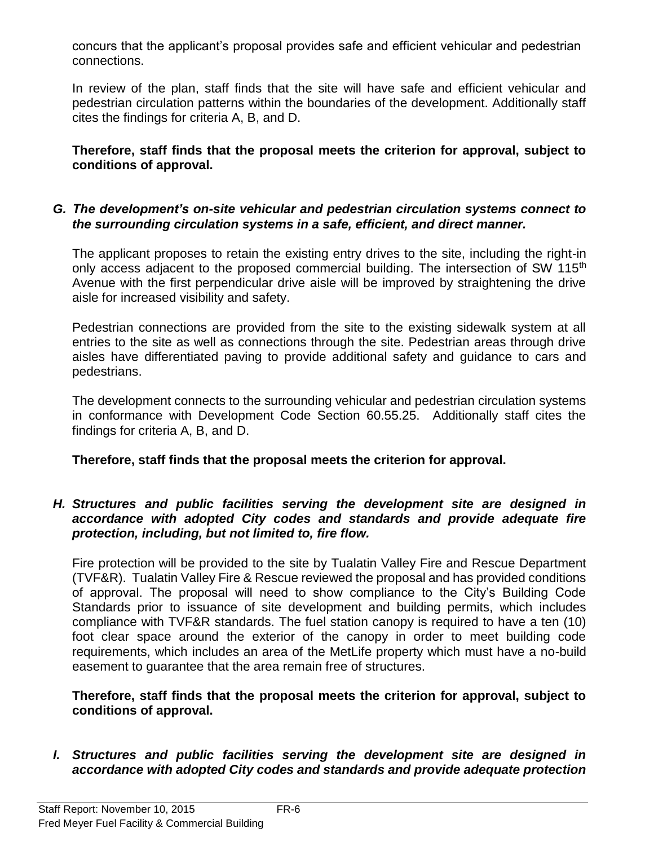concurs that the applicant's proposal provides safe and efficient vehicular and pedestrian connections.

In review of the plan, staff finds that the site will have safe and efficient vehicular and pedestrian circulation patterns within the boundaries of the development. Additionally staff cites the findings for criteria A, B, and D.

**Therefore, staff finds that the proposal meets the criterion for approval, subject to conditions of approval.**

#### *G. The development's on-site vehicular and pedestrian circulation systems connect to the surrounding circulation systems in a safe, efficient, and direct manner.*

The applicant proposes to retain the existing entry drives to the site, including the right-in only access adjacent to the proposed commercial building. The intersection of SW 115<sup>th</sup> Avenue with the first perpendicular drive aisle will be improved by straightening the drive aisle for increased visibility and safety.

Pedestrian connections are provided from the site to the existing sidewalk system at all entries to the site as well as connections through the site. Pedestrian areas through drive aisles have differentiated paving to provide additional safety and guidance to cars and pedestrians.

The development connects to the surrounding vehicular and pedestrian circulation systems in conformance with Development Code Section 60.55.25. Additionally staff cites the findings for criteria A, B, and D.

**Therefore, staff finds that the proposal meets the criterion for approval.**

#### *H. Structures and public facilities serving the development site are designed in accordance with adopted City codes and standards and provide adequate fire protection, including, but not limited to, fire flow.*

Fire protection will be provided to the site by Tualatin Valley Fire and Rescue Department (TVF&R). Tualatin Valley Fire & Rescue reviewed the proposal and has provided conditions of approval. The proposal will need to show compliance to the City's Building Code Standards prior to issuance of site development and building permits, which includes compliance with TVF&R standards. The fuel station canopy is required to have a ten (10) foot clear space around the exterior of the canopy in order to meet building code requirements, which includes an area of the MetLife property which must have a no-build easement to guarantee that the area remain free of structures.

**Therefore, staff finds that the proposal meets the criterion for approval, subject to conditions of approval.**

*I. Structures and public facilities serving the development site are designed in accordance with adopted City codes and standards and provide adequate protection*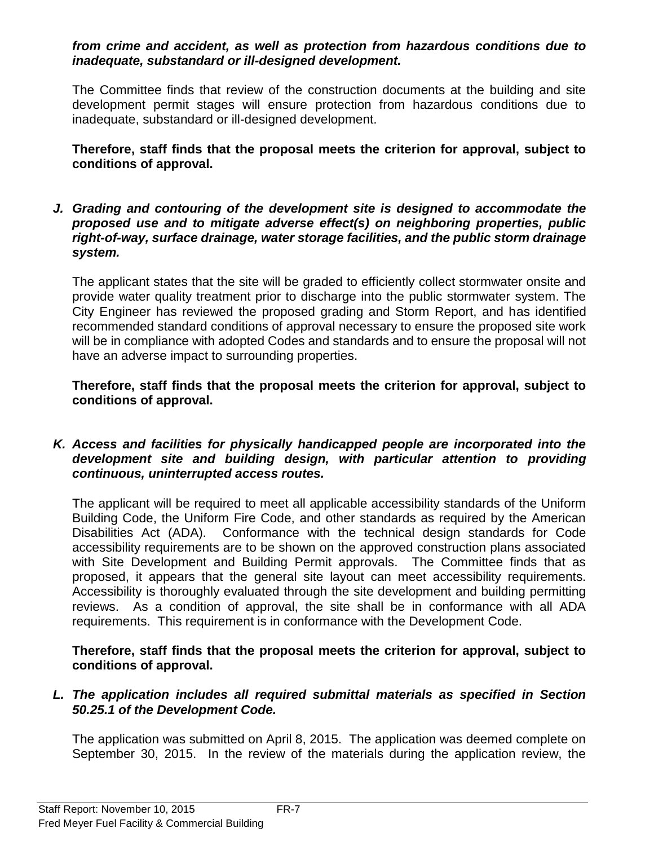#### *from crime and accident, as well as protection from hazardous conditions due to inadequate, substandard or ill-designed development.*

The Committee finds that review of the construction documents at the building and site development permit stages will ensure protection from hazardous conditions due to inadequate, substandard or ill-designed development.

**Therefore, staff finds that the proposal meets the criterion for approval, subject to conditions of approval.**

*J. Grading and contouring of the development site is designed to accommodate the proposed use and to mitigate adverse effect(s) on neighboring properties, public right-of-way, surface drainage, water storage facilities, and the public storm drainage system.*

The applicant states that the site will be graded to efficiently collect stormwater onsite and provide water quality treatment prior to discharge into the public stormwater system. The City Engineer has reviewed the proposed grading and Storm Report, and has identified recommended standard conditions of approval necessary to ensure the proposed site work will be in compliance with adopted Codes and standards and to ensure the proposal will not have an adverse impact to surrounding properties.

**Therefore, staff finds that the proposal meets the criterion for approval, subject to conditions of approval.**

*K. Access and facilities for physically handicapped people are incorporated into the development site and building design, with particular attention to providing continuous, uninterrupted access routes.*

The applicant will be required to meet all applicable accessibility standards of the Uniform Building Code, the Uniform Fire Code, and other standards as required by the American Disabilities Act (ADA). Conformance with the technical design standards for Code accessibility requirements are to be shown on the approved construction plans associated with Site Development and Building Permit approvals. The Committee finds that as proposed, it appears that the general site layout can meet accessibility requirements. Accessibility is thoroughly evaluated through the site development and building permitting reviews. As a condition of approval, the site shall be in conformance with all ADA requirements. This requirement is in conformance with the Development Code.

**Therefore, staff finds that the proposal meets the criterion for approval, subject to conditions of approval.**

#### *L. The application includes all required submittal materials as specified in Section 50.25.1 of the Development Code.*

The application was submitted on April 8, 2015. The application was deemed complete on September 30, 2015. In the review of the materials during the application review, the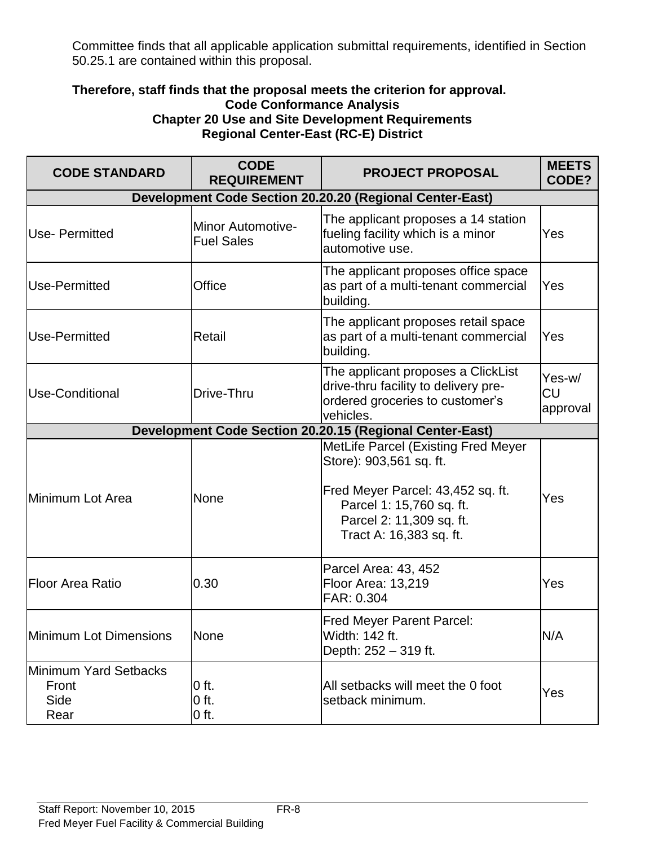Committee finds that all applicable application submittal requirements, identified in Section 50.25.1 are contained within this proposal.

#### **Therefore, staff finds that the proposal meets the criterion for approval. Code Conformance Analysis Chapter 20 Use and Site Development Requirements Regional Center-East (RC-E) District**

| <b>CODE STANDARD</b>                           | <b>CODE</b><br><b>REQUIREMENT</b>      | <b>PROJECT PROPOSAL</b>                                                                                                                                                                | <b>MEETS</b><br>CODE?           |
|------------------------------------------------|----------------------------------------|----------------------------------------------------------------------------------------------------------------------------------------------------------------------------------------|---------------------------------|
|                                                |                                        | <b>Development Code Section 20.20.20 (Regional Center-East)</b>                                                                                                                        |                                 |
| <b>Use-Permitted</b>                           | Minor Automotive-<br><b>Fuel Sales</b> | The applicant proposes a 14 station<br>fueling facility which is a minor<br>automotive use.                                                                                            | Yes                             |
| Use-Permitted                                  | Office                                 | The applicant proposes office space<br>as part of a multi-tenant commercial<br>building.                                                                                               | Yes                             |
| Use-Permitted                                  | Retail                                 | The applicant proposes retail space<br>as part of a multi-tenant commercial<br>building.                                                                                               | Yes                             |
| <b>Use-Conditional</b>                         | Drive-Thru                             | The applicant proposes a ClickList<br>drive-thru facility to delivery pre-<br>ordered groceries to customer's<br>vehicles.                                                             | Yes-w/<br><b>CU</b><br>approval |
|                                                |                                        | <b>Development Code Section 20.20.15 (Regional Center-East)</b>                                                                                                                        |                                 |
| Minimum Lot Area                               | <b>None</b>                            | MetLife Parcel (Existing Fred Meyer<br>Store): 903,561 sq. ft.<br>Fred Meyer Parcel: 43,452 sq. ft.<br>Parcel 1: 15,760 sq. ft.<br>Parcel 2: 11,309 sq. ft.<br>Tract A: 16,383 sq. ft. | Yes                             |
| <b>Floor Area Ratio</b>                        | 0.30                                   | Parcel Area: 43, 452<br>Floor Area: 13,219<br>FAR: 0.304                                                                                                                               | Yes                             |
| Minimum Lot Dimensions                         | None                                   | <b>Fred Meyer Parent Parcel:</b><br>Width: 142 ft.<br>Depth: 252 - 319 ft.                                                                                                             | N/A                             |
| Minimum Yard Setbacks<br>Front<br>Side<br>Rear | $0$ ft.<br>$0$ ft.<br>$0$ ft.          | All setbacks will meet the 0 foot<br>setback minimum.                                                                                                                                  | Yes                             |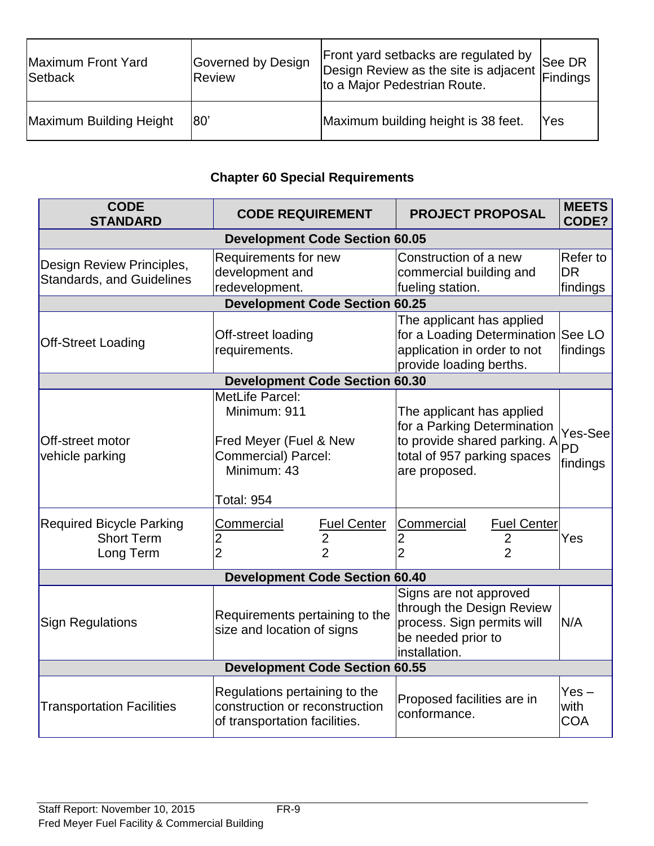| Maximum Front Yard<br>Setback | Governed by Design<br>Review | Front yard setbacks are regulated by<br>to a Major Pedestrian Route. | See DR     |
|-------------------------------|------------------------------|----------------------------------------------------------------------|------------|
| Maximum Building Height       | 180'                         | Maximum building height is 38 feet.                                  | <b>Yes</b> |

# **Chapter 60 Special Requirements**

| <b>CODE</b><br><b>STANDARD</b>                                    | <b>CODE REQUIREMENT</b>                                                                                                     | <b>PROJECT PROPOSAL</b>                                                                                                                  | <b>MEETS</b><br>CODE?             |
|-------------------------------------------------------------------|-----------------------------------------------------------------------------------------------------------------------------|------------------------------------------------------------------------------------------------------------------------------------------|-----------------------------------|
|                                                                   | <b>Development Code Section 60.05</b>                                                                                       |                                                                                                                                          |                                   |
| Design Review Principles,<br><b>Standards, and Guidelines</b>     | Requirements for new<br>development and<br>redevelopment.                                                                   | Construction of a new<br>commercial building and<br>fueling station.                                                                     | Refer to<br><b>DR</b><br>findings |
|                                                                   | <b>Development Code Section 60.25</b>                                                                                       |                                                                                                                                          |                                   |
| <b>Off-Street Loading</b>                                         | Off-street loading<br>requirements.                                                                                         | The applicant has applied<br>for a Loading Determination See LO<br>application in order to not<br>provide loading berths.                | findings                          |
|                                                                   | <b>Development Code Section 60.30</b>                                                                                       |                                                                                                                                          |                                   |
| <b>Off-street motor</b><br>vehicle parking                        | <b>MetLife Parcel:</b><br>Minimum: 911<br>Fred Meyer (Fuel & New<br>Commercial) Parcel:<br>Minimum: 43<br><b>Total: 954</b> | The applicant has applied<br>for a Parking Determination<br>to provide shared parking. A<br>total of 957 parking spaces<br>are proposed. | Yes-See<br><b>PD</b><br>findings  |
| <b>Required Bicycle Parking</b><br><b>Short Term</b><br>Long Term | <b>Fuel Center</b><br><b>Commercial</b><br>$\overline{2}$<br>$\overline{c}$<br>$\overline{2}$<br>$\overline{2}$             | <b>Commercial</b><br><b>Fuel Center</b><br>2<br>$\overline{2}$                                                                           | Yes                               |
|                                                                   | <b>Development Code Section 60.40</b>                                                                                       |                                                                                                                                          |                                   |
| <b>Sign Regulations</b>                                           | Requirements pertaining to the<br>size and location of signs                                                                | Signs are not approved<br>through the Design Review<br>process. Sign permits will<br>be needed prior to<br>installation.                 | N/A                               |
|                                                                   | <b>Development Code Section 60.55</b>                                                                                       |                                                                                                                                          |                                   |
| <b>Transportation Facilities</b>                                  | Regulations pertaining to the<br>construction or reconstruction<br>of transportation facilities.                            | Proposed facilities are in<br>conformance.                                                                                               | $Yes -$<br>with<br><b>COA</b>     |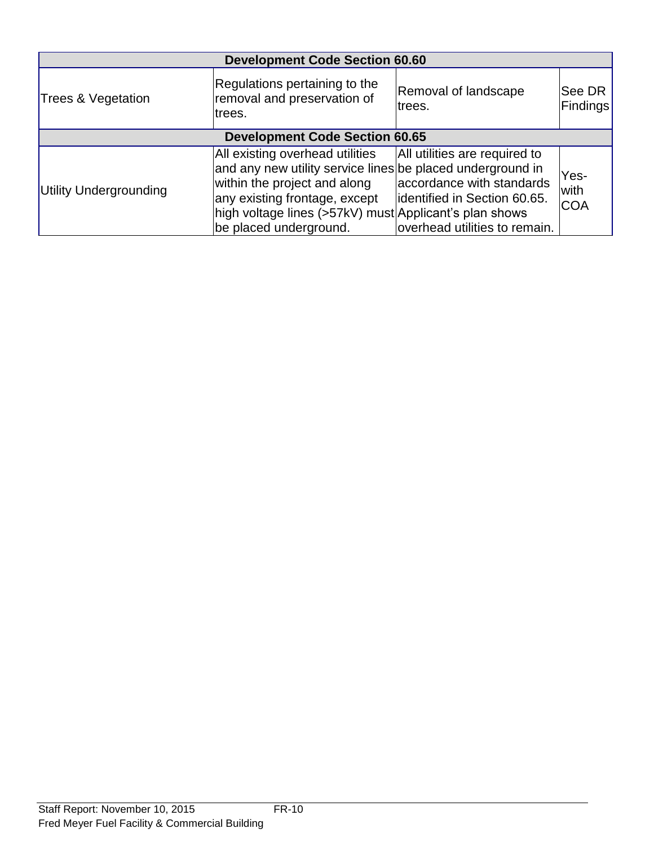|                        | <b>Development Code Section 60.60</b>                                                                                                                                                                                                              |                                                                                                                             |                            |  |
|------------------------|----------------------------------------------------------------------------------------------------------------------------------------------------------------------------------------------------------------------------------------------------|-----------------------------------------------------------------------------------------------------------------------------|----------------------------|--|
| Trees & Vegetation     | Regulations pertaining to the<br>removal and preservation of<br>trees.                                                                                                                                                                             | Removal of landscape<br>trees.                                                                                              | See DR<br><b>Findings</b>  |  |
|                        | <b>Development Code Section 60.65</b>                                                                                                                                                                                                              |                                                                                                                             |                            |  |
| Utility Undergrounding | All existing overhead utilities<br>and any new utility service lines be placed underground in<br>within the project and along<br>any existing frontage, except<br>high voltage lines (>57kV) must Applicant's plan shows<br>be placed underground. | All utilities are required to<br>accordance with standards<br>identified in Section 60.65.<br>overhead utilities to remain. | Yes-<br>with<br><b>COA</b> |  |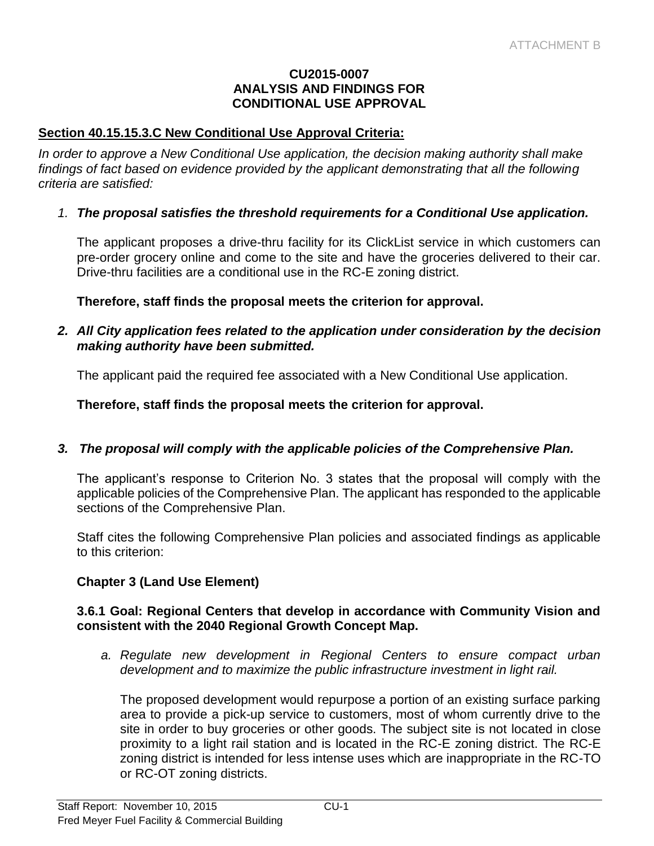#### **CU2015-0007 ANALYSIS AND FINDINGS FOR CONDITIONAL USE APPROVAL**

#### **Section 40.15.15.3.C New Conditional Use Approval Criteria:**

*In order to approve a New Conditional Use application, the decision making authority shall make*  findings of fact based on evidence provided by the applicant demonstrating that all the following *criteria are satisfied:*

#### *1. The proposal satisfies the threshold requirements for a Conditional Use application.*

The applicant proposes a drive-thru facility for its ClickList service in which customers can pre-order grocery online and come to the site and have the groceries delivered to their car. Drive-thru facilities are a conditional use in the RC-E zoning district.

**Therefore, staff finds the proposal meets the criterion for approval.**

#### *2. All City application fees related to the application under consideration by the decision making authority have been submitted.*

The applicant paid the required fee associated with a New Conditional Use application.

**Therefore, staff finds the proposal meets the criterion for approval.**

#### *3. The proposal will comply with the applicable policies of the Comprehensive Plan.*

The applicant's response to Criterion No. 3 states that the proposal will comply with the applicable policies of the Comprehensive Plan. The applicant has responded to the applicable sections of the Comprehensive Plan.

Staff cites the following Comprehensive Plan policies and associated findings as applicable to this criterion:

# **Chapter 3 (Land Use Element)**

#### **3.6.1 Goal: Regional Centers that develop in accordance with Community Vision and consistent with the 2040 Regional Growth Concept Map.**

*a. Regulate new development in Regional Centers to ensure compact urban development and to maximize the public infrastructure investment in light rail.*

The proposed development would repurpose a portion of an existing surface parking area to provide a pick-up service to customers, most of whom currently drive to the site in order to buy groceries or other goods. The subject site is not located in close proximity to a light rail station and is located in the RC-E zoning district. The RC-E zoning district is intended for less intense uses which are inappropriate in the RC-TO or RC-OT zoning districts.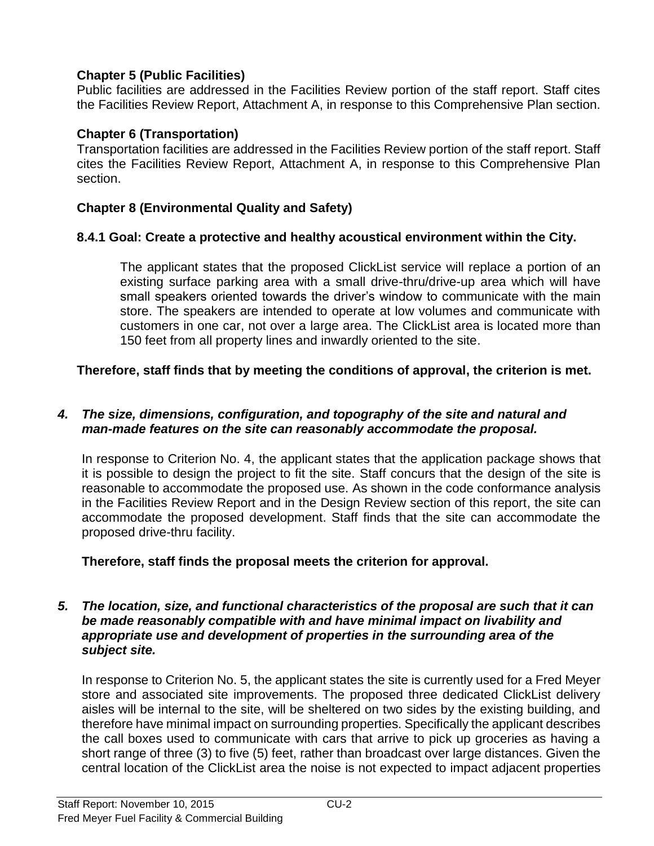# **Chapter 5 (Public Facilities)**

Public facilities are addressed in the Facilities Review portion of the staff report. Staff cites the Facilities Review Report, Attachment A, in response to this Comprehensive Plan section.

# **Chapter 6 (Transportation)**

Transportation facilities are addressed in the Facilities Review portion of the staff report. Staff cites the Facilities Review Report, Attachment A, in response to this Comprehensive Plan section.

# **Chapter 8 (Environmental Quality and Safety)**

# **8.4.1 Goal: Create a protective and healthy acoustical environment within the City.**

The applicant states that the proposed ClickList service will replace a portion of an existing surface parking area with a small drive-thru/drive-up area which will have small speakers oriented towards the driver's window to communicate with the main store. The speakers are intended to operate at low volumes and communicate with customers in one car, not over a large area. The ClickList area is located more than 150 feet from all property lines and inwardly oriented to the site.

# **Therefore, staff finds that by meeting the conditions of approval, the criterion is met.**

#### *4. The size, dimensions, configuration, and topography of the site and natural and man-made features on the site can reasonably accommodate the proposal.*

In response to Criterion No. 4, the applicant states that the application package shows that it is possible to design the project to fit the site. Staff concurs that the design of the site is reasonable to accommodate the proposed use. As shown in the code conformance analysis in the Facilities Review Report and in the Design Review section of this report, the site can accommodate the proposed development. Staff finds that the site can accommodate the proposed drive-thru facility.

# **Therefore, staff finds the proposal meets the criterion for approval.**

#### *5. The location, size, and functional characteristics of the proposal are such that it can be made reasonably compatible with and have minimal impact on livability and appropriate use and development of properties in the surrounding area of the subject site.*

In response to Criterion No. 5, the applicant states the site is currently used for a Fred Meyer store and associated site improvements. The proposed three dedicated ClickList delivery aisles will be internal to the site, will be sheltered on two sides by the existing building, and therefore have minimal impact on surrounding properties. Specifically the applicant describes the call boxes used to communicate with cars that arrive to pick up groceries as having a short range of three (3) to five (5) feet, rather than broadcast over large distances. Given the central location of the ClickList area the noise is not expected to impact adjacent properties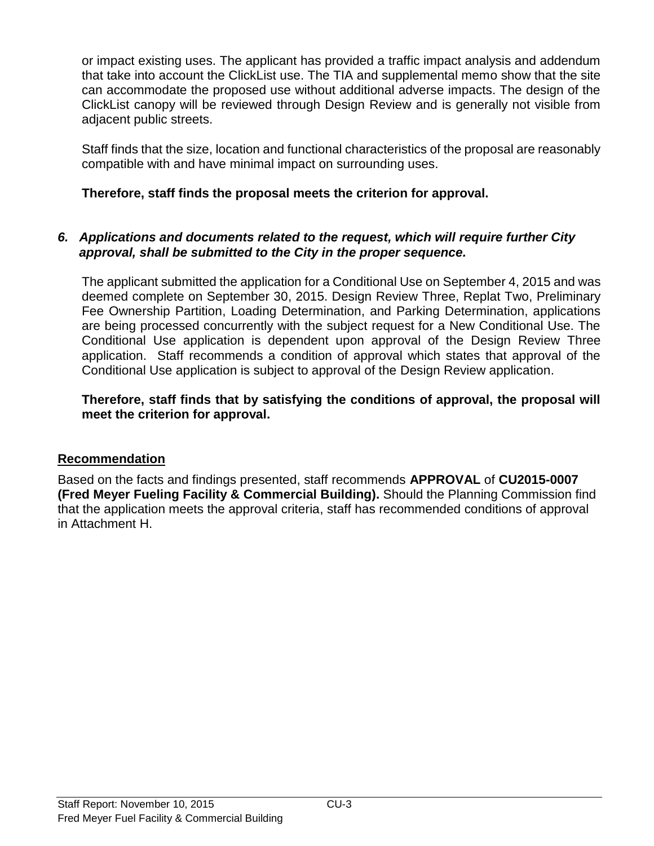or impact existing uses. The applicant has provided a traffic impact analysis and addendum that take into account the ClickList use. The TIA and supplemental memo show that the site can accommodate the proposed use without additional adverse impacts. The design of the ClickList canopy will be reviewed through Design Review and is generally not visible from adjacent public streets.

Staff finds that the size, location and functional characteristics of the proposal are reasonably compatible with and have minimal impact on surrounding uses.

# **Therefore, staff finds the proposal meets the criterion for approval.**

#### *6. Applications and documents related to the request, which will require further City approval, shall be submitted to the City in the proper sequence.*

The applicant submitted the application for a Conditional Use on September 4, 2015 and was deemed complete on September 30, 2015. Design Review Three, Replat Two, Preliminary Fee Ownership Partition, Loading Determination, and Parking Determination, applications are being processed concurrently with the subject request for a New Conditional Use. The Conditional Use application is dependent upon approval of the Design Review Three application. Staff recommends a condition of approval which states that approval of the Conditional Use application is subject to approval of the Design Review application.

# **Therefore, staff finds that by satisfying the conditions of approval, the proposal will meet the criterion for approval.**

# **Recommendation**

Based on the facts and findings presented, staff recommends **APPROVAL** of **CU2015-0007 (Fred Meyer Fueling Facility & Commercial Building).** Should the Planning Commission find that the application meets the approval criteria, staff has recommended conditions of approval in Attachment H.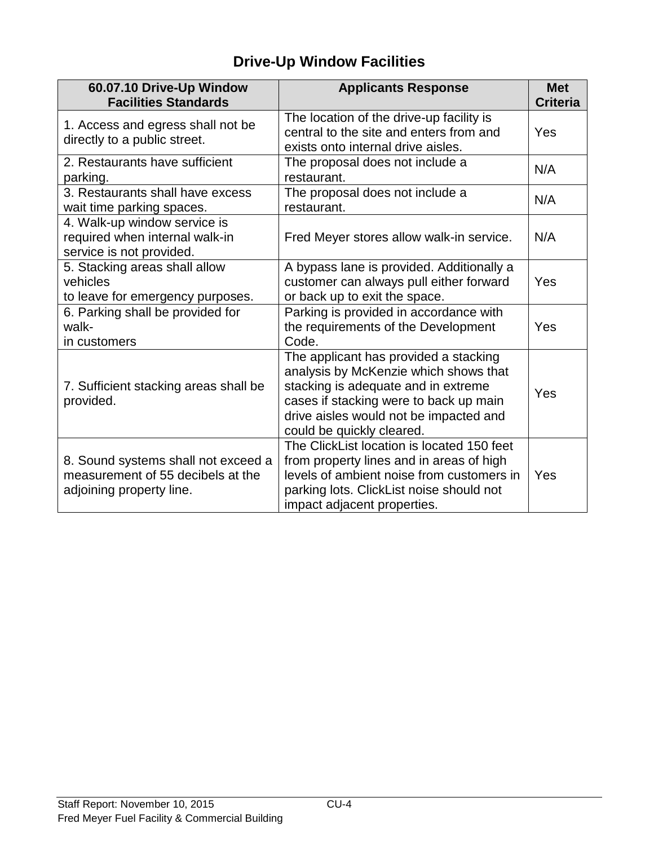# **Drive-Up Window Facilities**

| 60.07.10 Drive-Up Window<br><b>Facilities Standards</b>                                              | <b>Applicants Response</b>                                                                                                                                                                                                             | <b>Met</b><br><b>Criteria</b> |
|------------------------------------------------------------------------------------------------------|----------------------------------------------------------------------------------------------------------------------------------------------------------------------------------------------------------------------------------------|-------------------------------|
| 1. Access and egress shall not be<br>directly to a public street.                                    | The location of the drive-up facility is<br>central to the site and enters from and<br>exists onto internal drive aisles.                                                                                                              | Yes                           |
| 2. Restaurants have sufficient<br>parking.                                                           | The proposal does not include a<br>restaurant.                                                                                                                                                                                         | N/A                           |
| 3. Restaurants shall have excess<br>wait time parking spaces.                                        | The proposal does not include a<br>restaurant.                                                                                                                                                                                         | N/A                           |
| 4. Walk-up window service is<br>required when internal walk-in<br>service is not provided.           | Fred Meyer stores allow walk-in service.                                                                                                                                                                                               | N/A                           |
| 5. Stacking areas shall allow<br>vehicles<br>to leave for emergency purposes.                        | A bypass lane is provided. Additionally a<br>customer can always pull either forward<br>or back up to exit the space.                                                                                                                  | Yes                           |
| 6. Parking shall be provided for<br>walk-<br>in customers                                            | Parking is provided in accordance with<br>the requirements of the Development<br>Code.                                                                                                                                                 | Yes                           |
| 7. Sufficient stacking areas shall be<br>provided.                                                   | The applicant has provided a stacking<br>analysis by McKenzie which shows that<br>stacking is adequate and in extreme<br>cases if stacking were to back up main<br>drive aisles would not be impacted and<br>could be quickly cleared. | Yes                           |
| 8. Sound systems shall not exceed a<br>measurement of 55 decibels at the<br>adjoining property line. | The ClickList location is located 150 feet<br>from property lines and in areas of high<br>levels of ambient noise from customers in<br>parking lots. ClickList noise should not<br>impact adjacent properties.                         | Yes                           |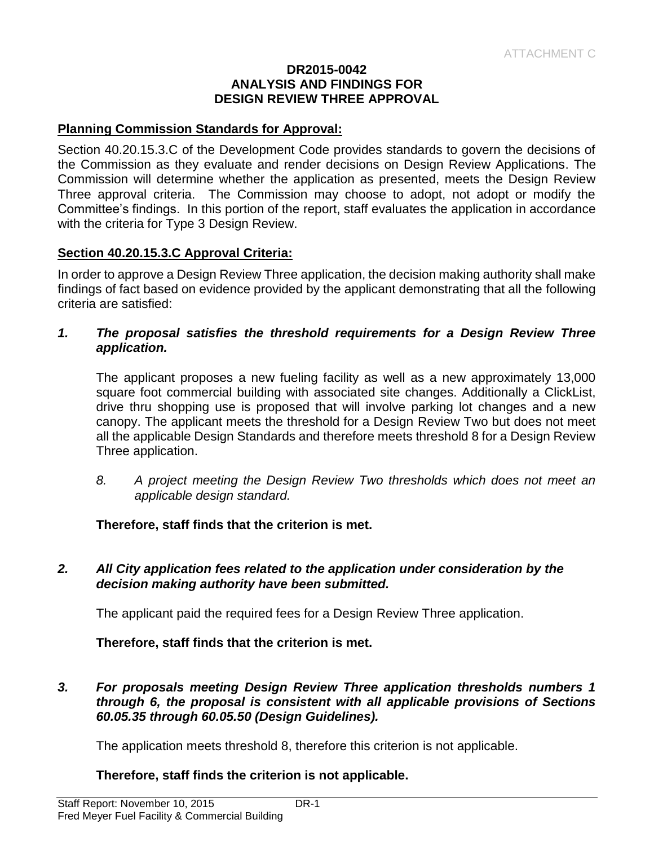#### **DR2015-0042 ANALYSIS AND FINDINGS FOR DESIGN REVIEW THREE APPROVAL**

#### **Planning Commission Standards for Approval:**

Section 40.20.15.3.C of the Development Code provides standards to govern the decisions of the Commission as they evaluate and render decisions on Design Review Applications. The Commission will determine whether the application as presented, meets the Design Review Three approval criteria. The Commission may choose to adopt, not adopt or modify the Committee's findings. In this portion of the report, staff evaluates the application in accordance with the criteria for Type 3 Design Review.

#### **Section 40.20.15.3.C Approval Criteria:**

In order to approve a Design Review Three application, the decision making authority shall make findings of fact based on evidence provided by the applicant demonstrating that all the following criteria are satisfied:

#### *1. The proposal satisfies the threshold requirements for a Design Review Three application.*

The applicant proposes a new fueling facility as well as a new approximately 13,000 square foot commercial building with associated site changes. Additionally a ClickList, drive thru shopping use is proposed that will involve parking lot changes and a new canopy. The applicant meets the threshold for a Design Review Two but does not meet all the applicable Design Standards and therefore meets threshold 8 for a Design Review Three application.

*8. A project meeting the Design Review Two thresholds which does not meet an applicable design standard.*

# **Therefore, staff finds that the criterion is met.**

#### *2. All City application fees related to the application under consideration by the decision making authority have been submitted.*

The applicant paid the required fees for a Design Review Three application.

**Therefore, staff finds that the criterion is met.**

*3. For proposals meeting Design Review Three application thresholds numbers 1 through 6, the proposal is consistent with all applicable provisions of Sections 60.05.35 through 60.05.50 (Design Guidelines).*

The application meets threshold 8, therefore this criterion is not applicable.

# **Therefore, staff finds the criterion is not applicable.**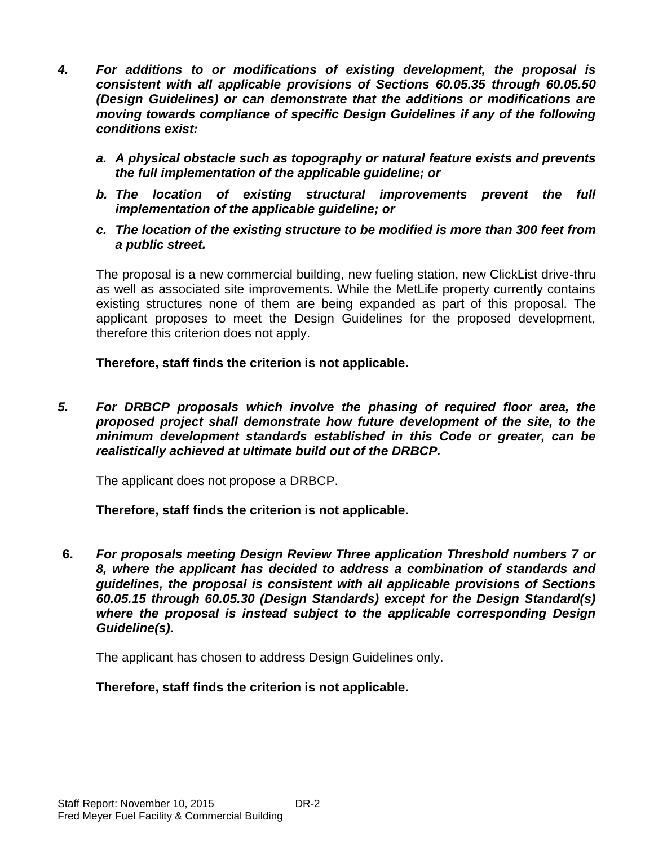- *4. For additions to or modifications of existing development, the proposal is consistent with all applicable provisions of Sections 60.05.35 through 60.05.50 (Design Guidelines) or can demonstrate that the additions or modifications are moving towards compliance of specific Design Guidelines if any of the following conditions exist:*
	- *a. A physical obstacle such as topography or natural feature exists and prevents the full implementation of the applicable guideline; or*
	- *b. The location of existing structural improvements prevent the full implementation of the applicable guideline; or*
	- *c. The location of the existing structure to be modified is more than 300 feet from a public street.*

The proposal is a new commercial building, new fueling station, new ClickList drive-thru as well as associated site improvements. While the MetLife property currently contains existing structures none of them are being expanded as part of this proposal. The applicant proposes to meet the Design Guidelines for the proposed development, therefore this criterion does not apply.

**Therefore, staff finds the criterion is not applicable.**

*5. For DRBCP proposals which involve the phasing of required floor area, the proposed project shall demonstrate how future development of the site, to the minimum development standards established in this Code or greater, can be realistically achieved at ultimate build out of the DRBCP.*

The applicant does not propose a DRBCP.

**Therefore, staff finds the criterion is not applicable.**

**6.** *For proposals meeting Design Review Three application Threshold numbers 7 or 8, where the applicant has decided to address a combination of standards and guidelines, the proposal is consistent with all applicable provisions of Sections 60.05.15 through 60.05.30 (Design Standards) except for the Design Standard(s) where the proposal is instead subject to the applicable corresponding Design Guideline(s).* 

The applicant has chosen to address Design Guidelines only.

# **Therefore, staff finds the criterion is not applicable.**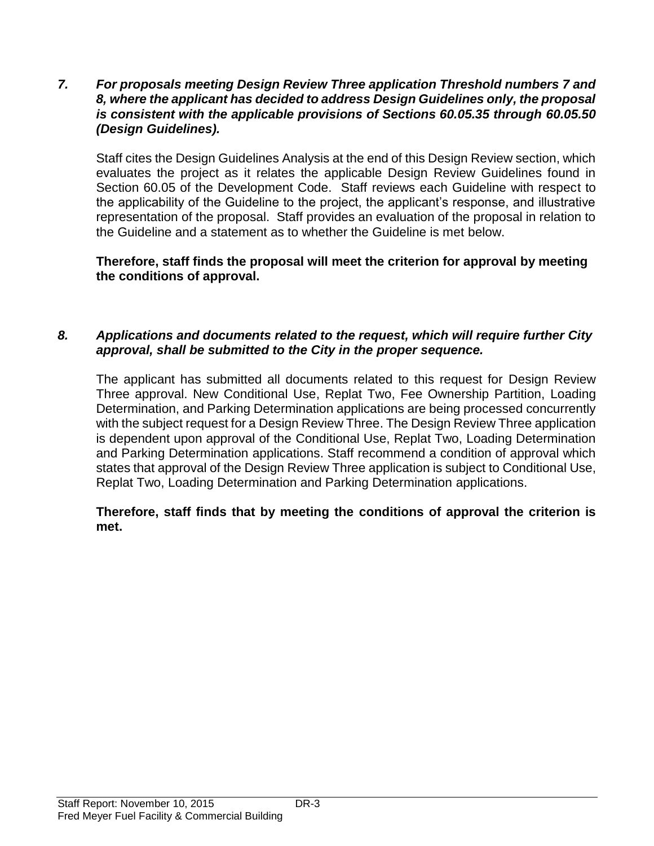#### *7. For proposals meeting Design Review Three application Threshold numbers 7 and 8, where the applicant has decided to address Design Guidelines only, the proposal is consistent with the applicable provisions of Sections 60.05.35 through 60.05.50 (Design Guidelines).*

Staff cites the Design Guidelines Analysis at the end of this Design Review section, which evaluates the project as it relates the applicable Design Review Guidelines found in Section 60.05 of the Development Code. Staff reviews each Guideline with respect to the applicability of the Guideline to the project, the applicant's response, and illustrative representation of the proposal. Staff provides an evaluation of the proposal in relation to the Guideline and a statement as to whether the Guideline is met below.

#### **Therefore, staff finds the proposal will meet the criterion for approval by meeting the conditions of approval.**

# *8. Applications and documents related to the request, which will require further City approval, shall be submitted to the City in the proper sequence.*

The applicant has submitted all documents related to this request for Design Review Three approval. New Conditional Use, Replat Two, Fee Ownership Partition, Loading Determination, and Parking Determination applications are being processed concurrently with the subject request for a Design Review Three. The Design Review Three application is dependent upon approval of the Conditional Use, Replat Two, Loading Determination and Parking Determination applications. Staff recommend a condition of approval which states that approval of the Design Review Three application is subject to Conditional Use, Replat Two, Loading Determination and Parking Determination applications.

# **Therefore, staff finds that by meeting the conditions of approval the criterion is met.**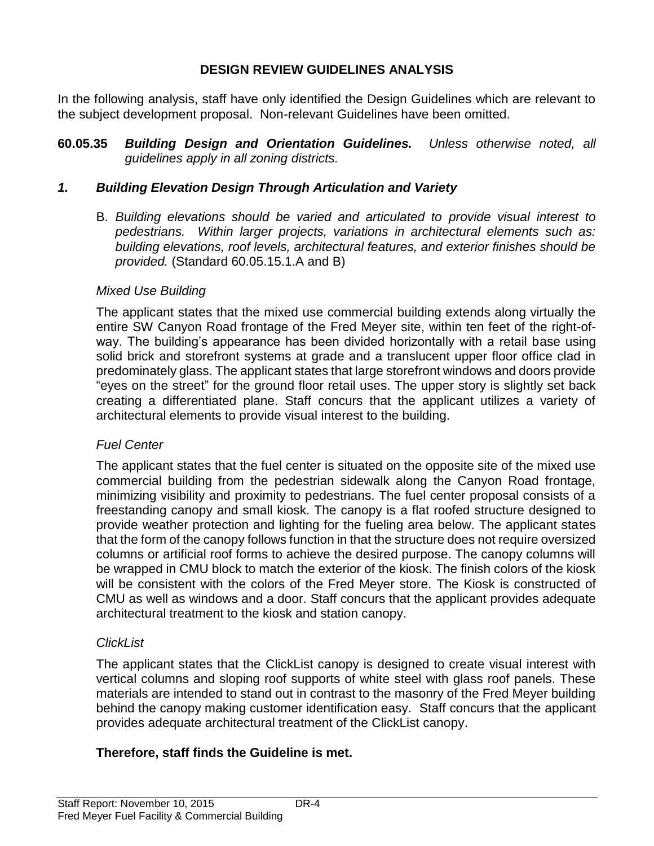# **DESIGN REVIEW GUIDELINES ANALYSIS**

In the following analysis, staff have only identified the Design Guidelines which are relevant to the subject development proposal. Non-relevant Guidelines have been omitted.

**60.05.35** *Building Design and Orientation Guidelines. Unless otherwise noted, all guidelines apply in all zoning districts.*

# *1. Building Elevation Design Through Articulation and Variety*

B. *Building elevations should be varied and articulated to provide visual interest to pedestrians. Within larger projects, variations in architectural elements such as: building elevations, roof levels, architectural features, and exterior finishes should be provided.* (Standard 60.05.15.1.A and B)

# *Mixed Use Building*

The applicant states that the mixed use commercial building extends along virtually the entire SW Canyon Road frontage of the Fred Meyer site, within ten feet of the right-ofway. The building's appearance has been divided horizontally with a retail base using solid brick and storefront systems at grade and a translucent upper floor office clad in predominately glass. The applicant states that large storefront windows and doors provide "eyes on the street" for the ground floor retail uses. The upper story is slightly set back creating a differentiated plane. Staff concurs that the applicant utilizes a variety of architectural elements to provide visual interest to the building.

# *Fuel Center*

The applicant states that the fuel center is situated on the opposite site of the mixed use commercial building from the pedestrian sidewalk along the Canyon Road frontage, minimizing visibility and proximity to pedestrians. The fuel center proposal consists of a freestanding canopy and small kiosk. The canopy is a flat roofed structure designed to provide weather protection and lighting for the fueling area below. The applicant states that the form of the canopy follows function in that the structure does not require oversized columns or artificial roof forms to achieve the desired purpose. The canopy columns will be wrapped in CMU block to match the exterior of the kiosk. The finish colors of the kiosk will be consistent with the colors of the Fred Meyer store. The Kiosk is constructed of CMU as well as windows and a door. Staff concurs that the applicant provides adequate architectural treatment to the kiosk and station canopy.

# *ClickList*

The applicant states that the ClickList canopy is designed to create visual interest with vertical columns and sloping roof supports of white steel with glass roof panels. These materials are intended to stand out in contrast to the masonry of the Fred Meyer building behind the canopy making customer identification easy. Staff concurs that the applicant provides adequate architectural treatment of the ClickList canopy.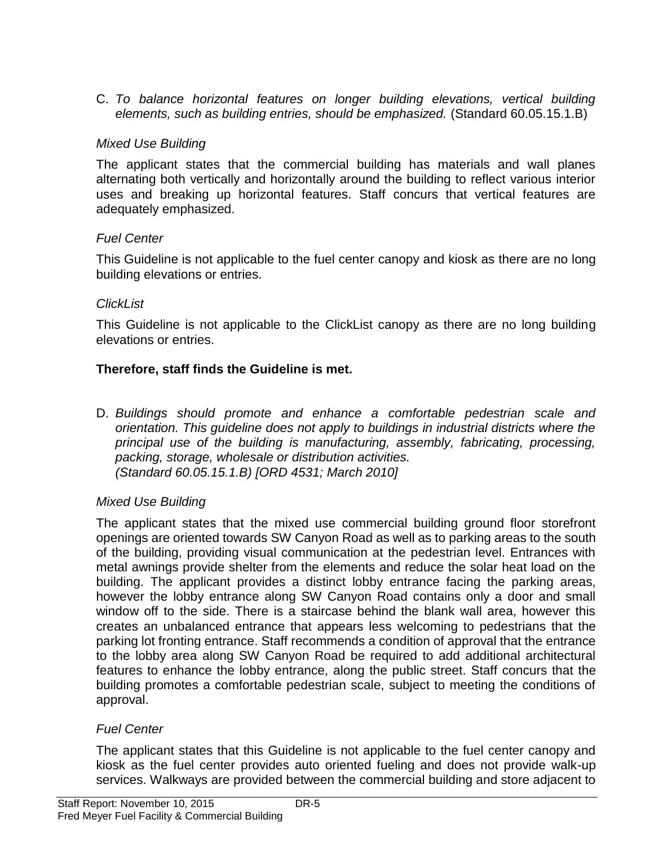C. *To balance horizontal features on longer building elevations, vertical building elements, such as building entries, should be emphasized.* (Standard 60.05.15.1.B)

# *Mixed Use Building*

The applicant states that the commercial building has materials and wall planes alternating both vertically and horizontally around the building to reflect various interior uses and breaking up horizontal features. Staff concurs that vertical features are adequately emphasized.

# *Fuel Center*

This Guideline is not applicable to the fuel center canopy and kiosk as there are no long building elevations or entries.

# *ClickList*

This Guideline is not applicable to the ClickList canopy as there are no long building elevations or entries.

# **Therefore, staff finds the Guideline is met.**

D. *Buildings should promote and enhance a comfortable pedestrian scale and orientation. This guideline does not apply to buildings in industrial districts where the principal use of the building is manufacturing, assembly, fabricating, processing, packing, storage, wholesale or distribution activities. (Standard 60.05.15.1.B) [ORD 4531; March 2010]*

# *Mixed Use Building*

The applicant states that the mixed use commercial building ground floor storefront openings are oriented towards SW Canyon Road as well as to parking areas to the south of the building, providing visual communication at the pedestrian level. Entrances with metal awnings provide shelter from the elements and reduce the solar heat load on the building. The applicant provides a distinct lobby entrance facing the parking areas, however the lobby entrance along SW Canyon Road contains only a door and small window off to the side. There is a staircase behind the blank wall area, however this creates an unbalanced entrance that appears less welcoming to pedestrians that the parking lot fronting entrance. Staff recommends a condition of approval that the entrance to the lobby area along SW Canyon Road be required to add additional architectural features to enhance the lobby entrance, along the public street. Staff concurs that the building promotes a comfortable pedestrian scale, subject to meeting the conditions of approval.

# *Fuel Center*

The applicant states that this Guideline is not applicable to the fuel center canopy and kiosk as the fuel center provides auto oriented fueling and does not provide walk-up services. Walkways are provided between the commercial building and store adjacent to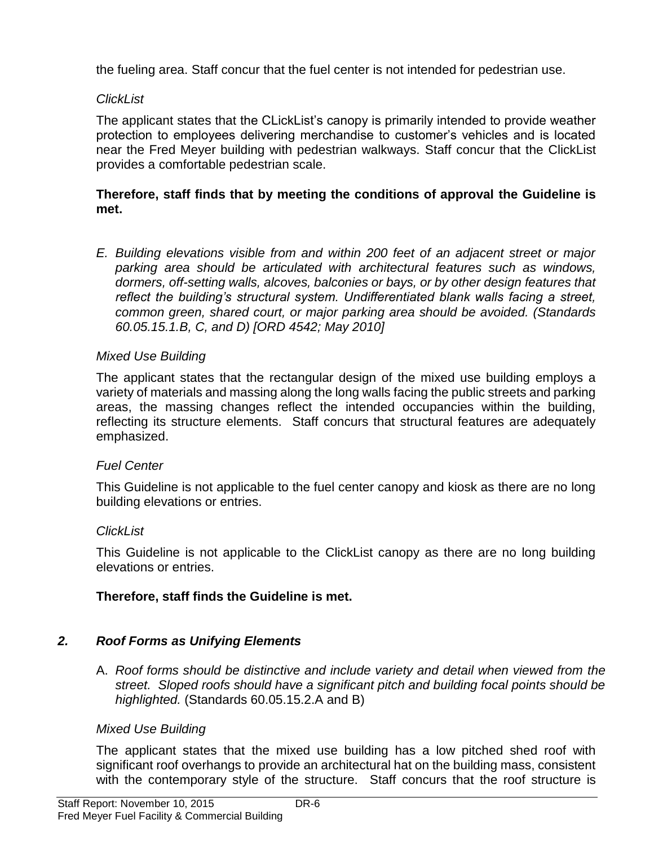the fueling area. Staff concur that the fuel center is not intended for pedestrian use.

# *ClickList*

The applicant states that the CLickList's canopy is primarily intended to provide weather protection to employees delivering merchandise to customer's vehicles and is located near the Fred Meyer building with pedestrian walkways. Staff concur that the ClickList provides a comfortable pedestrian scale.

# **Therefore, staff finds that by meeting the conditions of approval the Guideline is met.**

*E. Building elevations visible from and within 200 feet of an adjacent street or major parking area should be articulated with architectural features such as windows, dormers, off-setting walls, alcoves, balconies or bays, or by other design features that reflect the building's structural system. Undifferentiated blank walls facing a street, common green, shared court, or major parking area should be avoided. (Standards 60.05.15.1.B, C, and D) [ORD 4542; May 2010]*

# *Mixed Use Building*

The applicant states that the rectangular design of the mixed use building employs a variety of materials and massing along the long walls facing the public streets and parking areas, the massing changes reflect the intended occupancies within the building, reflecting its structure elements. Staff concurs that structural features are adequately emphasized.

# *Fuel Center*

This Guideline is not applicable to the fuel center canopy and kiosk as there are no long building elevations or entries.

# *ClickList*

This Guideline is not applicable to the ClickList canopy as there are no long building elevations or entries.

# **Therefore, staff finds the Guideline is met.**

# *2. Roof Forms as Unifying Elements*

A. *Roof forms should be distinctive and include variety and detail when viewed from the street. Sloped roofs should have a significant pitch and building focal points should be highlighted.* (Standards 60.05.15.2.A and B)

# *Mixed Use Building*

The applicant states that the mixed use building has a low pitched shed roof with significant roof overhangs to provide an architectural hat on the building mass, consistent with the contemporary style of the structure. Staff concurs that the roof structure is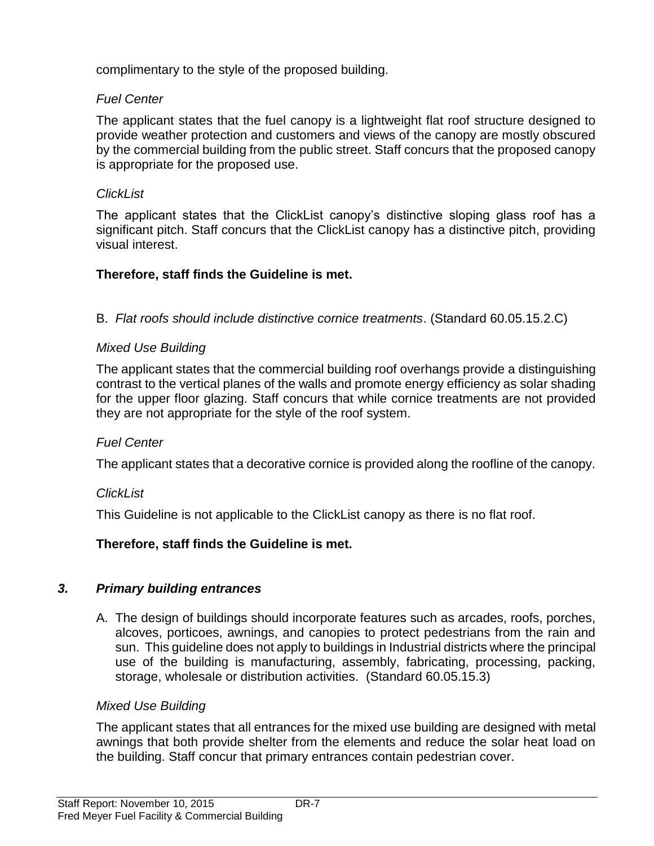complimentary to the style of the proposed building.

# *Fuel Center*

The applicant states that the fuel canopy is a lightweight flat roof structure designed to provide weather protection and customers and views of the canopy are mostly obscured by the commercial building from the public street. Staff concurs that the proposed canopy is appropriate for the proposed use.

# *ClickList*

The applicant states that the ClickList canopy's distinctive sloping glass roof has a significant pitch. Staff concurs that the ClickList canopy has a distinctive pitch, providing visual interest.

# **Therefore, staff finds the Guideline is met.**

B. *Flat roofs should include distinctive cornice treatments*. (Standard 60.05.15.2.C)

# *Mixed Use Building*

The applicant states that the commercial building roof overhangs provide a distinguishing contrast to the vertical planes of the walls and promote energy efficiency as solar shading for the upper floor glazing. Staff concurs that while cornice treatments are not provided they are not appropriate for the style of the roof system.

# *Fuel Center*

The applicant states that a decorative cornice is provided along the roofline of the canopy.

# *ClickList*

This Guideline is not applicable to the ClickList canopy as there is no flat roof.

# **Therefore, staff finds the Guideline is met.**

# *3. Primary building entrances*

A. The design of buildings should incorporate features such as arcades, roofs, porches, alcoves, porticoes, awnings, and canopies to protect pedestrians from the rain and sun. This guideline does not apply to buildings in Industrial districts where the principal use of the building is manufacturing, assembly, fabricating, processing, packing, storage, wholesale or distribution activities. (Standard 60.05.15.3)

# *Mixed Use Building*

The applicant states that all entrances for the mixed use building are designed with metal awnings that both provide shelter from the elements and reduce the solar heat load on the building. Staff concur that primary entrances contain pedestrian cover.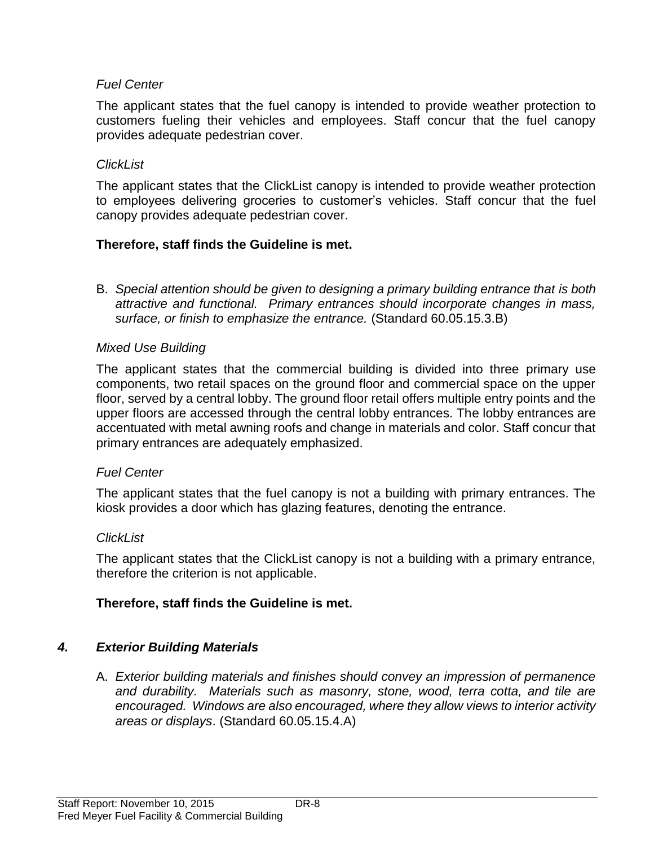# *Fuel Center*

The applicant states that the fuel canopy is intended to provide weather protection to customers fueling their vehicles and employees. Staff concur that the fuel canopy provides adequate pedestrian cover.

# *ClickList*

The applicant states that the ClickList canopy is intended to provide weather protection to employees delivering groceries to customer's vehicles. Staff concur that the fuel canopy provides adequate pedestrian cover.

# **Therefore, staff finds the Guideline is met.**

B. *Special attention should be given to designing a primary building entrance that is both attractive and functional. Primary entrances should incorporate changes in mass, surface, or finish to emphasize the entrance.* (Standard 60.05.15.3.B)

# *Mixed Use Building*

The applicant states that the commercial building is divided into three primary use components, two retail spaces on the ground floor and commercial space on the upper floor, served by a central lobby. The ground floor retail offers multiple entry points and the upper floors are accessed through the central lobby entrances. The lobby entrances are accentuated with metal awning roofs and change in materials and color. Staff concur that primary entrances are adequately emphasized.

# *Fuel Center*

The applicant states that the fuel canopy is not a building with primary entrances. The kiosk provides a door which has glazing features, denoting the entrance.

# *ClickList*

The applicant states that the ClickList canopy is not a building with a primary entrance, therefore the criterion is not applicable.

# **Therefore, staff finds the Guideline is met.**

# *4. Exterior Building Materials*

A. *Exterior building materials and finishes should convey an impression of permanence and durability. Materials such as masonry, stone, wood, terra cotta, and tile are encouraged. Windows are also encouraged, where they allow views to interior activity areas or displays*. (Standard 60.05.15.4.A)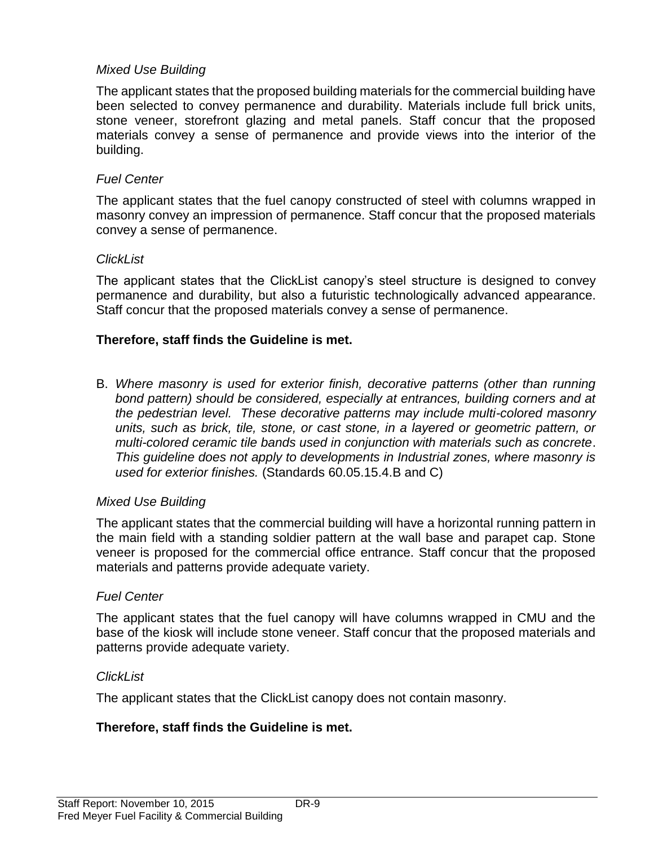# *Mixed Use Building*

The applicant states that the proposed building materials for the commercial building have been selected to convey permanence and durability. Materials include full brick units, stone veneer, storefront glazing and metal panels. Staff concur that the proposed materials convey a sense of permanence and provide views into the interior of the building.

#### *Fuel Center*

The applicant states that the fuel canopy constructed of steel with columns wrapped in masonry convey an impression of permanence. Staff concur that the proposed materials convey a sense of permanence.

#### *ClickList*

The applicant states that the ClickList canopy's steel structure is designed to convey permanence and durability, but also a futuristic technologically advanced appearance. Staff concur that the proposed materials convey a sense of permanence.

#### **Therefore, staff finds the Guideline is met.**

B. *Where masonry is used for exterior finish, decorative patterns (other than running bond pattern) should be considered, especially at entrances, building corners and at the pedestrian level. These decorative patterns may include multi-colored masonry units, such as brick, tile, stone, or cast stone, in a layered or geometric pattern, or multi-colored ceramic tile bands used in conjunction with materials such as concrete*. *This guideline does not apply to developments in Industrial zones, where masonry is used for exterior finishes.* (Standards 60.05.15.4.B and C)

#### *Mixed Use Building*

The applicant states that the commercial building will have a horizontal running pattern in the main field with a standing soldier pattern at the wall base and parapet cap. Stone veneer is proposed for the commercial office entrance. Staff concur that the proposed materials and patterns provide adequate variety.

#### *Fuel Center*

The applicant states that the fuel canopy will have columns wrapped in CMU and the base of the kiosk will include stone veneer. Staff concur that the proposed materials and patterns provide adequate variety.

#### *ClickList*

The applicant states that the ClickList canopy does not contain masonry.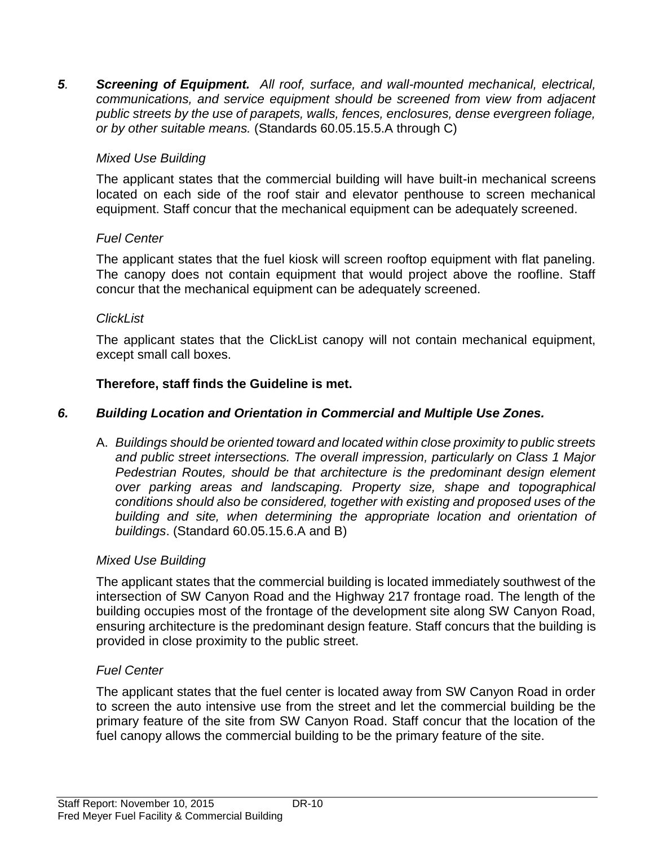*5. Screening of Equipment. All roof, surface, and wall-mounted mechanical, electrical, communications, and service equipment should be screened from view from adjacent public streets by the use of parapets, walls, fences, enclosures, dense evergreen foliage, or by other suitable means.* (Standards 60.05.15.5.A through C)

# *Mixed Use Building*

The applicant states that the commercial building will have built-in mechanical screens located on each side of the roof stair and elevator penthouse to screen mechanical equipment. Staff concur that the mechanical equipment can be adequately screened.

# *Fuel Center*

The applicant states that the fuel kiosk will screen rooftop equipment with flat paneling. The canopy does not contain equipment that would project above the roofline. Staff concur that the mechanical equipment can be adequately screened.

# *ClickList*

The applicant states that the ClickList canopy will not contain mechanical equipment, except small call boxes.

# **Therefore, staff finds the Guideline is met.**

# *6. Building Location and Orientation in Commercial and Multiple Use Zones.*

A. *Buildings should be oriented toward and located within close proximity to public streets and public street intersections. The overall impression, particularly on Class 1 Major Pedestrian Routes, should be that architecture is the predominant design element over parking areas and landscaping. Property size, shape and topographical conditions should also be considered, together with existing and proposed uses of the building and site, when determining the appropriate location and orientation of buildings*. (Standard 60.05.15.6.A and B)

# *Mixed Use Building*

The applicant states that the commercial building is located immediately southwest of the intersection of SW Canyon Road and the Highway 217 frontage road. The length of the building occupies most of the frontage of the development site along SW Canyon Road, ensuring architecture is the predominant design feature. Staff concurs that the building is provided in close proximity to the public street.

# *Fuel Center*

The applicant states that the fuel center is located away from SW Canyon Road in order to screen the auto intensive use from the street and let the commercial building be the primary feature of the site from SW Canyon Road. Staff concur that the location of the fuel canopy allows the commercial building to be the primary feature of the site.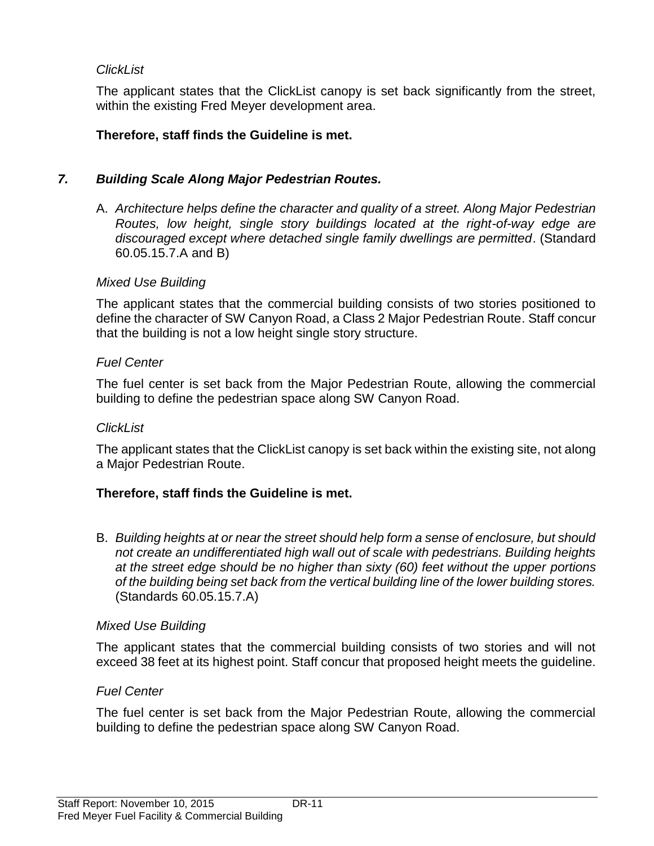# *ClickList*

The applicant states that the ClickList canopy is set back significantly from the street, within the existing Fred Meyer development area.

# **Therefore, staff finds the Guideline is met.**

# *7. Building Scale Along Major Pedestrian Routes.*

A. *Architecture helps define the character and quality of a street. Along Major Pedestrian Routes, low height, single story buildings located at the right-of-way edge are discouraged except where detached single family dwellings are permitted*. (Standard 60.05.15.7.A and B)

#### *Mixed Use Building*

The applicant states that the commercial building consists of two stories positioned to define the character of SW Canyon Road, a Class 2 Major Pedestrian Route. Staff concur that the building is not a low height single story structure.

#### *Fuel Center*

The fuel center is set back from the Major Pedestrian Route, allowing the commercial building to define the pedestrian space along SW Canyon Road.

#### *ClickList*

The applicant states that the ClickList canopy is set back within the existing site, not along a Major Pedestrian Route.

# **Therefore, staff finds the Guideline is met.**

B. *Building heights at or near the street should help form a sense of enclosure, but should not create an undifferentiated high wall out of scale with pedestrians. Building heights at the street edge should be no higher than sixty (60) feet without the upper portions of the building being set back from the vertical building line of the lower building stores.*  (Standards 60.05.15.7.A)

# *Mixed Use Building*

The applicant states that the commercial building consists of two stories and will not exceed 38 feet at its highest point. Staff concur that proposed height meets the guideline.

# *Fuel Center*

The fuel center is set back from the Major Pedestrian Route, allowing the commercial building to define the pedestrian space along SW Canyon Road.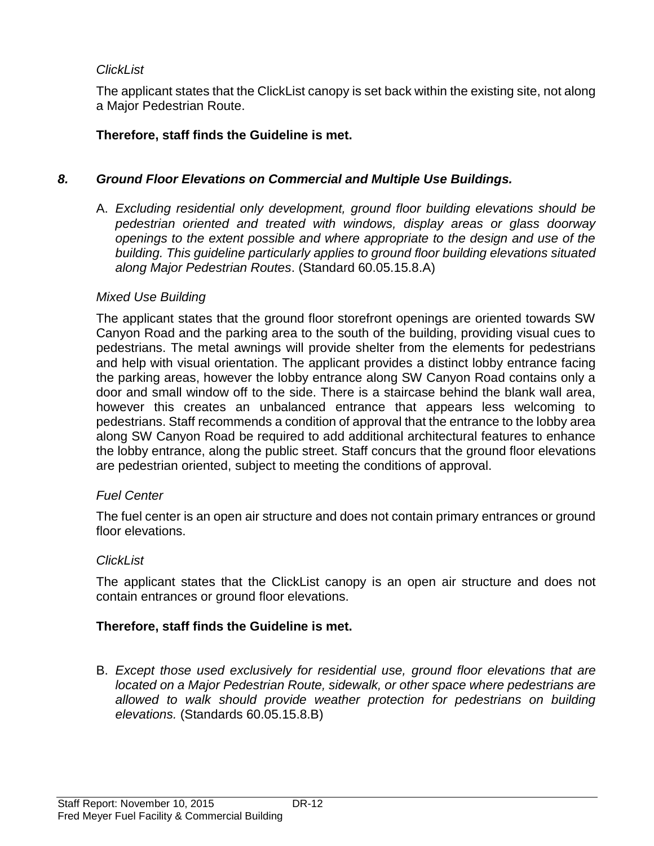# *ClickList*

The applicant states that the ClickList canopy is set back within the existing site, not along a Major Pedestrian Route.

# **Therefore, staff finds the Guideline is met.**

# *8. Ground Floor Elevations on Commercial and Multiple Use Buildings.*

A. *Excluding residential only development, ground floor building elevations should be pedestrian oriented and treated with windows, display areas or glass doorway openings to the extent possible and where appropriate to the design and use of the building. This guideline particularly applies to ground floor building elevations situated along Major Pedestrian Routes*. (Standard 60.05.15.8.A)

#### *Mixed Use Building*

The applicant states that the ground floor storefront openings are oriented towards SW Canyon Road and the parking area to the south of the building, providing visual cues to pedestrians. The metal awnings will provide shelter from the elements for pedestrians and help with visual orientation. The applicant provides a distinct lobby entrance facing the parking areas, however the lobby entrance along SW Canyon Road contains only a door and small window off to the side. There is a staircase behind the blank wall area, however this creates an unbalanced entrance that appears less welcoming to pedestrians. Staff recommends a condition of approval that the entrance to the lobby area along SW Canyon Road be required to add additional architectural features to enhance the lobby entrance, along the public street. Staff concurs that the ground floor elevations are pedestrian oriented, subject to meeting the conditions of approval.

# *Fuel Center*

The fuel center is an open air structure and does not contain primary entrances or ground floor elevations.

# *ClickList*

The applicant states that the ClickList canopy is an open air structure and does not contain entrances or ground floor elevations.

# **Therefore, staff finds the Guideline is met.**

B. *Except those used exclusively for residential use, ground floor elevations that are located on a Major Pedestrian Route, sidewalk, or other space where pedestrians are*  allowed to walk should provide weather protection for pedestrians on building *elevations.* (Standards 60.05.15.8.B)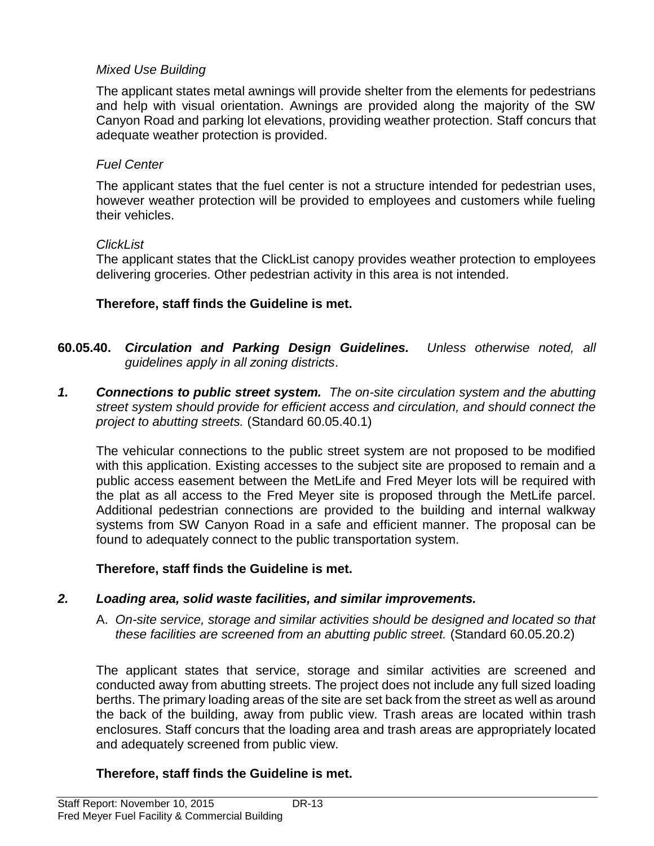# *Mixed Use Building*

The applicant states metal awnings will provide shelter from the elements for pedestrians and help with visual orientation. Awnings are provided along the majority of the SW Canyon Road and parking lot elevations, providing weather protection. Staff concurs that adequate weather protection is provided.

#### *Fuel Center*

The applicant states that the fuel center is not a structure intended for pedestrian uses, however weather protection will be provided to employees and customers while fueling their vehicles.

#### *ClickList*

The applicant states that the ClickList canopy provides weather protection to employees delivering groceries. Other pedestrian activity in this area is not intended.

# **Therefore, staff finds the Guideline is met.**

- **60.05.40.** *Circulation and Parking Design Guidelines. Unless otherwise noted, all guidelines apply in all zoning districts*.
- *1. Connections to public street system. The on-site circulation system and the abutting street system should provide for efficient access and circulation, and should connect the project to abutting streets.* (Standard 60.05.40.1)

The vehicular connections to the public street system are not proposed to be modified with this application. Existing accesses to the subject site are proposed to remain and a public access easement between the MetLife and Fred Meyer lots will be required with the plat as all access to the Fred Meyer site is proposed through the MetLife parcel. Additional pedestrian connections are provided to the building and internal walkway systems from SW Canyon Road in a safe and efficient manner. The proposal can be found to adequately connect to the public transportation system.

# **Therefore, staff finds the Guideline is met.**

# *2. Loading area, solid waste facilities, and similar improvements.*

A. *On-site service, storage and similar activities should be designed and located so that these facilities are screened from an abutting public street.* (Standard 60.05.20.2)

The applicant states that service, storage and similar activities are screened and conducted away from abutting streets. The project does not include any full sized loading berths. The primary loading areas of the site are set back from the street as well as around the back of the building, away from public view. Trash areas are located within trash enclosures. Staff concurs that the loading area and trash areas are appropriately located and adequately screened from public view.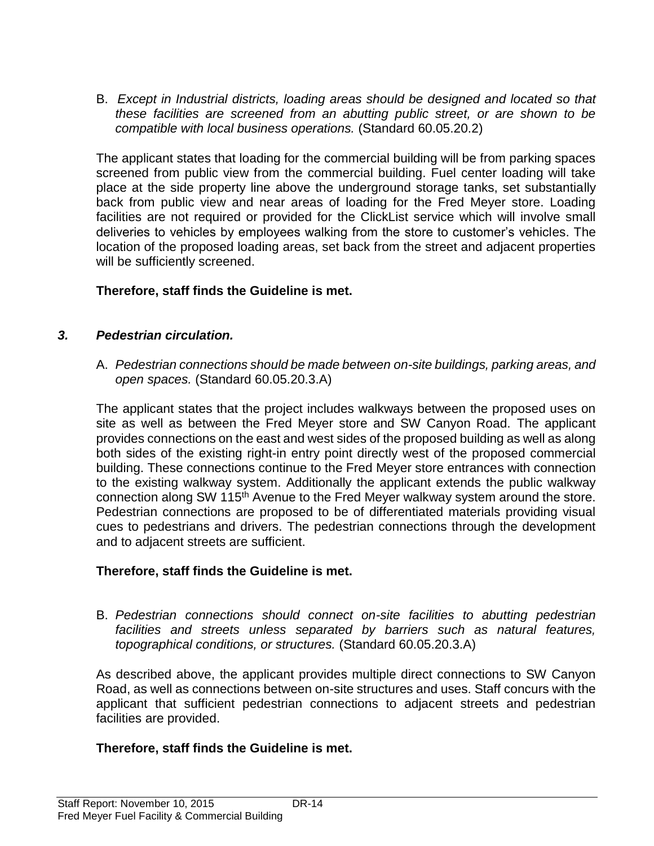B. *Except in Industrial districts, loading areas should be designed and located so that these facilities are screened from an abutting public street, or are shown to be compatible with local business operations.* (Standard 60.05.20.2)

The applicant states that loading for the commercial building will be from parking spaces screened from public view from the commercial building. Fuel center loading will take place at the side property line above the underground storage tanks, set substantially back from public view and near areas of loading for the Fred Meyer store. Loading facilities are not required or provided for the ClickList service which will involve small deliveries to vehicles by employees walking from the store to customer's vehicles. The location of the proposed loading areas, set back from the street and adjacent properties will be sufficiently screened.

# **Therefore, staff finds the Guideline is met.**

# *3. Pedestrian circulation.*

A. *Pedestrian connections should be made between on-site buildings, parking areas, and open spaces.* (Standard 60.05.20.3.A)

The applicant states that the project includes walkways between the proposed uses on site as well as between the Fred Meyer store and SW Canyon Road. The applicant provides connections on the east and west sides of the proposed building as well as along both sides of the existing right-in entry point directly west of the proposed commercial building. These connections continue to the Fred Meyer store entrances with connection to the existing walkway system. Additionally the applicant extends the public walkway connection along SW 115<sup>th</sup> Avenue to the Fred Meyer walkway system around the store. Pedestrian connections are proposed to be of differentiated materials providing visual cues to pedestrians and drivers. The pedestrian connections through the development and to adjacent streets are sufficient.

# **Therefore, staff finds the Guideline is met.**

B. *Pedestrian connections should connect on-site facilities to abutting pedestrian facilities and streets unless separated by barriers such as natural features, topographical conditions, or structures.* (Standard 60.05.20.3.A)

As described above, the applicant provides multiple direct connections to SW Canyon Road, as well as connections between on-site structures and uses. Staff concurs with the applicant that sufficient pedestrian connections to adjacent streets and pedestrian facilities are provided.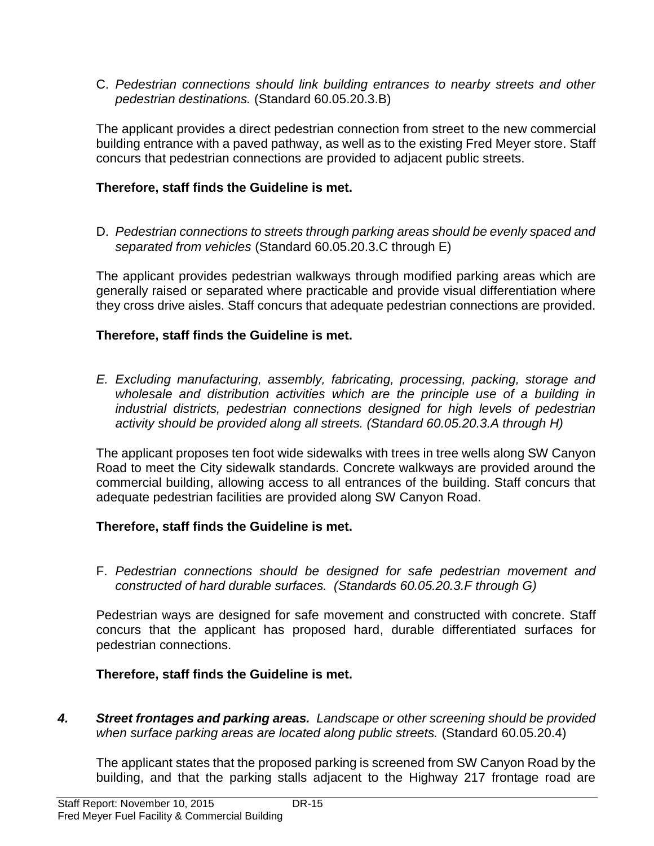C. *Pedestrian connections should link building entrances to nearby streets and other pedestrian destinations.* (Standard 60.05.20.3.B)

The applicant provides a direct pedestrian connection from street to the new commercial building entrance with a paved pathway, as well as to the existing Fred Meyer store. Staff concurs that pedestrian connections are provided to adjacent public streets.

# **Therefore, staff finds the Guideline is met.**

D. *Pedestrian connections to streets through parking areas should be evenly spaced and separated from vehicles* (Standard 60.05.20.3.C through E)

The applicant provides pedestrian walkways through modified parking areas which are generally raised or separated where practicable and provide visual differentiation where they cross drive aisles. Staff concurs that adequate pedestrian connections are provided.

# **Therefore, staff finds the Guideline is met.**

*E. Excluding manufacturing, assembly, fabricating, processing, packing, storage and wholesale and distribution activities which are the principle use of a building in industrial districts, pedestrian connections designed for high levels of pedestrian activity should be provided along all streets. (Standard 60.05.20.3.A through H)*

The applicant proposes ten foot wide sidewalks with trees in tree wells along SW Canyon Road to meet the City sidewalk standards. Concrete walkways are provided around the commercial building, allowing access to all entrances of the building. Staff concurs that adequate pedestrian facilities are provided along SW Canyon Road.

# **Therefore, staff finds the Guideline is met.**

F. *Pedestrian connections should be designed for safe pedestrian movement and constructed of hard durable surfaces. (Standards 60.05.20.3.F through G)*

Pedestrian ways are designed for safe movement and constructed with concrete. Staff concurs that the applicant has proposed hard, durable differentiated surfaces for pedestrian connections.

# **Therefore, staff finds the Guideline is met.**

*4. Street frontages and parking areas. Landscape or other screening should be provided when surface parking areas are located along public streets.* (Standard 60.05.20.4)

The applicant states that the proposed parking is screened from SW Canyon Road by the building, and that the parking stalls adjacent to the Highway 217 frontage road are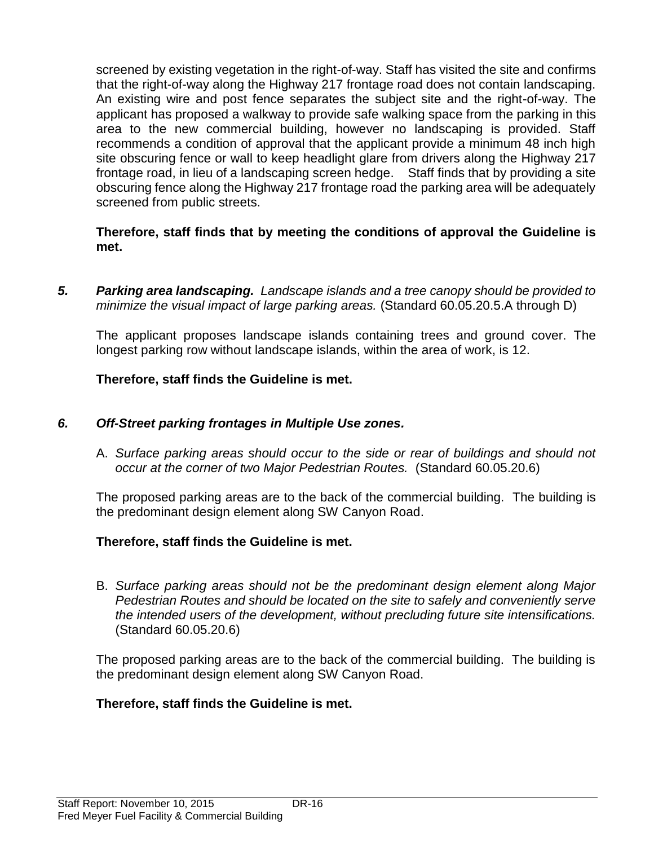screened by existing vegetation in the right-of-way. Staff has visited the site and confirms that the right-of-way along the Highway 217 frontage road does not contain landscaping. An existing wire and post fence separates the subject site and the right-of-way. The applicant has proposed a walkway to provide safe walking space from the parking in this area to the new commercial building, however no landscaping is provided. Staff recommends a condition of approval that the applicant provide a minimum 48 inch high site obscuring fence or wall to keep headlight glare from drivers along the Highway 217 frontage road, in lieu of a landscaping screen hedge. Staff finds that by providing a site obscuring fence along the Highway 217 frontage road the parking area will be adequately screened from public streets.

#### **Therefore, staff finds that by meeting the conditions of approval the Guideline is met.**

*5. Parking area landscaping. Landscape islands and a tree canopy should be provided to minimize the visual impact of large parking areas.* (Standard 60.05.20.5.A through D)

The applicant proposes landscape islands containing trees and ground cover. The longest parking row without landscape islands, within the area of work, is 12.

# **Therefore, staff finds the Guideline is met.**

# *6. Off-Street parking frontages in Multiple Use zones.*

A. *Surface parking areas should occur to the side or rear of buildings and should not occur at the corner of two Major Pedestrian Routes.* (Standard 60.05.20.6)

The proposed parking areas are to the back of the commercial building. The building is the predominant design element along SW Canyon Road.

# **Therefore, staff finds the Guideline is met.**

B. *Surface parking areas should not be the predominant design element along Major Pedestrian Routes and should be located on the site to safely and conveniently serve the intended users of the development, without precluding future site intensifications.*  (Standard 60.05.20.6)

The proposed parking areas are to the back of the commercial building. The building is the predominant design element along SW Canyon Road.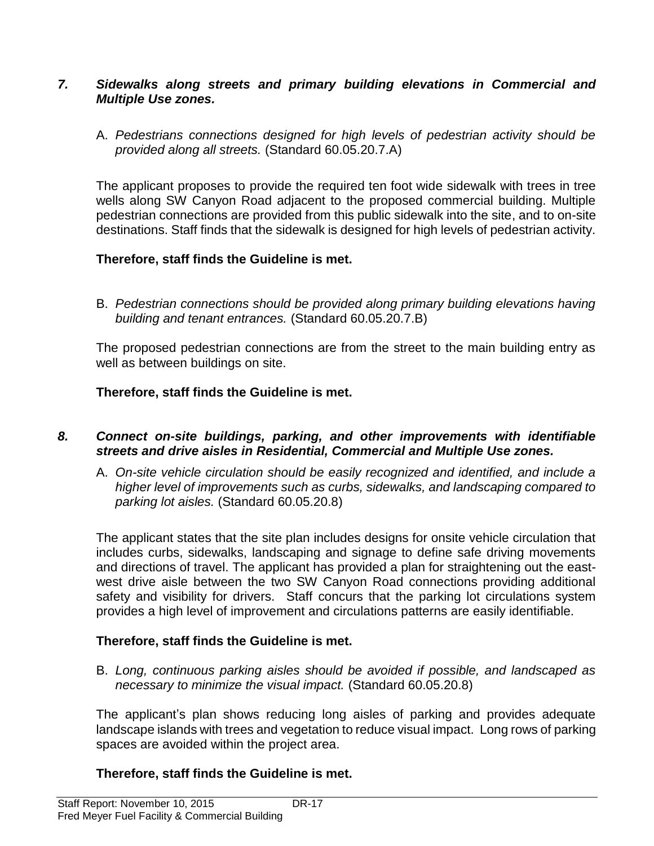#### *7. Sidewalks along streets and primary building elevations in Commercial and Multiple Use zones.*

A. *Pedestrians connections designed for high levels of pedestrian activity should be provided along all streets.* (Standard 60.05.20.7.A)

The applicant proposes to provide the required ten foot wide sidewalk with trees in tree wells along SW Canyon Road adjacent to the proposed commercial building. Multiple pedestrian connections are provided from this public sidewalk into the site, and to on-site destinations. Staff finds that the sidewalk is designed for high levels of pedestrian activity.

# **Therefore, staff finds the Guideline is met.**

B. *Pedestrian connections should be provided along primary building elevations having building and tenant entrances.* (Standard 60.05.20.7.B)

The proposed pedestrian connections are from the street to the main building entry as well as between buildings on site.

# **Therefore, staff finds the Guideline is met.**

#### *8. Connect on-site buildings, parking, and other improvements with identifiable streets and drive aisles in Residential, Commercial and Multiple Use zones.*

A. *On-site vehicle circulation should be easily recognized and identified, and include a higher level of improvements such as curbs, sidewalks, and landscaping compared to parking lot aisles.* (Standard 60.05.20.8)

The applicant states that the site plan includes designs for onsite vehicle circulation that includes curbs, sidewalks, landscaping and signage to define safe driving movements and directions of travel. The applicant has provided a plan for straightening out the eastwest drive aisle between the two SW Canyon Road connections providing additional safety and visibility for drivers. Staff concurs that the parking lot circulations system provides a high level of improvement and circulations patterns are easily identifiable.

#### **Therefore, staff finds the Guideline is met.**

B. *Long, continuous parking aisles should be avoided if possible, and landscaped as necessary to minimize the visual impact.* (Standard 60.05.20.8)

The applicant's plan shows reducing long aisles of parking and provides adequate landscape islands with trees and vegetation to reduce visual impact. Long rows of parking spaces are avoided within the project area.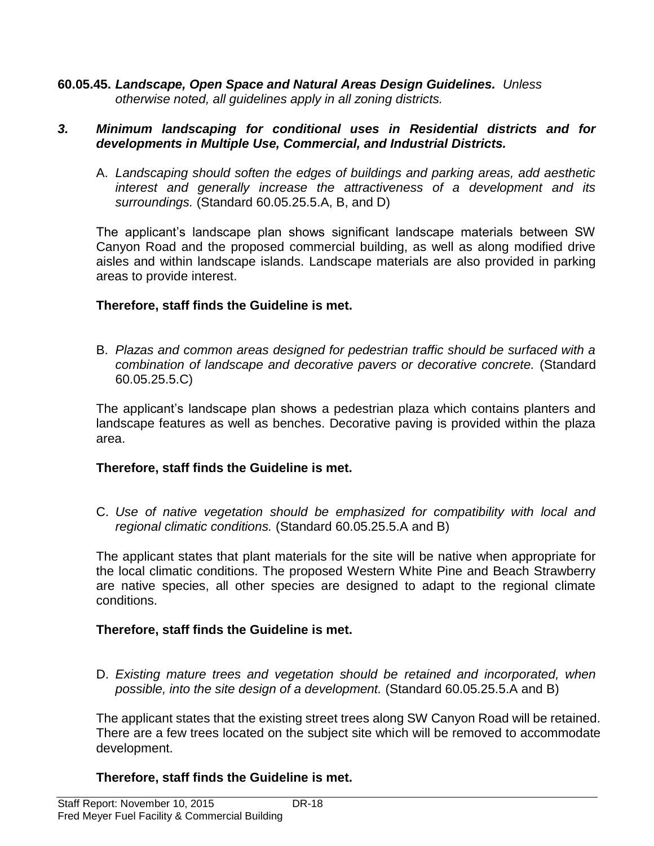**60.05.45.** *Landscape, Open Space and Natural Areas Design Guidelines. Unless otherwise noted, all guidelines apply in all zoning districts.*

#### *3. Minimum landscaping for conditional uses in Residential districts and for developments in Multiple Use, Commercial, and Industrial Districts.*

A. *Landscaping should soften the edges of buildings and parking areas, add aesthetic interest and generally increase the attractiveness of a development and its surroundings.* (Standard 60.05.25.5.A, B, and D)

The applicant's landscape plan shows significant landscape materials between SW Canyon Road and the proposed commercial building, as well as along modified drive aisles and within landscape islands. Landscape materials are also provided in parking areas to provide interest.

# **Therefore, staff finds the Guideline is met.**

B. *Plazas and common areas designed for pedestrian traffic should be surfaced with a combination of landscape and decorative pavers or decorative concrete.* (Standard 60.05.25.5.C)

The applicant's landscape plan shows a pedestrian plaza which contains planters and landscape features as well as benches. Decorative paving is provided within the plaza area.

# **Therefore, staff finds the Guideline is met.**

C. *Use of native vegetation should be emphasized for compatibility with local and regional climatic conditions.* (Standard 60.05.25.5.A and B)

The applicant states that plant materials for the site will be native when appropriate for the local climatic conditions. The proposed Western White Pine and Beach Strawberry are native species, all other species are designed to adapt to the regional climate conditions.

# **Therefore, staff finds the Guideline is met.**

D. Existing mature trees and vegetation should be retained and incorporated, when *possible, into the site design of a development.* (Standard 60.05.25.5.A and B)

The applicant states that the existing street trees along SW Canyon Road will be retained. There are a few trees located on the subject site which will be removed to accommodate development.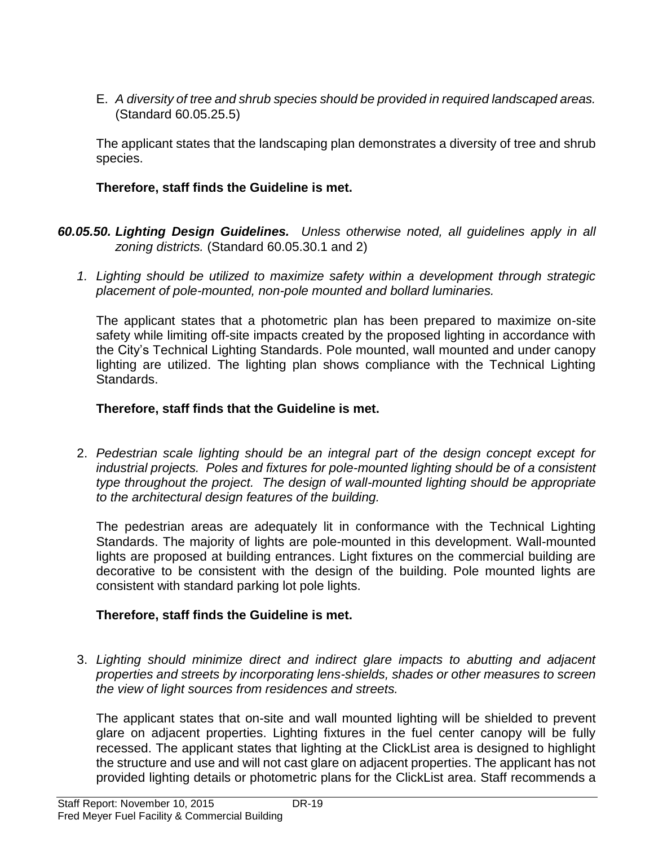E. *A diversity of tree and shrub species should be provided in required landscaped areas.* (Standard 60.05.25.5)

The applicant states that the landscaping plan demonstrates a diversity of tree and shrub species.

# **Therefore, staff finds the Guideline is met.**

- *60.05.50. Lighting Design Guidelines. Unless otherwise noted, all guidelines apply in all zoning districts.* (Standard 60.05.30.1 and 2)
	- *1. Lighting should be utilized to maximize safety within a development through strategic placement of pole-mounted, non-pole mounted and bollard luminaries.*

The applicant states that a photometric plan has been prepared to maximize on-site safety while limiting off-site impacts created by the proposed lighting in accordance with the City's Technical Lighting Standards. Pole mounted, wall mounted and under canopy lighting are utilized. The lighting plan shows compliance with the Technical Lighting Standards.

# **Therefore, staff finds that the Guideline is met.**

2. *Pedestrian scale lighting should be an integral part of the design concept except for industrial projects. Poles and fixtures for pole-mounted lighting should be of a consistent type throughout the project. The design of wall-mounted lighting should be appropriate to the architectural design features of the building.*

The pedestrian areas are adequately lit in conformance with the Technical Lighting Standards. The majority of lights are pole-mounted in this development. Wall-mounted lights are proposed at building entrances. Light fixtures on the commercial building are decorative to be consistent with the design of the building. Pole mounted lights are consistent with standard parking lot pole lights.

# **Therefore, staff finds the Guideline is met.**

3. *Lighting should minimize direct and indirect glare impacts to abutting and adjacent properties and streets by incorporating lens-shields, shades or other measures to screen the view of light sources from residences and streets.*

The applicant states that on-site and wall mounted lighting will be shielded to prevent glare on adjacent properties. Lighting fixtures in the fuel center canopy will be fully recessed. The applicant states that lighting at the ClickList area is designed to highlight the structure and use and will not cast glare on adjacent properties. The applicant has not provided lighting details or photometric plans for the ClickList area. Staff recommends a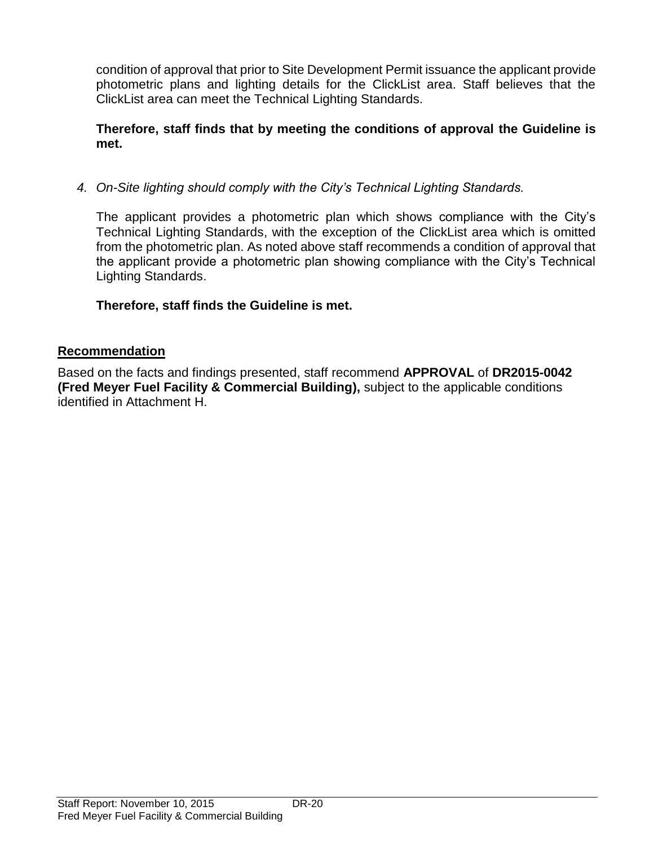condition of approval that prior to Site Development Permit issuance the applicant provide photometric plans and lighting details for the ClickList area. Staff believes that the ClickList area can meet the Technical Lighting Standards.

# **Therefore, staff finds that by meeting the conditions of approval the Guideline is met.**

*4. On-Site lighting should comply with the City's Technical Lighting Standards.* 

The applicant provides a photometric plan which shows compliance with the City's Technical Lighting Standards, with the exception of the ClickList area which is omitted from the photometric plan. As noted above staff recommends a condition of approval that the applicant provide a photometric plan showing compliance with the City's Technical Lighting Standards.

# **Therefore, staff finds the Guideline is met.**

# **Recommendation**

Based on the facts and findings presented, staff recommend **APPROVAL** of **DR2015-0042 (Fred Meyer Fuel Facility & Commercial Building),** subject to the applicable conditions identified in Attachment H.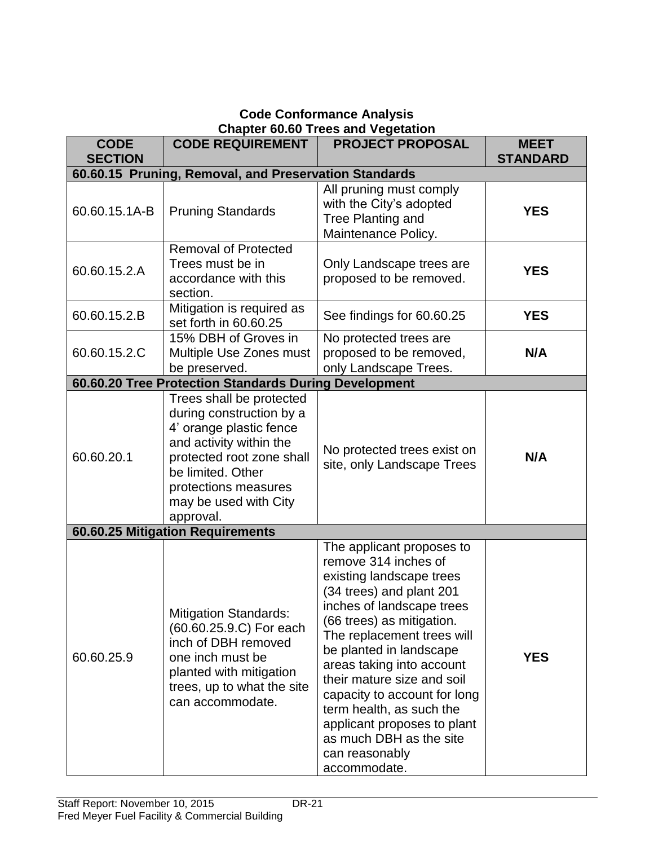# **Code Conformance Analysis Chapter 60.60 Trees and Vegetation**

| <b>CODE</b><br><b>SECTION</b> | <b>CODE REQUIREMENT</b>                                                                                                                                                                                                    | <b>PROJECT PROPOSAL</b>                                                                                                                                                                                                                                                                                                                                                                                                                         | <b>MEET</b><br><b>STANDARD</b> |
|-------------------------------|----------------------------------------------------------------------------------------------------------------------------------------------------------------------------------------------------------------------------|-------------------------------------------------------------------------------------------------------------------------------------------------------------------------------------------------------------------------------------------------------------------------------------------------------------------------------------------------------------------------------------------------------------------------------------------------|--------------------------------|
|                               | 60.60.15 Pruning, Removal, and Preservation Standards                                                                                                                                                                      |                                                                                                                                                                                                                                                                                                                                                                                                                                                 |                                |
| 60.60.15.1A-B                 | <b>Pruning Standards</b>                                                                                                                                                                                                   | All pruning must comply<br>with the City's adopted<br>Tree Planting and<br>Maintenance Policy.                                                                                                                                                                                                                                                                                                                                                  | <b>YES</b>                     |
| 60.60.15.2.A                  | <b>Removal of Protected</b><br>Trees must be in<br>accordance with this<br>section.                                                                                                                                        | Only Landscape trees are<br>proposed to be removed.                                                                                                                                                                                                                                                                                                                                                                                             | <b>YES</b>                     |
| 60.60.15.2.B                  | Mitigation is required as<br>set forth in 60.60.25                                                                                                                                                                         | See findings for 60.60.25                                                                                                                                                                                                                                                                                                                                                                                                                       | <b>YES</b>                     |
| 60.60.15.2.C                  | 15% DBH of Groves in<br>Multiple Use Zones must<br>be preserved.                                                                                                                                                           | No protected trees are<br>proposed to be removed,<br>only Landscape Trees.                                                                                                                                                                                                                                                                                                                                                                      | N/A                            |
|                               | 60.60.20 Tree Protection Standards During Development                                                                                                                                                                      |                                                                                                                                                                                                                                                                                                                                                                                                                                                 |                                |
| 60.60.20.1                    | Trees shall be protected<br>during construction by a<br>4' orange plastic fence<br>and activity within the<br>protected root zone shall<br>be limited. Other<br>protections measures<br>may be used with City<br>approval. | No protected trees exist on<br>site, only Landscape Trees                                                                                                                                                                                                                                                                                                                                                                                       | N/A                            |
|                               | 60.60.25 Mitigation Requirements                                                                                                                                                                                           |                                                                                                                                                                                                                                                                                                                                                                                                                                                 |                                |
| 60.60.25.9                    | <b>Mitigation Standards:</b><br>(60.60.25.9.C) For each<br>inch of DBH removed<br>one inch must be<br>planted with mitigation<br>trees, up to what the site<br>can accommodate.                                            | The applicant proposes to<br>remove 314 inches of<br>existing landscape trees<br>(34 trees) and plant 201<br>inches of landscape trees<br>(66 trees) as mitigation.<br>The replacement trees will<br>be planted in landscape<br>areas taking into account<br>their mature size and soil<br>capacity to account for long<br>term health, as such the<br>applicant proposes to plant<br>as much DBH as the site<br>can reasonably<br>accommodate. | <b>YES</b>                     |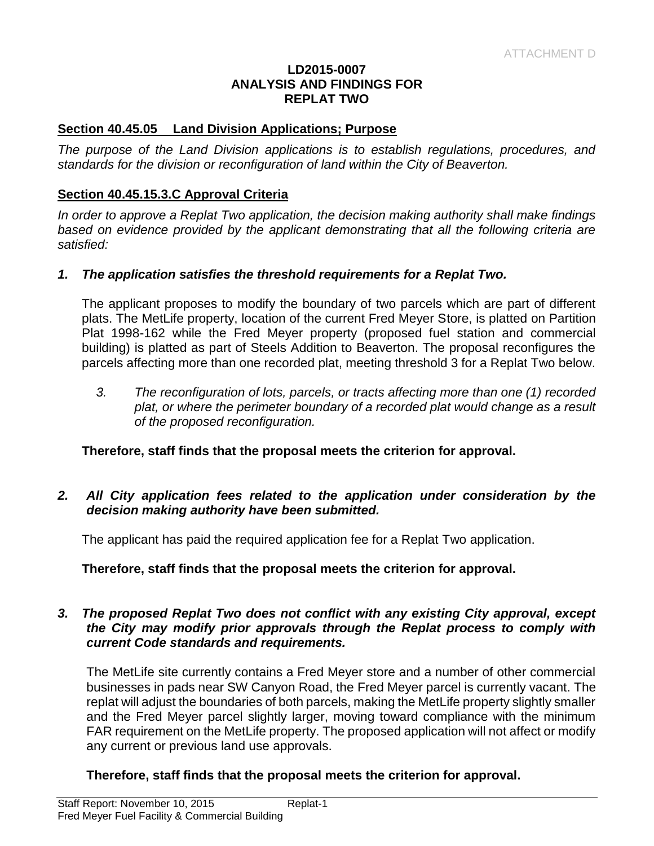#### **LD2015-0007 ANALYSIS AND FINDINGS FOR REPLAT TWO**

#### **Section 40.45.05 Land Division Applications; Purpose**

*The purpose of the Land Division applications is to establish regulations, procedures, and standards for the division or reconfiguration of land within the City of Beaverton.* 

#### **Section 40.45.15.3.C Approval Criteria**

*In order to approve a Replat Two application, the decision making authority shall make findings based on evidence provided by the applicant demonstrating that all the following criteria are satisfied:*

#### *1. The application satisfies the threshold requirements for a Replat Two.*

The applicant proposes to modify the boundary of two parcels which are part of different plats. The MetLife property, location of the current Fred Meyer Store, is platted on Partition Plat 1998-162 while the Fred Meyer property (proposed fuel station and commercial building) is platted as part of Steels Addition to Beaverton. The proposal reconfigures the parcels affecting more than one recorded plat, meeting threshold 3 for a Replat Two below.

*3. The reconfiguration of lots, parcels, or tracts affecting more than one (1) recorded*  plat, or where the perimeter boundary of a recorded plat would change as a result *of the proposed reconfiguration.*

#### **Therefore, staff finds that the proposal meets the criterion for approval.**

#### *2. All City application fees related to the application under consideration by the decision making authority have been submitted.*

The applicant has paid the required application fee for a Replat Two application.

**Therefore, staff finds that the proposal meets the criterion for approval.**

#### *3. The proposed Replat Two does not conflict with any existing City approval, except the City may modify prior approvals through the Replat process to comply with current Code standards and requirements.*

The MetLife site currently contains a Fred Meyer store and a number of other commercial businesses in pads near SW Canyon Road, the Fred Meyer parcel is currently vacant. The replat will adjust the boundaries of both parcels, making the MetLife property slightly smaller and the Fred Meyer parcel slightly larger, moving toward compliance with the minimum FAR requirement on the MetLife property. The proposed application will not affect or modify any current or previous land use approvals.

**Therefore, staff finds that the proposal meets the criterion for approval.**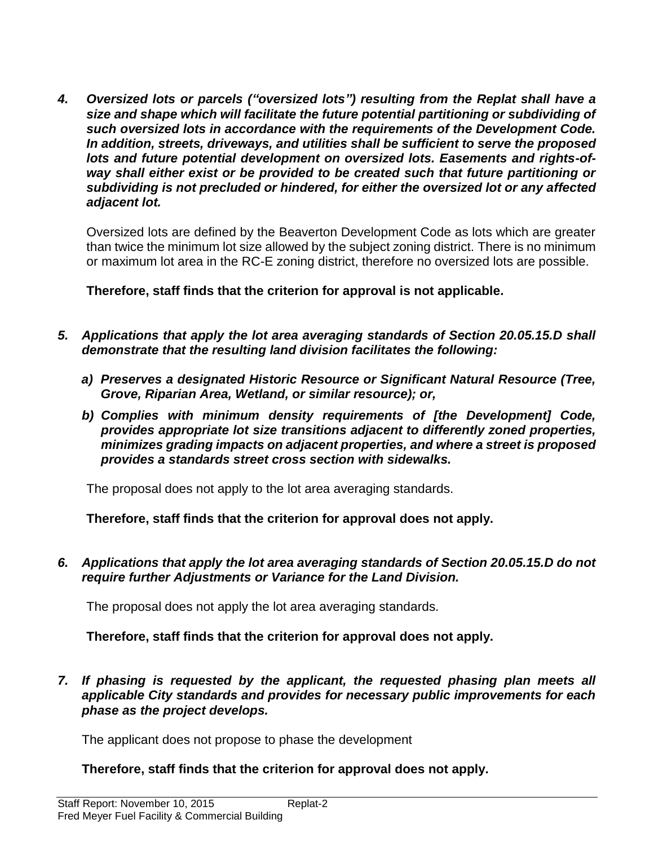*4. Oversized lots or parcels ("oversized lots") resulting from the Replat shall have a size and shape which will facilitate the future potential partitioning or subdividing of such oversized lots in accordance with the requirements of the Development Code. In addition, streets, driveways, and utilities shall be sufficient to serve the proposed lots and future potential development on oversized lots. Easements and rights-ofway shall either exist or be provided to be created such that future partitioning or subdividing is not precluded or hindered, for either the oversized lot or any affected adjacent lot.*

Oversized lots are defined by the Beaverton Development Code as lots which are greater than twice the minimum lot size allowed by the subject zoning district. There is no minimum or maximum lot area in the RC-E zoning district, therefore no oversized lots are possible.

**Therefore, staff finds that the criterion for approval is not applicable.**

- *5. Applications that apply the lot area averaging standards of Section 20.05.15.D shall demonstrate that the resulting land division facilitates the following:*
	- *a) Preserves a designated Historic Resource or Significant Natural Resource (Tree, Grove, Riparian Area, Wetland, or similar resource); or,*
	- *b) Complies with minimum density requirements of [the Development] Code, provides appropriate lot size transitions adjacent to differently zoned properties, minimizes grading impacts on adjacent properties, and where a street is proposed provides a standards street cross section with sidewalks.*

The proposal does not apply to the lot area averaging standards.

**Therefore, staff finds that the criterion for approval does not apply.**

*6. Applications that apply the lot area averaging standards of Section 20.05.15.D do not require further Adjustments or Variance for the Land Division.*

The proposal does not apply the lot area averaging standards.

**Therefore, staff finds that the criterion for approval does not apply.**

*7. If phasing is requested by the applicant, the requested phasing plan meets all applicable City standards and provides for necessary public improvements for each phase as the project develops.* 

The applicant does not propose to phase the development

# **Therefore, staff finds that the criterion for approval does not apply.**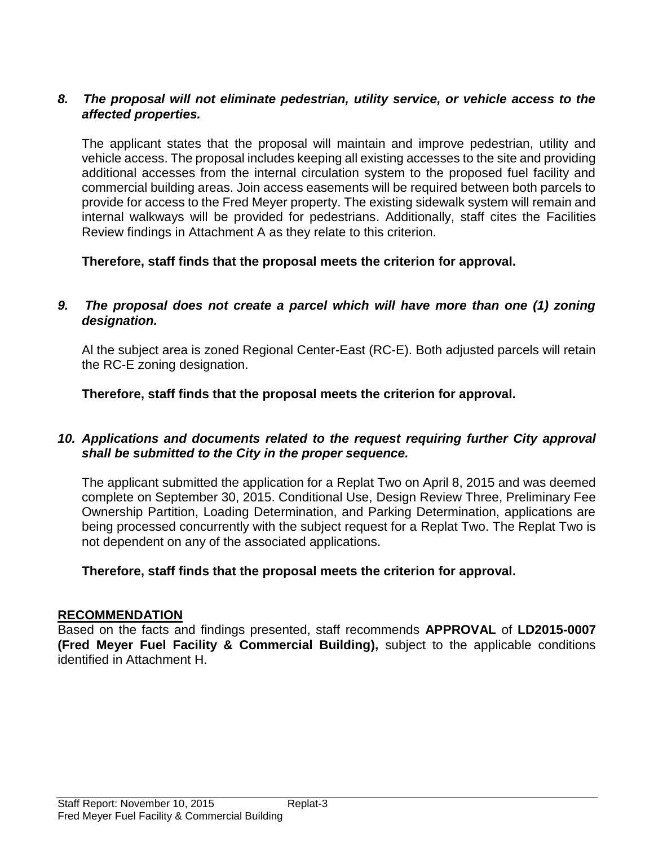#### *8. The proposal will not eliminate pedestrian, utility service, or vehicle access to the affected properties.*

The applicant states that the proposal will maintain and improve pedestrian, utility and vehicle access. The proposal includes keeping all existing accesses to the site and providing additional accesses from the internal circulation system to the proposed fuel facility and commercial building areas. Join access easements will be required between both parcels to provide for access to the Fred Meyer property. The existing sidewalk system will remain and internal walkways will be provided for pedestrians. Additionally, staff cites the Facilities Review findings in Attachment A as they relate to this criterion.

**Therefore, staff finds that the proposal meets the criterion for approval.**

#### *9. The proposal does not create a parcel which will have more than one (1) zoning designation.*

Al the subject area is zoned Regional Center-East (RC-E). Both adjusted parcels will retain the RC-E zoning designation.

**Therefore, staff finds that the proposal meets the criterion for approval.**

#### *10. Applications and documents related to the request requiring further City approval shall be submitted to the City in the proper sequence.*

The applicant submitted the application for a Replat Two on April 8, 2015 and was deemed complete on September 30, 2015. Conditional Use, Design Review Three, Preliminary Fee Ownership Partition, Loading Determination, and Parking Determination, applications are being processed concurrently with the subject request for a Replat Two. The Replat Two is not dependent on any of the associated applications.

**Therefore, staff finds that the proposal meets the criterion for approval.**

#### **RECOMMENDATION**

Based on the facts and findings presented, staff recommends **APPROVAL** of **LD2015-0007 (Fred Meyer Fuel Facility & Commercial Building),** subject to the applicable conditions identified in Attachment H.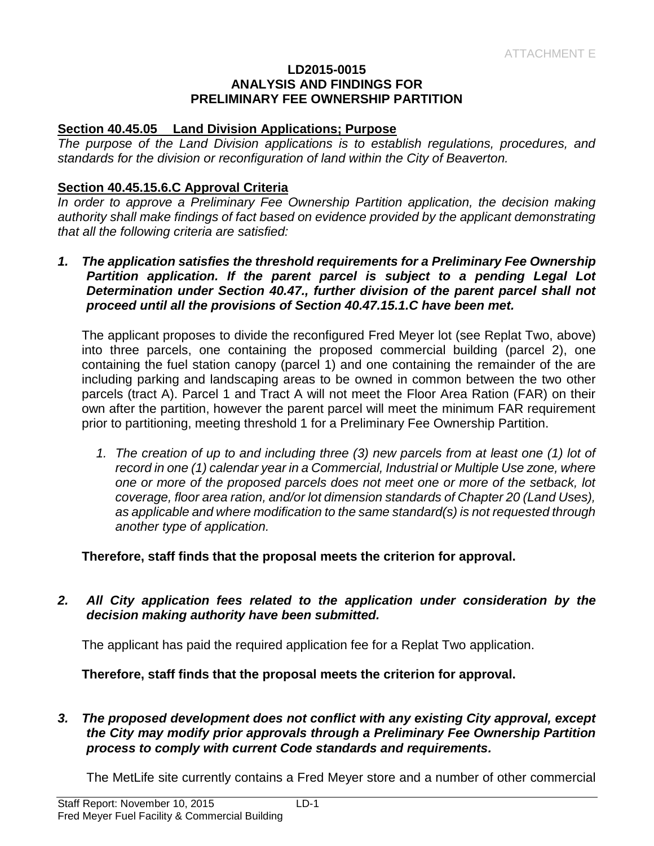#### **LD2015-0015 ANALYSIS AND FINDINGS FOR PRELIMINARY FEE OWNERSHIP PARTITION**

#### **Section 40.45.05 Land Division Applications; Purpose**

*The purpose of the Land Division applications is to establish regulations, procedures, and standards for the division or reconfiguration of land within the City of Beaverton.* 

#### **Section 40.45.15.6.C Approval Criteria**

*In order to approve a Preliminary Fee Ownership Partition application, the decision making authority shall make findings of fact based on evidence provided by the applicant demonstrating that all the following criteria are satisfied:*

*1. The application satisfies the threshold requirements for a Preliminary Fee Ownership Partition application. If the parent parcel is subject to a pending Legal Lot Determination under Section 40.47., further division of the parent parcel shall not proceed until all the provisions of Section 40.47.15.1.C have been met.*

The applicant proposes to divide the reconfigured Fred Meyer lot (see Replat Two, above) into three parcels, one containing the proposed commercial building (parcel 2), one containing the fuel station canopy (parcel 1) and one containing the remainder of the are including parking and landscaping areas to be owned in common between the two other parcels (tract A). Parcel 1 and Tract A will not meet the Floor Area Ration (FAR) on their own after the partition, however the parent parcel will meet the minimum FAR requirement prior to partitioning, meeting threshold 1 for a Preliminary Fee Ownership Partition.

*1. The creation of up to and including three (3) new parcels from at least one (1) lot of*  record in one (1) calendar year in a Commercial, Industrial or Multiple Use zone, where *one or more of the proposed parcels does not meet one or more of the setback, lot coverage, floor area ration, and/or lot dimension standards of Chapter 20 (Land Uses), as applicable and where modification to the same standard(s) is not requested through another type of application.*

**Therefore, staff finds that the proposal meets the criterion for approval.**

*2. All City application fees related to the application under consideration by the decision making authority have been submitted.*

The applicant has paid the required application fee for a Replat Two application.

**Therefore, staff finds that the proposal meets the criterion for approval.**

*3. The proposed development does not conflict with any existing City approval, except the City may modify prior approvals through a Preliminary Fee Ownership Partition process to comply with current Code standards and requirements.*

The MetLife site currently contains a Fred Meyer store and a number of other commercial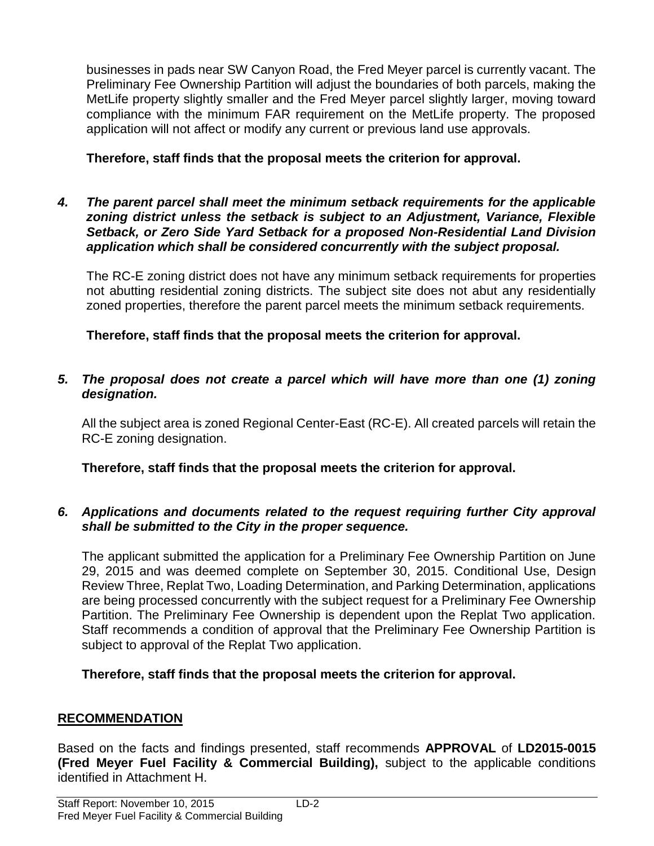businesses in pads near SW Canyon Road, the Fred Meyer parcel is currently vacant. The Preliminary Fee Ownership Partition will adjust the boundaries of both parcels, making the MetLife property slightly smaller and the Fred Meyer parcel slightly larger, moving toward compliance with the minimum FAR requirement on the MetLife property. The proposed application will not affect or modify any current or previous land use approvals.

# **Therefore, staff finds that the proposal meets the criterion for approval.**

*4. The parent parcel shall meet the minimum setback requirements for the applicable zoning district unless the setback is subject to an Adjustment, Variance, Flexible Setback, or Zero Side Yard Setback for a proposed Non-Residential Land Division application which shall be considered concurrently with the subject proposal.*

The RC-E zoning district does not have any minimum setback requirements for properties not abutting residential zoning districts. The subject site does not abut any residentially zoned properties, therefore the parent parcel meets the minimum setback requirements.

**Therefore, staff finds that the proposal meets the criterion for approval.**

# *5. The proposal does not create a parcel which will have more than one (1) zoning designation.*

All the subject area is zoned Regional Center-East (RC-E). All created parcels will retain the RC-E zoning designation.

**Therefore, staff finds that the proposal meets the criterion for approval.**

# *6. Applications and documents related to the request requiring further City approval shall be submitted to the City in the proper sequence.*

The applicant submitted the application for a Preliminary Fee Ownership Partition on June 29, 2015 and was deemed complete on September 30, 2015. Conditional Use, Design Review Three, Replat Two, Loading Determination, and Parking Determination, applications are being processed concurrently with the subject request for a Preliminary Fee Ownership Partition. The Preliminary Fee Ownership is dependent upon the Replat Two application. Staff recommends a condition of approval that the Preliminary Fee Ownership Partition is subject to approval of the Replat Two application.

**Therefore, staff finds that the proposal meets the criterion for approval.**

# **RECOMMENDATION**

Based on the facts and findings presented, staff recommends **APPROVAL** of **LD2015-0015 (Fred Meyer Fuel Facility & Commercial Building),** subject to the applicable conditions identified in Attachment H.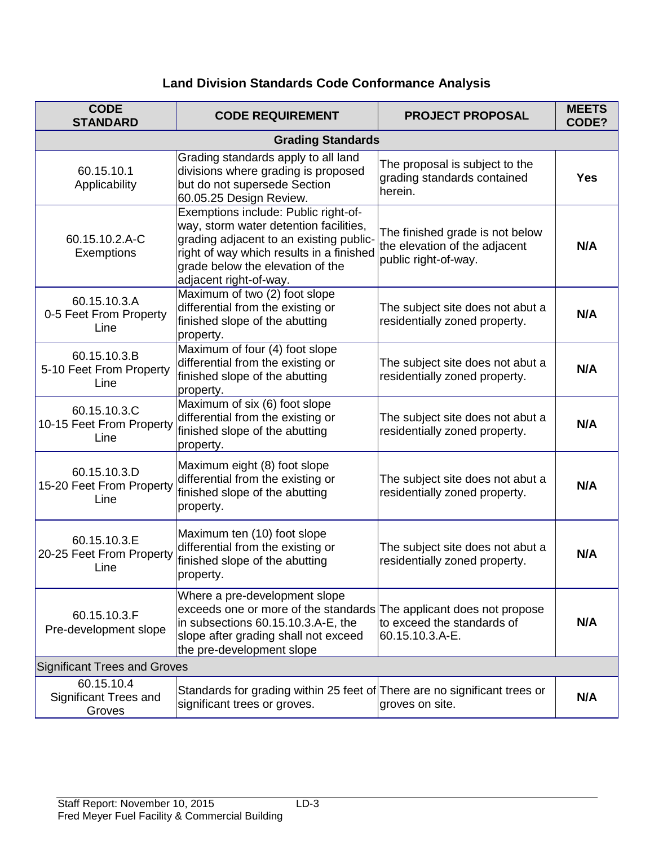# **Land Division Standards Code Conformance Analysis**

| <b>CODE</b><br><b>STANDARD</b>                       | <b>CODE REQUIREMENT</b>                                                                                                                                                                                                             | <b>PROJECT PROPOSAL</b>                                                                  | <b>MEETS</b><br>CODE? |
|------------------------------------------------------|-------------------------------------------------------------------------------------------------------------------------------------------------------------------------------------------------------------------------------------|------------------------------------------------------------------------------------------|-----------------------|
|                                                      | <b>Grading Standards</b>                                                                                                                                                                                                            |                                                                                          |                       |
| 60.15.10.1<br>Applicability                          | Grading standards apply to all land<br>divisions where grading is proposed<br>but do not supersede Section<br>60.05.25 Design Review.                                                                                               | The proposal is subject to the<br>grading standards contained<br>herein.                 | <b>Yes</b>            |
| 60.15.10.2.A-C<br>Exemptions                         | Exemptions include: Public right-of-<br>way, storm water detention facilities,<br>grading adjacent to an existing public-<br>right of way which results in a finished<br>grade below the elevation of the<br>adjacent right-of-way. | The finished grade is not below<br>the elevation of the adjacent<br>public right-of-way. | N/A                   |
| 60.15.10.3.A<br>0-5 Feet From Property<br>Line       | Maximum of two (2) foot slope<br>differential from the existing or<br>finished slope of the abutting<br>property.                                                                                                                   | The subject site does not abut a<br>residentially zoned property.                        | N/A                   |
| 60.15.10.3.B<br>5-10 Feet From Property<br>Line      | Maximum of four (4) foot slope<br>differential from the existing or<br>finished slope of the abutting<br>property.                                                                                                                  | The subject site does not abut a<br>residentially zoned property.                        | N/A                   |
| 60.15.10.3.C<br>10-15 Feet From Property<br>Line     | Maximum of six (6) foot slope<br>differential from the existing or<br>finished slope of the abutting<br>property.                                                                                                                   | The subject site does not abut a<br>residentially zoned property.                        | N/A                   |
| 60.15.10.3.D<br>15-20 Feet From Property<br>Line     | Maximum eight (8) foot slope<br>differential from the existing or<br>finished slope of the abutting<br>property.                                                                                                                    | The subject site does not abut a<br>residentially zoned property.                        | N/A                   |
| 60.15.10.3.E<br>20-25 Feet From Property<br>Line     | Maximum ten (10) foot slope<br>differential from the existing or<br>finished slope of the abutting<br>property.                                                                                                                     | The subject site does not abut a<br>residentially zoned property.                        | N/A                   |
| 60.15.10.3.F<br>Pre-development slope                | Where a pre-development slope<br>exceeds one or more of the standards<br>in subsections 60.15.10.3.A-E, the<br>slope after grading shall not exceed<br>the pre-development slope                                                    | The applicant does not propose<br>to exceed the standards of<br>60.15.10.3.A-E.          | N/A                   |
| <b>Significant Trees and Groves</b>                  |                                                                                                                                                                                                                                     |                                                                                          |                       |
| 60.15.10.4<br><b>Significant Trees and</b><br>Groves | Standards for grading within 25 feet of There are no significant trees or<br>significant trees or groves.                                                                                                                           | groves on site.                                                                          | N/A                   |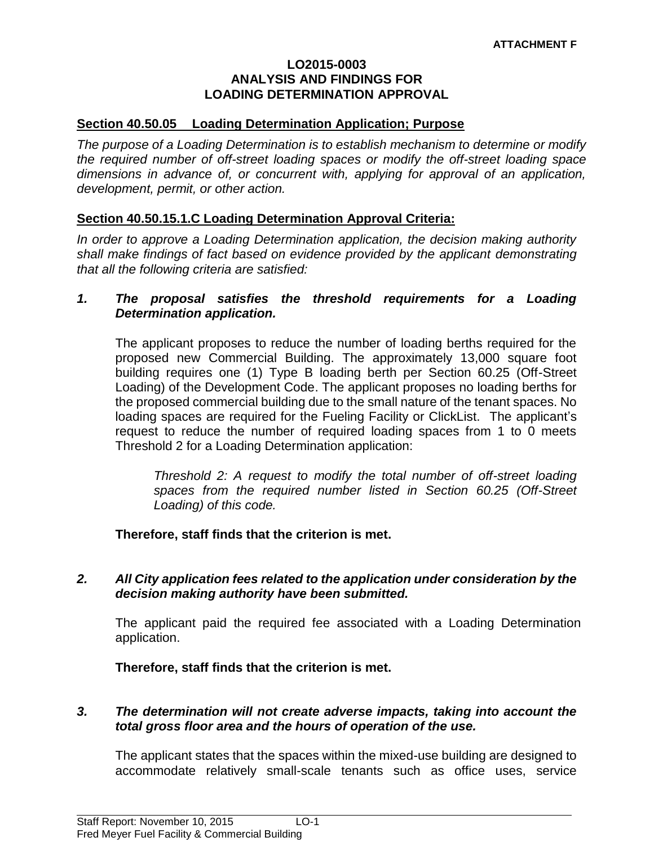#### **LO2015-0003 ANALYSIS AND FINDINGS FOR LOADING DETERMINATION APPROVAL**

#### **Section 40.50.05 Loading Determination Application; Purpose**

*The purpose of a Loading Determination is to establish mechanism to determine or modify the required number of off-street loading spaces or modify the off-street loading space dimensions in advance of, or concurrent with, applying for approval of an application, development, permit, or other action.* 

#### **Section 40.50.15.1.C Loading Determination Approval Criteria:**

*In order to approve a Loading Determination application, the decision making authority shall make findings of fact based on evidence provided by the applicant demonstrating that all the following criteria are satisfied:*

#### *1. The proposal satisfies the threshold requirements for a Loading Determination application.*

The applicant proposes to reduce the number of loading berths required for the proposed new Commercial Building. The approximately 13,000 square foot building requires one (1) Type B loading berth per Section 60.25 (Off-Street Loading) of the Development Code. The applicant proposes no loading berths for the proposed commercial building due to the small nature of the tenant spaces. No loading spaces are required for the Fueling Facility or ClickList. The applicant's request to reduce the number of required loading spaces from 1 to 0 meets Threshold 2 for a Loading Determination application:

*Threshold 2: A request to modify the total number of off-street loading spaces from the required number listed in Section 60.25 (Off-Street Loading) of this code.*

**Therefore, staff finds that the criterion is met.**

*2. All City application fees related to the application under consideration by the decision making authority have been submitted.*

The applicant paid the required fee associated with a Loading Determination application.

**Therefore, staff finds that the criterion is met.**

#### *3. The determination will not create adverse impacts, taking into account the total gross floor area and the hours of operation of the use.*

The applicant states that the spaces within the mixed-use building are designed to accommodate relatively small-scale tenants such as office uses, service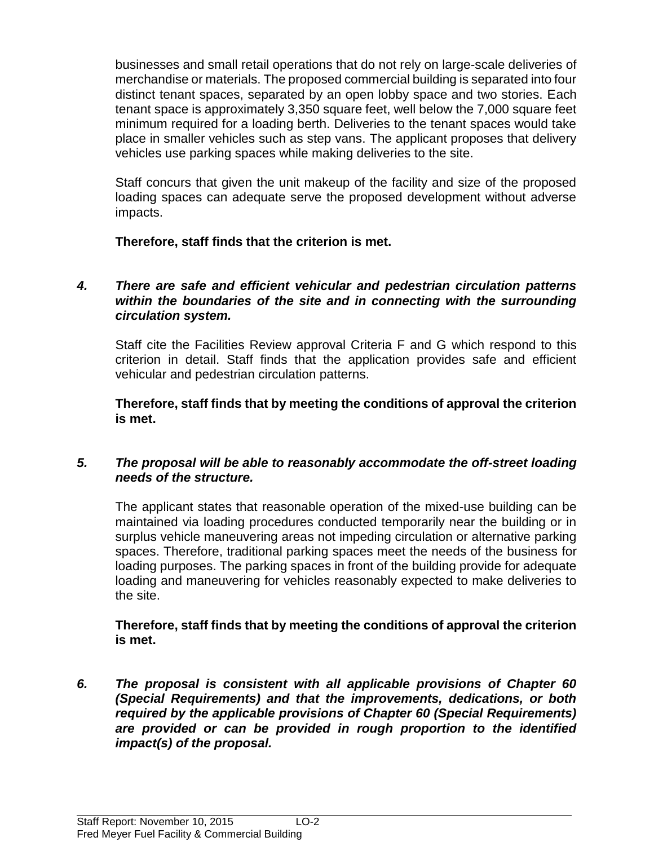businesses and small retail operations that do not rely on large-scale deliveries of merchandise or materials. The proposed commercial building is separated into four distinct tenant spaces, separated by an open lobby space and two stories. Each tenant space is approximately 3,350 square feet, well below the 7,000 square feet minimum required for a loading berth. Deliveries to the tenant spaces would take place in smaller vehicles such as step vans. The applicant proposes that delivery vehicles use parking spaces while making deliveries to the site.

Staff concurs that given the unit makeup of the facility and size of the proposed loading spaces can adequate serve the proposed development without adverse impacts.

**Therefore, staff finds that the criterion is met.**

# *4. There are safe and efficient vehicular and pedestrian circulation patterns within the boundaries of the site and in connecting with the surrounding circulation system.*

Staff cite the Facilities Review approval Criteria F and G which respond to this criterion in detail. Staff finds that the application provides safe and efficient vehicular and pedestrian circulation patterns.

**Therefore, staff finds that by meeting the conditions of approval the criterion is met.**

# *5. The proposal will be able to reasonably accommodate the off-street loading needs of the structure.*

The applicant states that reasonable operation of the mixed-use building can be maintained via loading procedures conducted temporarily near the building or in surplus vehicle maneuvering areas not impeding circulation or alternative parking spaces. Therefore, traditional parking spaces meet the needs of the business for loading purposes. The parking spaces in front of the building provide for adequate loading and maneuvering for vehicles reasonably expected to make deliveries to the site.

# **Therefore, staff finds that by meeting the conditions of approval the criterion is met.**

*6. The proposal is consistent with all applicable provisions of Chapter 60 (Special Requirements) and that the improvements, dedications, or both required by the applicable provisions of Chapter 60 (Special Requirements) are provided or can be provided in rough proportion to the identified impact(s) of the proposal.*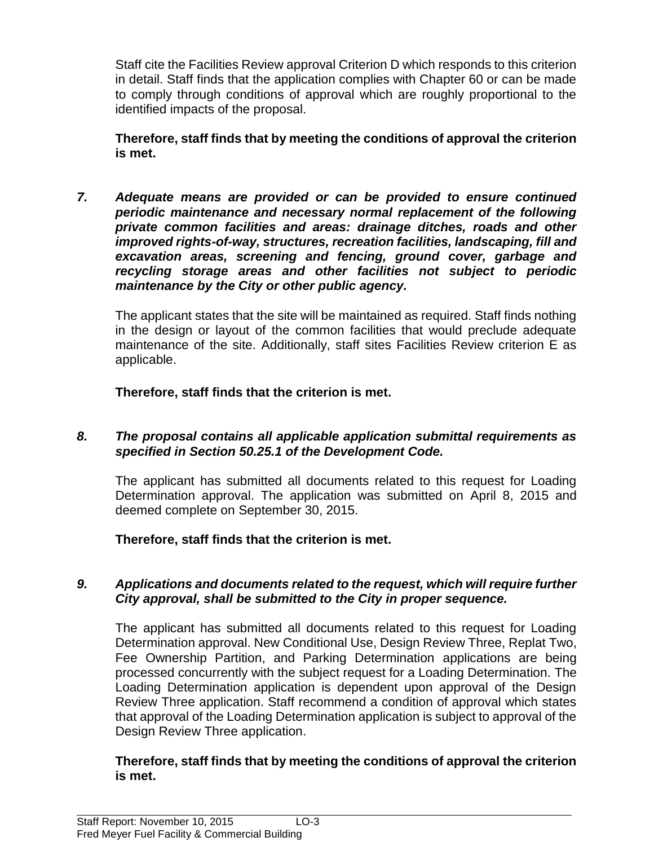Staff cite the Facilities Review approval Criterion D which responds to this criterion in detail. Staff finds that the application complies with Chapter 60 or can be made to comply through conditions of approval which are roughly proportional to the identified impacts of the proposal.

**Therefore, staff finds that by meeting the conditions of approval the criterion is met.**

*7. Adequate means are provided or can be provided to ensure continued periodic maintenance and necessary normal replacement of the following private common facilities and areas: drainage ditches, roads and other improved rights-of-way, structures, recreation facilities, landscaping, fill and excavation areas, screening and fencing, ground cover, garbage and recycling storage areas and other facilities not subject to periodic maintenance by the City or other public agency.*

The applicant states that the site will be maintained as required. Staff finds nothing in the design or layout of the common facilities that would preclude adequate maintenance of the site. Additionally, staff sites Facilities Review criterion E as applicable.

**Therefore, staff finds that the criterion is met.**

# *8. The proposal contains all applicable application submittal requirements as specified in Section 50.25.1 of the Development Code.*

The applicant has submitted all documents related to this request for Loading Determination approval. The application was submitted on April 8, 2015 and deemed complete on September 30, 2015.

**Therefore, staff finds that the criterion is met.**

# *9. Applications and documents related to the request, which will require further City approval, shall be submitted to the City in proper sequence.*

The applicant has submitted all documents related to this request for Loading Determination approval. New Conditional Use, Design Review Three, Replat Two, Fee Ownership Partition, and Parking Determination applications are being processed concurrently with the subject request for a Loading Determination. The Loading Determination application is dependent upon approval of the Design Review Three application. Staff recommend a condition of approval which states that approval of the Loading Determination application is subject to approval of the Design Review Three application.

# **Therefore, staff finds that by meeting the conditions of approval the criterion is met.**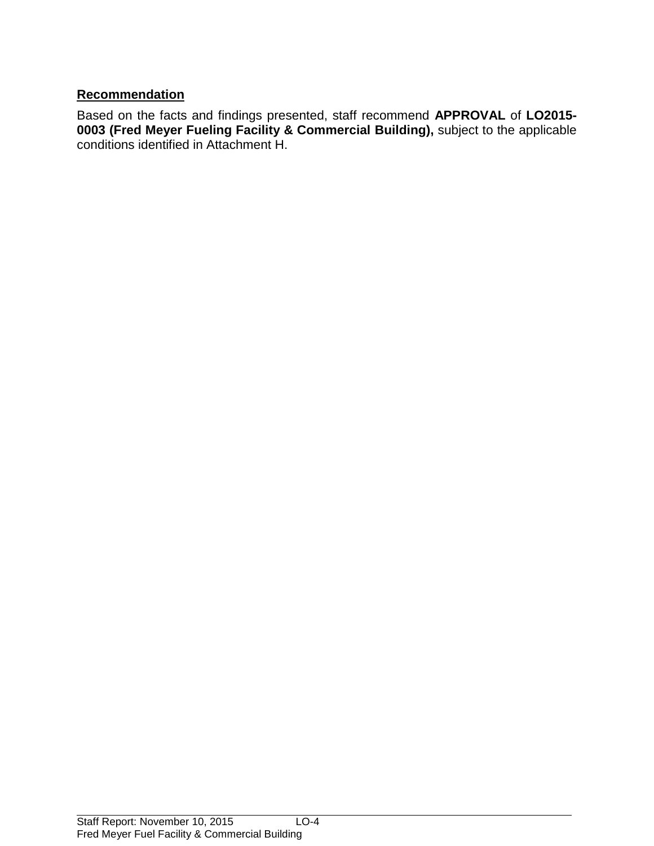# **Recommendation**

Based on the facts and findings presented, staff recommend **APPROVAL** of **LO2015- 0003 (Fred Meyer Fueling Facility & Commercial Building),** subject to the applicable conditions identified in Attachment H.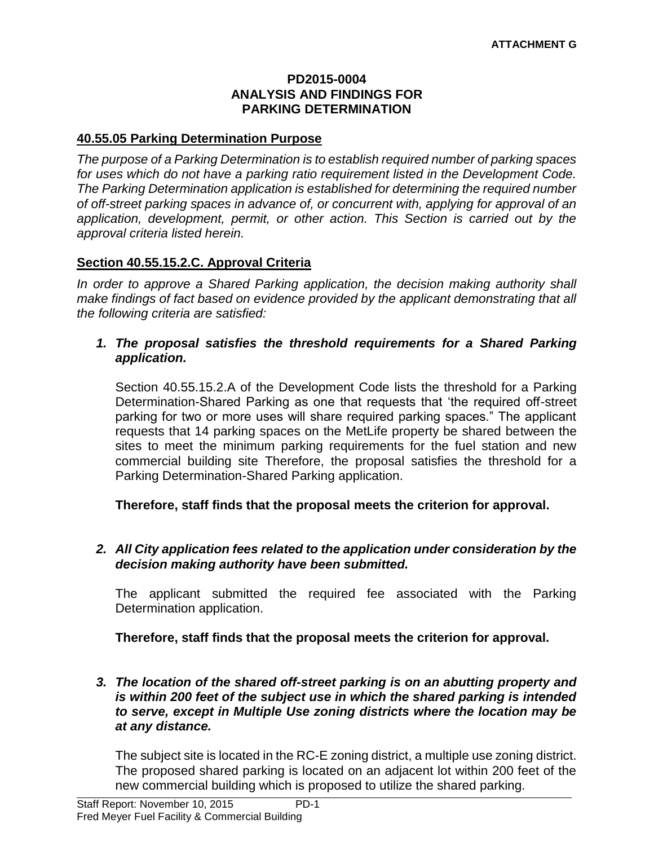#### **PD2015-0004 ANALYSIS AND FINDINGS FOR PARKING DETERMINATION**

#### **40.55.05 Parking Determination Purpose**

*The purpose of a Parking Determination is to establish required number of parking spaces for uses which do not have a parking ratio requirement listed in the Development Code. The Parking Determination application is established for determining the required number of off-street parking spaces in advance of, or concurrent with, applying for approval of an application, development, permit, or other action. This Section is carried out by the approval criteria listed herein.*

# **Section 40.55.15.2.C. Approval Criteria**

*In order to approve a Shared Parking application, the decision making authority shall make findings of fact based on evidence provided by the applicant demonstrating that all the following criteria are satisfied:*

#### *1. The proposal satisfies the threshold requirements for a Shared Parking application.*

Section 40.55.15.2.A of the Development Code lists the threshold for a Parking Determination-Shared Parking as one that requests that 'the required off-street parking for two or more uses will share required parking spaces." The applicant requests that 14 parking spaces on the MetLife property be shared between the sites to meet the minimum parking requirements for the fuel station and new commercial building site Therefore, the proposal satisfies the threshold for a Parking Determination-Shared Parking application.

**Therefore, staff finds that the proposal meets the criterion for approval.**

#### *2. All City application fees related to the application under consideration by the decision making authority have been submitted.*

The applicant submitted the required fee associated with the Parking Determination application.

**Therefore, staff finds that the proposal meets the criterion for approval.**

#### *3. The location of the shared off-street parking is on an abutting property and is within 200 feet of the subject use in which the shared parking is intended to serve, except in Multiple Use zoning districts where the location may be at any distance.*

The subject site is located in the RC-E zoning district, a multiple use zoning district. The proposed shared parking is located on an adjacent lot within 200 feet of the new commercial building which is proposed to utilize the shared parking.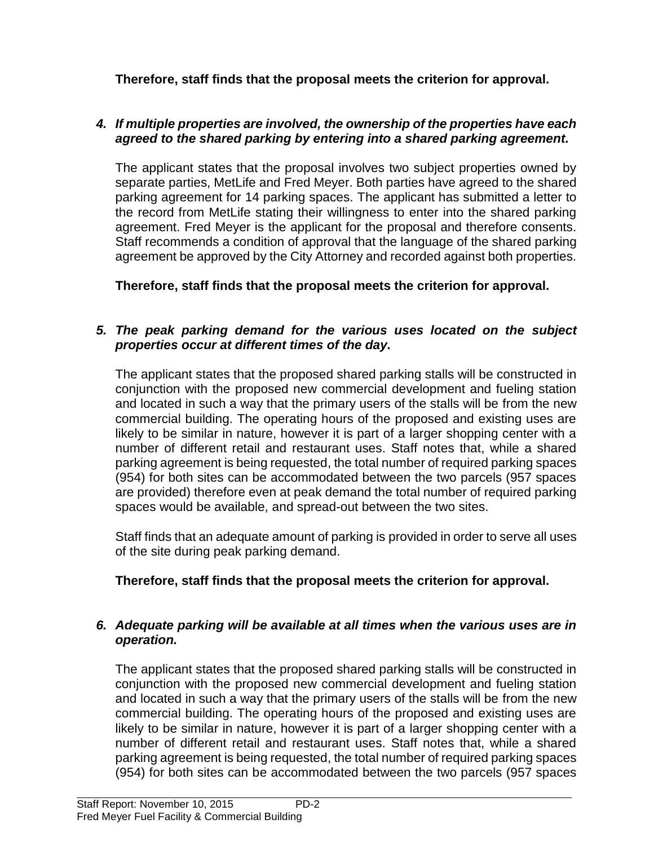**Therefore, staff finds that the proposal meets the criterion for approval.**

# *4. If multiple properties are involved, the ownership of the properties have each agreed to the shared parking by entering into a shared parking agreement.*

The applicant states that the proposal involves two subject properties owned by separate parties, MetLife and Fred Meyer. Both parties have agreed to the shared parking agreement for 14 parking spaces. The applicant has submitted a letter to the record from MetLife stating their willingness to enter into the shared parking agreement. Fred Meyer is the applicant for the proposal and therefore consents. Staff recommends a condition of approval that the language of the shared parking agreement be approved by the City Attorney and recorded against both properties.

**Therefore, staff finds that the proposal meets the criterion for approval.**

# *5. The peak parking demand for the various uses located on the subject properties occur at different times of the day.*

The applicant states that the proposed shared parking stalls will be constructed in conjunction with the proposed new commercial development and fueling station and located in such a way that the primary users of the stalls will be from the new commercial building. The operating hours of the proposed and existing uses are likely to be similar in nature, however it is part of a larger shopping center with a number of different retail and restaurant uses. Staff notes that, while a shared parking agreement is being requested, the total number of required parking spaces (954) for both sites can be accommodated between the two parcels (957 spaces are provided) therefore even at peak demand the total number of required parking spaces would be available, and spread-out between the two sites.

Staff finds that an adequate amount of parking is provided in order to serve all uses of the site during peak parking demand.

# **Therefore, staff finds that the proposal meets the criterion for approval.**

# *6. Adequate parking will be available at all times when the various uses are in operation.*

The applicant states that the proposed shared parking stalls will be constructed in conjunction with the proposed new commercial development and fueling station and located in such a way that the primary users of the stalls will be from the new commercial building. The operating hours of the proposed and existing uses are likely to be similar in nature, however it is part of a larger shopping center with a number of different retail and restaurant uses. Staff notes that, while a shared parking agreement is being requested, the total number of required parking spaces (954) for both sites can be accommodated between the two parcels (957 spaces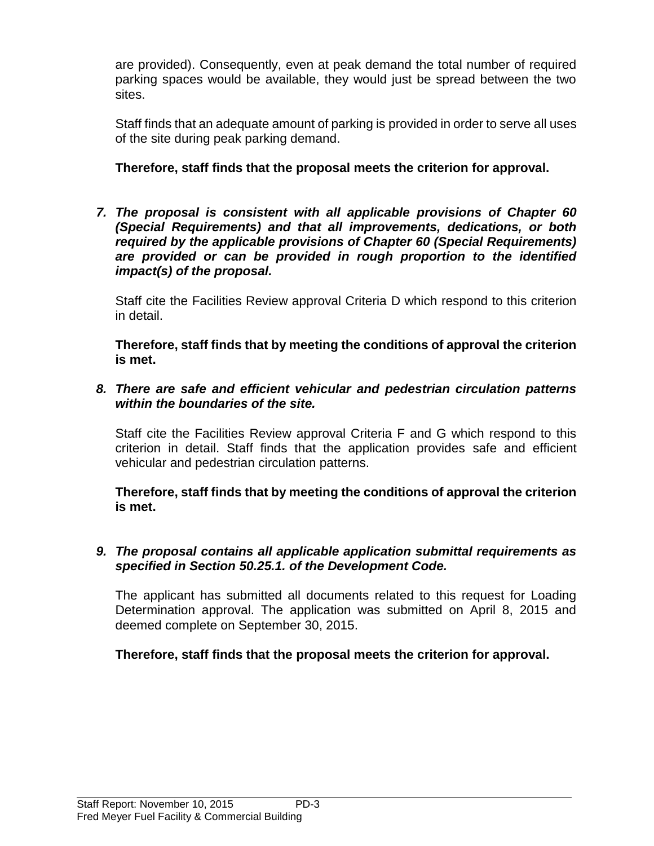are provided). Consequently, even at peak demand the total number of required parking spaces would be available, they would just be spread between the two sites.

Staff finds that an adequate amount of parking is provided in order to serve all uses of the site during peak parking demand.

# **Therefore, staff finds that the proposal meets the criterion for approval.**

*7. The proposal is consistent with all applicable provisions of Chapter 60 (Special Requirements) and that all improvements, dedications, or both required by the applicable provisions of Chapter 60 (Special Requirements) are provided or can be provided in rough proportion to the identified impact(s) of the proposal.*

Staff cite the Facilities Review approval Criteria D which respond to this criterion in detail.

**Therefore, staff finds that by meeting the conditions of approval the criterion is met.**

*8. There are safe and efficient vehicular and pedestrian circulation patterns within the boundaries of the site.*

Staff cite the Facilities Review approval Criteria F and G which respond to this criterion in detail. Staff finds that the application provides safe and efficient vehicular and pedestrian circulation patterns.

**Therefore, staff finds that by meeting the conditions of approval the criterion is met.**

#### *9. The proposal contains all applicable application submittal requirements as specified in Section 50.25.1. of the Development Code.*

The applicant has submitted all documents related to this request for Loading Determination approval. The application was submitted on April 8, 2015 and deemed complete on September 30, 2015.

# **Therefore, staff finds that the proposal meets the criterion for approval.**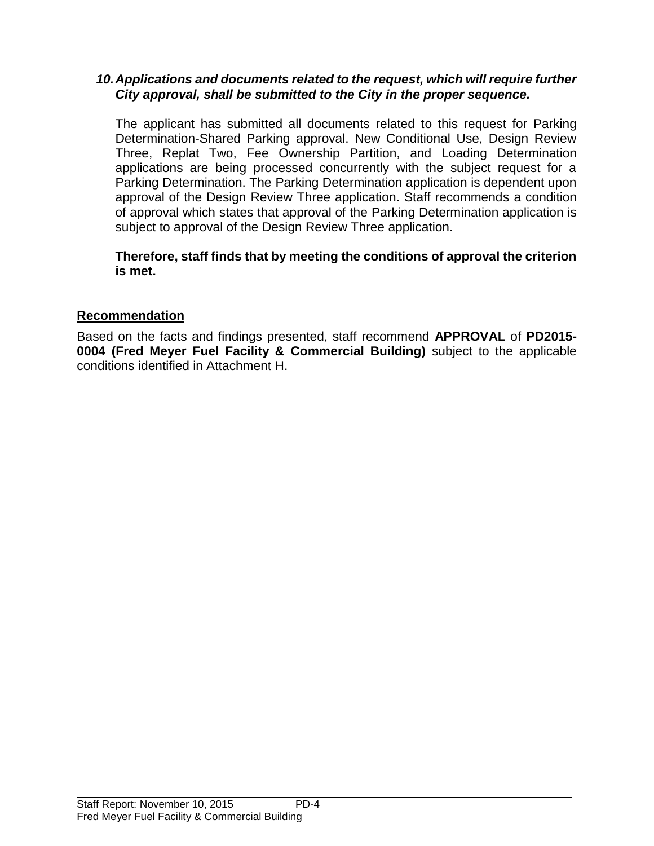#### *10.Applications and documents related to the request, which will require further City approval, shall be submitted to the City in the proper sequence.*

The applicant has submitted all documents related to this request for Parking Determination-Shared Parking approval. New Conditional Use, Design Review Three, Replat Two, Fee Ownership Partition, and Loading Determination applications are being processed concurrently with the subject request for a Parking Determination. The Parking Determination application is dependent upon approval of the Design Review Three application. Staff recommends a condition of approval which states that approval of the Parking Determination application is subject to approval of the Design Review Three application.

**Therefore, staff finds that by meeting the conditions of approval the criterion is met.**

# **Recommendation**

Based on the facts and findings presented, staff recommend **APPROVAL** of **PD2015- 0004 (Fred Meyer Fuel Facility & Commercial Building)** subject to the applicable conditions identified in Attachment H.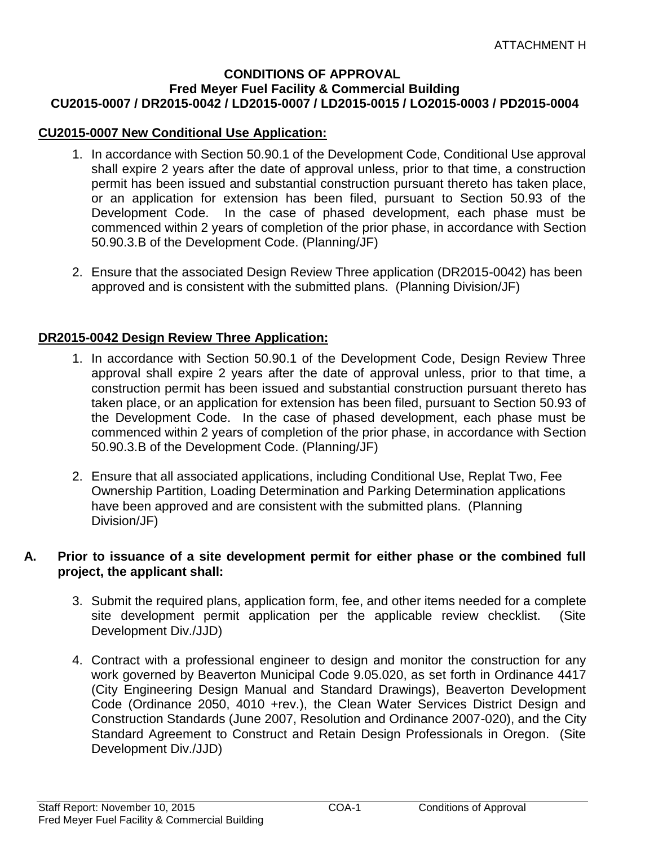#### **CONDITIONS OF APPROVAL Fred Meyer Fuel Facility & Commercial Building CU2015-0007 / DR2015-0042 / LD2015-0007 / LD2015-0015 / LO2015-0003 / PD2015-0004**

# **CU2015-0007 New Conditional Use Application:**

- 1. In accordance with Section 50.90.1 of the Development Code, Conditional Use approval shall expire 2 years after the date of approval unless, prior to that time, a construction permit has been issued and substantial construction pursuant thereto has taken place, or an application for extension has been filed, pursuant to Section 50.93 of the Development Code. In the case of phased development, each phase must be commenced within 2 years of completion of the prior phase, in accordance with Section 50.90.3.B of the Development Code. (Planning/JF)
- 2. Ensure that the associated Design Review Three application (DR2015-0042) has been approved and is consistent with the submitted plans. (Planning Division/JF)

# **DR2015-0042 Design Review Three Application:**

- 1. In accordance with Section 50.90.1 of the Development Code, Design Review Three approval shall expire 2 years after the date of approval unless, prior to that time, a construction permit has been issued and substantial construction pursuant thereto has taken place, or an application for extension has been filed, pursuant to Section 50.93 of the Development Code. In the case of phased development, each phase must be commenced within 2 years of completion of the prior phase, in accordance with Section 50.90.3.B of the Development Code. (Planning/JF)
- 2. Ensure that all associated applications, including Conditional Use, Replat Two, Fee Ownership Partition, Loading Determination and Parking Determination applications have been approved and are consistent with the submitted plans. (Planning Division/JF)

#### **A. Prior to issuance of a site development permit for either phase or the combined full project, the applicant shall:**

- 3. Submit the required plans, application form, fee, and other items needed for a complete site development permit application per the applicable review checklist. (Site Development Div./JJD)
- 4. Contract with a professional engineer to design and monitor the construction for any work governed by Beaverton Municipal Code 9.05.020, as set forth in Ordinance 4417 (City Engineering Design Manual and Standard Drawings), Beaverton Development Code (Ordinance 2050, 4010 +rev.), the Clean Water Services District Design and Construction Standards (June 2007, Resolution and Ordinance 2007-020), and the City Standard Agreement to Construct and Retain Design Professionals in Oregon. (Site Development Div./JJD)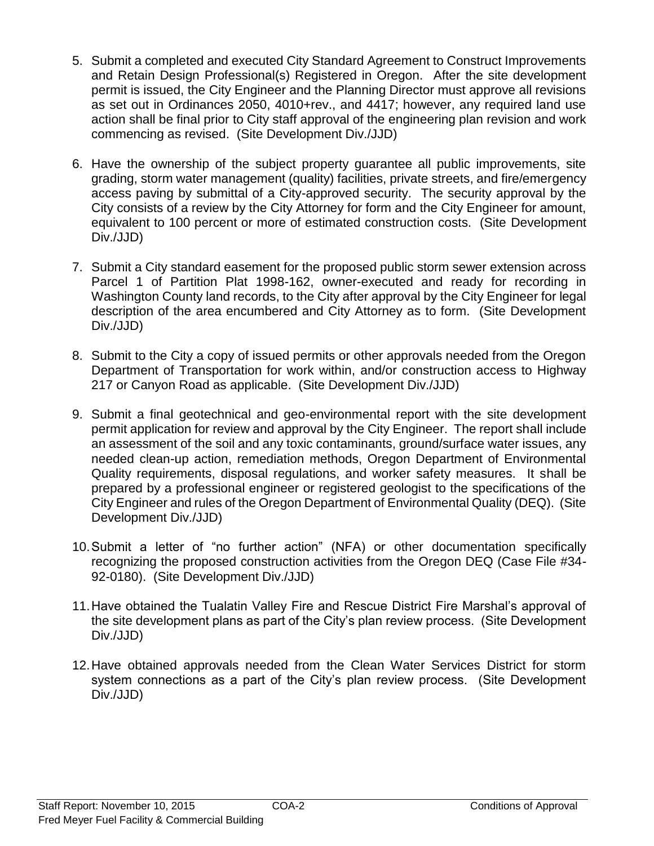- 5. Submit a completed and executed City Standard Agreement to Construct Improvements and Retain Design Professional(s) Registered in Oregon. After the site development permit is issued, the City Engineer and the Planning Director must approve all revisions as set out in Ordinances 2050, 4010+rev., and 4417; however, any required land use action shall be final prior to City staff approval of the engineering plan revision and work commencing as revised. (Site Development Div./JJD)
- 6. Have the ownership of the subject property guarantee all public improvements, site grading, storm water management (quality) facilities, private streets, and fire/emergency access paving by submittal of a City-approved security. The security approval by the City consists of a review by the City Attorney for form and the City Engineer for amount, equivalent to 100 percent or more of estimated construction costs. (Site Development Div./JJD)
- 7. Submit a City standard easement for the proposed public storm sewer extension across Parcel 1 of Partition Plat 1998-162, owner-executed and ready for recording in Washington County land records, to the City after approval by the City Engineer for legal description of the area encumbered and City Attorney as to form. (Site Development Div./JJD)
- 8. Submit to the City a copy of issued permits or other approvals needed from the Oregon Department of Transportation for work within, and/or construction access to Highway 217 or Canyon Road as applicable. (Site Development Div./JJD)
- 9. Submit a final geotechnical and geo-environmental report with the site development permit application for review and approval by the City Engineer. The report shall include an assessment of the soil and any toxic contaminants, ground/surface water issues, any needed clean-up action, remediation methods, Oregon Department of Environmental Quality requirements, disposal regulations, and worker safety measures. It shall be prepared by a professional engineer or registered geologist to the specifications of the City Engineer and rules of the Oregon Department of Environmental Quality (DEQ). (Site Development Div./JJD)
- 10.Submit a letter of "no further action" (NFA) or other documentation specifically recognizing the proposed construction activities from the Oregon DEQ (Case File #34- 92-0180). (Site Development Div./JJD)
- 11.Have obtained the Tualatin Valley Fire and Rescue District Fire Marshal's approval of the site development plans as part of the City's plan review process. (Site Development Div./JJD)
- 12.Have obtained approvals needed from the Clean Water Services District for storm system connections as a part of the City's plan review process. (Site Development Div./JJD)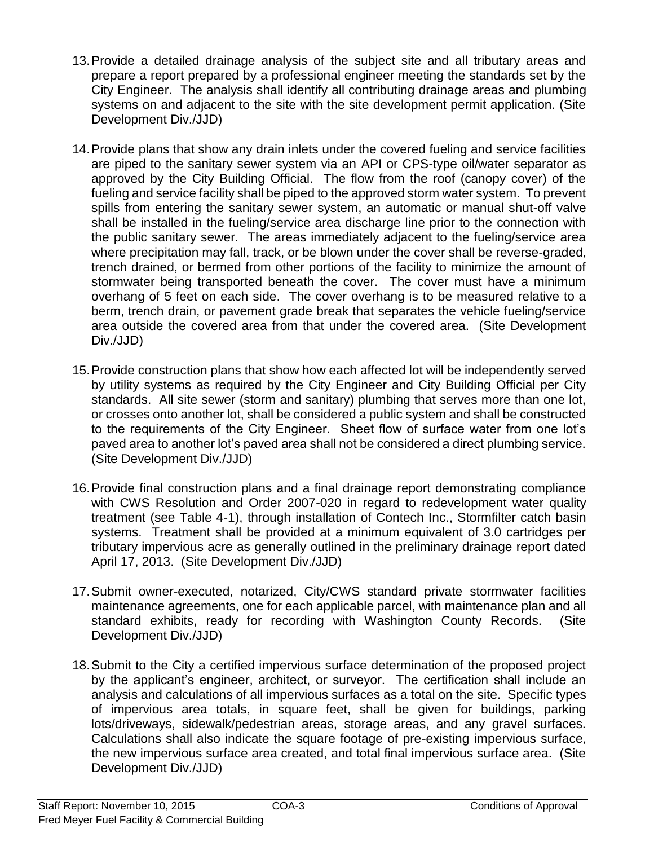- 13.Provide a detailed drainage analysis of the subject site and all tributary areas and prepare a report prepared by a professional engineer meeting the standards set by the City Engineer. The analysis shall identify all contributing drainage areas and plumbing systems on and adjacent to the site with the site development permit application. (Site Development Div./JJD)
- 14.Provide plans that show any drain inlets under the covered fueling and service facilities are piped to the sanitary sewer system via an API or CPS-type oil/water separator as approved by the City Building Official. The flow from the roof (canopy cover) of the fueling and service facility shall be piped to the approved storm water system. To prevent spills from entering the sanitary sewer system, an automatic or manual shut-off valve shall be installed in the fueling/service area discharge line prior to the connection with the public sanitary sewer. The areas immediately adjacent to the fueling/service area where precipitation may fall, track, or be blown under the cover shall be reverse-graded, trench drained, or bermed from other portions of the facility to minimize the amount of stormwater being transported beneath the cover. The cover must have a minimum overhang of 5 feet on each side. The cover overhang is to be measured relative to a berm, trench drain, or pavement grade break that separates the vehicle fueling/service area outside the covered area from that under the covered area. (Site Development Div./JJD)
- 15.Provide construction plans that show how each affected lot will be independently served by utility systems as required by the City Engineer and City Building Official per City standards. All site sewer (storm and sanitary) plumbing that serves more than one lot, or crosses onto another lot, shall be considered a public system and shall be constructed to the requirements of the City Engineer. Sheet flow of surface water from one lot's paved area to another lot's paved area shall not be considered a direct plumbing service. (Site Development Div./JJD)
- 16.Provide final construction plans and a final drainage report demonstrating compliance with CWS Resolution and Order 2007-020 in regard to redevelopment water quality treatment (see Table 4-1), through installation of Contech Inc., Stormfilter catch basin systems. Treatment shall be provided at a minimum equivalent of 3.0 cartridges per tributary impervious acre as generally outlined in the preliminary drainage report dated April 17, 2013. (Site Development Div./JJD)
- 17.Submit owner-executed, notarized, City/CWS standard private stormwater facilities maintenance agreements, one for each applicable parcel, with maintenance plan and all standard exhibits, ready for recording with Washington County Records. (Site Development Div./JJD)
- 18.Submit to the City a certified impervious surface determination of the proposed project by the applicant's engineer, architect, or surveyor. The certification shall include an analysis and calculations of all impervious surfaces as a total on the site. Specific types of impervious area totals, in square feet, shall be given for buildings, parking lots/driveways, sidewalk/pedestrian areas, storage areas, and any gravel surfaces. Calculations shall also indicate the square footage of pre-existing impervious surface, the new impervious surface area created, and total final impervious surface area. (Site Development Div./JJD)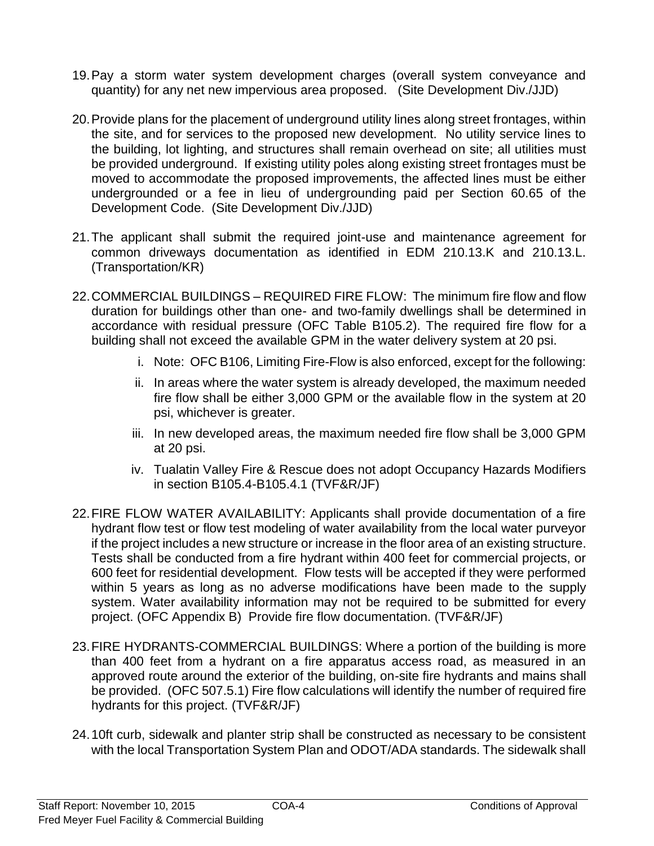- 19.Pay a storm water system development charges (overall system conveyance and quantity) for any net new impervious area proposed. (Site Development Div./JJD)
- 20.Provide plans for the placement of underground utility lines along street frontages, within the site, and for services to the proposed new development. No utility service lines to the building, lot lighting, and structures shall remain overhead on site; all utilities must be provided underground. If existing utility poles along existing street frontages must be moved to accommodate the proposed improvements, the affected lines must be either undergrounded or a fee in lieu of undergrounding paid per Section 60.65 of the Development Code. (Site Development Div./JJD)
- 21.The applicant shall submit the required joint-use and maintenance agreement for common driveways documentation as identified in EDM 210.13.K and 210.13.L. (Transportation/KR)
- 22.COMMERCIAL BUILDINGS REQUIRED FIRE FLOW: The minimum fire flow and flow duration for buildings other than one- and two-family dwellings shall be determined in accordance with residual pressure (OFC Table B105.2). The required fire flow for a building shall not exceed the available GPM in the water delivery system at 20 psi.
	- i. Note: OFC B106, Limiting Fire-Flow is also enforced, except for the following:
	- ii. In areas where the water system is already developed, the maximum needed fire flow shall be either 3,000 GPM or the available flow in the system at 20 psi, whichever is greater.
	- iii. In new developed areas, the maximum needed fire flow shall be 3,000 GPM at 20 psi.
	- iv. Tualatin Valley Fire & Rescue does not adopt Occupancy Hazards Modifiers in section B105.4-B105.4.1 (TVF&R/JF)
- 22.FIRE FLOW WATER AVAILABILITY: Applicants shall provide documentation of a fire hydrant flow test or flow test modeling of water availability from the local water purveyor if the project includes a new structure or increase in the floor area of an existing structure. Tests shall be conducted from a fire hydrant within 400 feet for commercial projects, or 600 feet for residential development. Flow tests will be accepted if they were performed within 5 years as long as no adverse modifications have been made to the supply system. Water availability information may not be required to be submitted for every project. (OFC Appendix B) Provide fire flow documentation. (TVF&R/JF)
- 23.FIRE HYDRANTS-COMMERCIAL BUILDINGS: Where a portion of the building is more than 400 feet from a hydrant on a fire apparatus access road, as measured in an approved route around the exterior of the building, on-site fire hydrants and mains shall be provided. (OFC 507.5.1) Fire flow calculations will identify the number of required fire hydrants for this project. (TVF&R/JF)
- 24.10ft curb, sidewalk and planter strip shall be constructed as necessary to be consistent with the local Transportation System Plan and ODOT/ADA standards. The sidewalk shall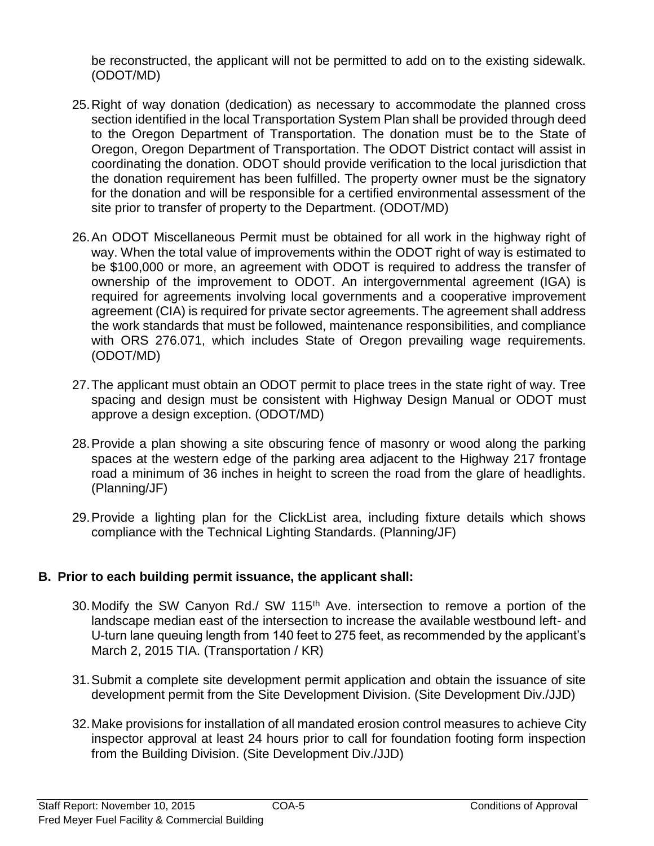be reconstructed, the applicant will not be permitted to add on to the existing sidewalk. (ODOT/MD)

- 25.Right of way donation (dedication) as necessary to accommodate the planned cross section identified in the local Transportation System Plan shall be provided through deed to the Oregon Department of Transportation. The donation must be to the State of Oregon, Oregon Department of Transportation. The ODOT District contact will assist in coordinating the donation. ODOT should provide verification to the local jurisdiction that the donation requirement has been fulfilled. The property owner must be the signatory for the donation and will be responsible for a certified environmental assessment of the site prior to transfer of property to the Department. (ODOT/MD)
- 26.An ODOT Miscellaneous Permit must be obtained for all work in the highway right of way. When the total value of improvements within the ODOT right of way is estimated to be \$100,000 or more, an agreement with ODOT is required to address the transfer of ownership of the improvement to ODOT. An intergovernmental agreement (IGA) is required for agreements involving local governments and a cooperative improvement agreement (CIA) is required for private sector agreements. The agreement shall address the work standards that must be followed, maintenance responsibilities, and compliance with ORS 276.071, which includes State of Oregon prevailing wage requirements. (ODOT/MD)
- 27.The applicant must obtain an ODOT permit to place trees in the state right of way. Tree spacing and design must be consistent with Highway Design Manual or ODOT must approve a design exception. (ODOT/MD)
- 28.Provide a plan showing a site obscuring fence of masonry or wood along the parking spaces at the western edge of the parking area adjacent to the Highway 217 frontage road a minimum of 36 inches in height to screen the road from the glare of headlights. (Planning/JF)
- 29.Provide a lighting plan for the ClickList area, including fixture details which shows compliance with the Technical Lighting Standards. (Planning/JF)

# **B. Prior to each building permit issuance, the applicant shall:**

- 30. Modify the SW Canyon Rd./ SW 115<sup>th</sup> Ave. intersection to remove a portion of the landscape median east of the intersection to increase the available westbound left- and U-turn lane queuing length from 140 feet to 275 feet, as recommended by the applicant's March 2, 2015 TIA. (Transportation / KR)
- 31.Submit a complete site development permit application and obtain the issuance of site development permit from the Site Development Division. (Site Development Div./JJD)
- 32.Make provisions for installation of all mandated erosion control measures to achieve City inspector approval at least 24 hours prior to call for foundation footing form inspection from the Building Division. (Site Development Div./JJD)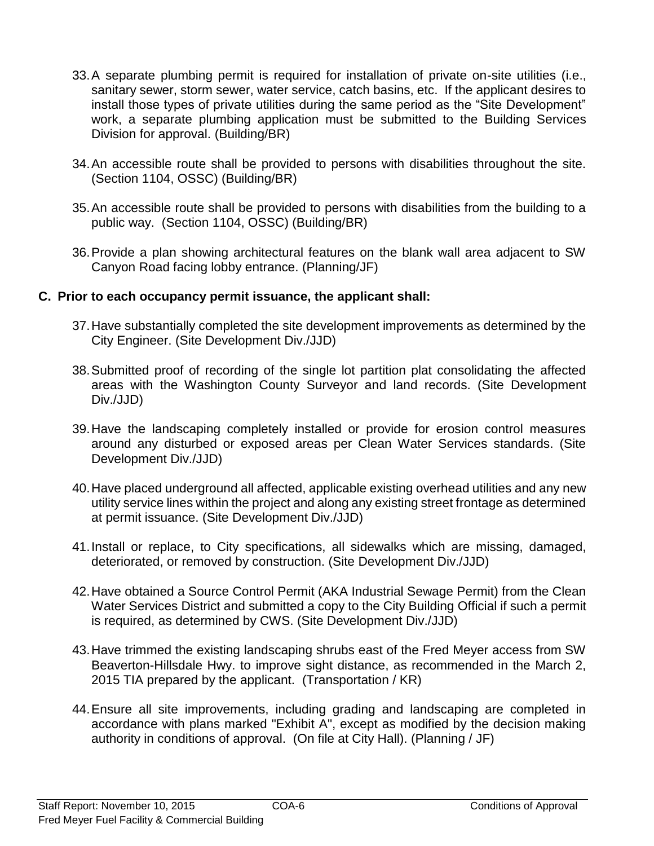- 33.A separate plumbing permit is required for installation of private on-site utilities (i.e., sanitary sewer, storm sewer, water service, catch basins, etc. If the applicant desires to install those types of private utilities during the same period as the "Site Development" work, a separate plumbing application must be submitted to the Building Services Division for approval. (Building/BR)
- 34.An accessible route shall be provided to persons with disabilities throughout the site. (Section 1104, OSSC) (Building/BR)
- 35.An accessible route shall be provided to persons with disabilities from the building to a public way. (Section 1104, OSSC) (Building/BR)
- 36.Provide a plan showing architectural features on the blank wall area adjacent to SW Canyon Road facing lobby entrance. (Planning/JF)

# **C. Prior to each occupancy permit issuance, the applicant shall:**

- 37.Have substantially completed the site development improvements as determined by the City Engineer. (Site Development Div./JJD)
- 38.Submitted proof of recording of the single lot partition plat consolidating the affected areas with the Washington County Surveyor and land records. (Site Development Div./JJD)
- 39.Have the landscaping completely installed or provide for erosion control measures around any disturbed or exposed areas per Clean Water Services standards. (Site Development Div./JJD)
- 40.Have placed underground all affected, applicable existing overhead utilities and any new utility service lines within the project and along any existing street frontage as determined at permit issuance. (Site Development Div./JJD)
- 41.Install or replace, to City specifications, all sidewalks which are missing, damaged, deteriorated, or removed by construction. (Site Development Div./JJD)
- 42.Have obtained a Source Control Permit (AKA Industrial Sewage Permit) from the Clean Water Services District and submitted a copy to the City Building Official if such a permit is required, as determined by CWS. (Site Development Div./JJD)
- 43.Have trimmed the existing landscaping shrubs east of the Fred Meyer access from SW Beaverton-Hillsdale Hwy. to improve sight distance, as recommended in the March 2, 2015 TIA prepared by the applicant. (Transportation / KR)
- 44.Ensure all site improvements, including grading and landscaping are completed in accordance with plans marked "Exhibit A", except as modified by the decision making authority in conditions of approval. (On file at City Hall). (Planning / JF)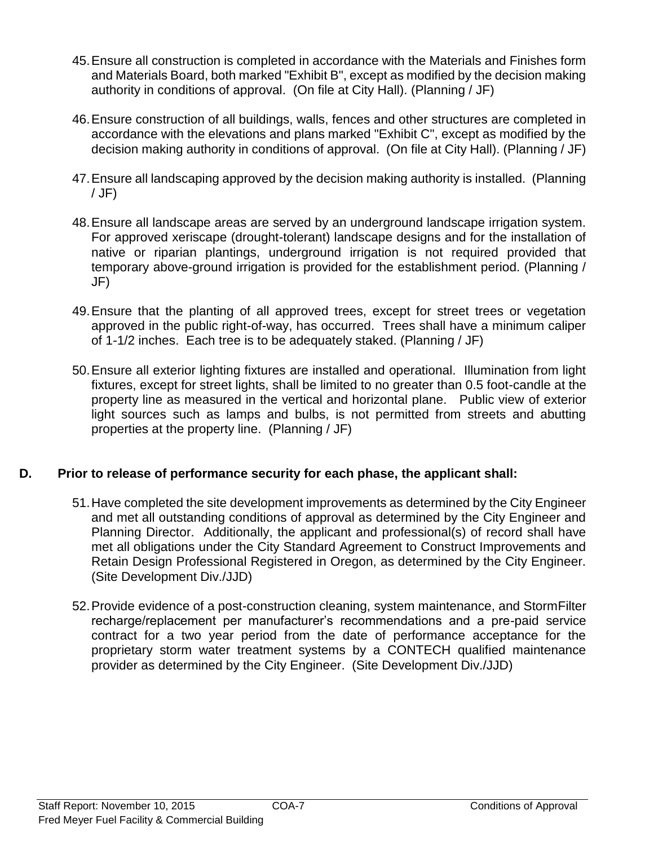- 45.Ensure all construction is completed in accordance with the Materials and Finishes form and Materials Board, both marked "Exhibit B", except as modified by the decision making authority in conditions of approval. (On file at City Hall). (Planning / JF)
- 46.Ensure construction of all buildings, walls, fences and other structures are completed in accordance with the elevations and plans marked "Exhibit C", except as modified by the decision making authority in conditions of approval. (On file at City Hall). (Planning / JF)
- 47.Ensure all landscaping approved by the decision making authority is installed. (Planning / JF)
- 48.Ensure all landscape areas are served by an underground landscape irrigation system. For approved xeriscape (drought-tolerant) landscape designs and for the installation of native or riparian plantings, underground irrigation is not required provided that temporary above-ground irrigation is provided for the establishment period. (Planning / JF)
- 49.Ensure that the planting of all approved trees, except for street trees or vegetation approved in the public right-of-way, has occurred. Trees shall have a minimum caliper of 1-1/2 inches. Each tree is to be adequately staked. (Planning / JF)
- 50.Ensure all exterior lighting fixtures are installed and operational. Illumination from light fixtures, except for street lights, shall be limited to no greater than 0.5 foot-candle at the property line as measured in the vertical and horizontal plane. Public view of exterior light sources such as lamps and bulbs, is not permitted from streets and abutting properties at the property line. (Planning / JF)

# **D. Prior to release of performance security for each phase, the applicant shall:**

- 51.Have completed the site development improvements as determined by the City Engineer and met all outstanding conditions of approval as determined by the City Engineer and Planning Director. Additionally, the applicant and professional(s) of record shall have met all obligations under the City Standard Agreement to Construct Improvements and Retain Design Professional Registered in Oregon, as determined by the City Engineer. (Site Development Div./JJD)
- 52.Provide evidence of a post-construction cleaning, system maintenance, and StormFilter recharge/replacement per manufacturer's recommendations and a pre-paid service contract for a two year period from the date of performance acceptance for the proprietary storm water treatment systems by a CONTECH qualified maintenance provider as determined by the City Engineer. (Site Development Div./JJD)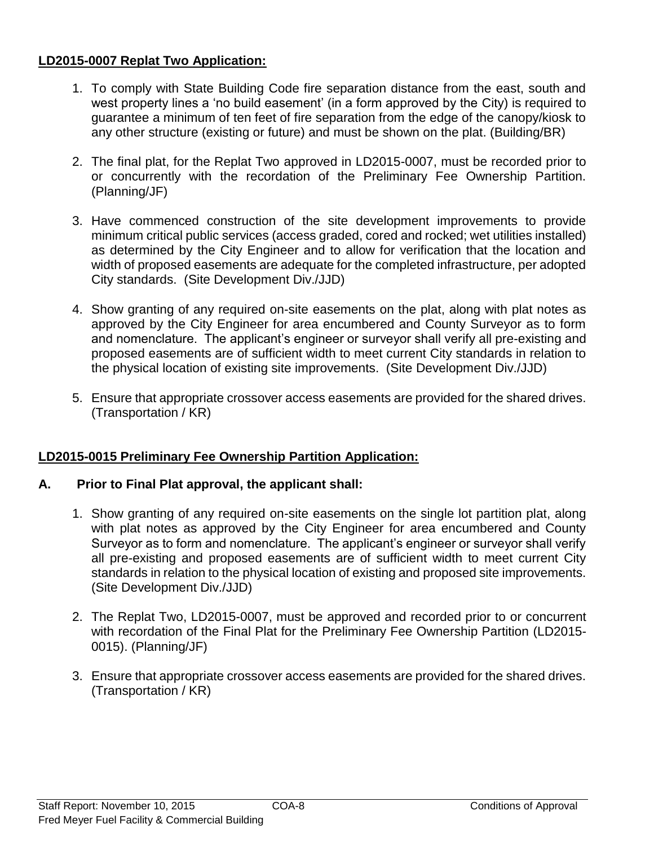# **LD2015-0007 Replat Two Application:**

- 1. To comply with State Building Code fire separation distance from the east, south and west property lines a 'no build easement' (in a form approved by the City) is required to guarantee a minimum of ten feet of fire separation from the edge of the canopy/kiosk to any other structure (existing or future) and must be shown on the plat. (Building/BR)
- 2. The final plat, for the Replat Two approved in LD2015-0007, must be recorded prior to or concurrently with the recordation of the Preliminary Fee Ownership Partition. (Planning/JF)
- 3. Have commenced construction of the site development improvements to provide minimum critical public services (access graded, cored and rocked; wet utilities installed) as determined by the City Engineer and to allow for verification that the location and width of proposed easements are adequate for the completed infrastructure, per adopted City standards. (Site Development Div./JJD)
- 4. Show granting of any required on-site easements on the plat, along with plat notes as approved by the City Engineer for area encumbered and County Surveyor as to form and nomenclature. The applicant's engineer or surveyor shall verify all pre-existing and proposed easements are of sufficient width to meet current City standards in relation to the physical location of existing site improvements. (Site Development Div./JJD)
- 5. Ensure that appropriate crossover access easements are provided for the shared drives. (Transportation / KR)

# **LD2015-0015 Preliminary Fee Ownership Partition Application:**

# **A. Prior to Final Plat approval, the applicant shall:**

- 1. Show granting of any required on-site easements on the single lot partition plat, along with plat notes as approved by the City Engineer for area encumbered and County Surveyor as to form and nomenclature. The applicant's engineer or surveyor shall verify all pre-existing and proposed easements are of sufficient width to meet current City standards in relation to the physical location of existing and proposed site improvements. (Site Development Div./JJD)
- 2. The Replat Two, LD2015-0007, must be approved and recorded prior to or concurrent with recordation of the Final Plat for the Preliminary Fee Ownership Partition (LD2015- 0015). (Planning/JF)
- 3. Ensure that appropriate crossover access easements are provided for the shared drives. (Transportation / KR)